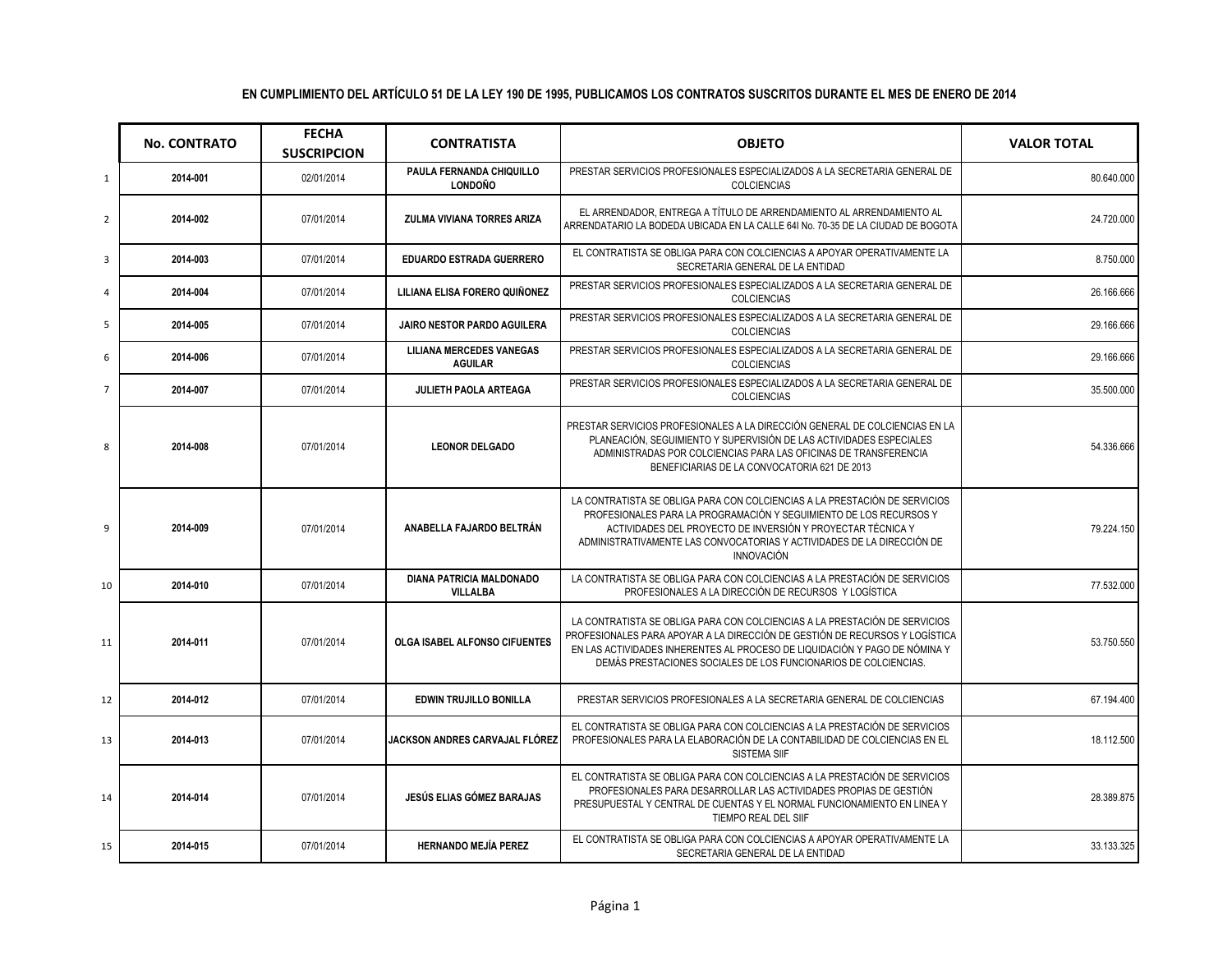|                | <b>No. CONTRATO</b> | <b>FECHA</b><br><b>SUSCRIPCION</b> | <b>CONTRATISTA</b>                                 | <b>OBJETO</b>                                                                                                                                                                                                                                                                                                  | <b>VALOR TOTAL</b> |
|----------------|---------------------|------------------------------------|----------------------------------------------------|----------------------------------------------------------------------------------------------------------------------------------------------------------------------------------------------------------------------------------------------------------------------------------------------------------------|--------------------|
| $\mathbf{1}$   | 2014-001            | 02/01/2014                         | PAULA FERNANDA CHIQUILLO<br><b>LONDOÑO</b>         | PRESTAR SERVICIOS PROFESIONALES ESPECIALIZADOS A LA SECRETARIA GENERAL DE<br><b>COLCIENCIAS</b>                                                                                                                                                                                                                | 80.640.000         |
| $\overline{2}$ | 2014-002            | 07/01/2014                         | ZULMA VIVIANA TORRES ARIZA                         | EL ARRENDADOR, ENTREGA A TÍTULO DE ARRENDAMIENTO AL ARRENDAMIENTO AL<br>ARRENDATARIO LA BODEDA UBICADA EN LA CALLE 641 No. 70-35 DE LA CIUDAD DE BOGOTA                                                                                                                                                        | 24.720.000         |
| 3              | 2014-003            | 07/01/2014                         | <b>EDUARDO ESTRADA GUERRERO</b>                    | EL CONTRATISTA SE OBLIGA PARA CON COLCIENCIAS A APOYAR OPERATIVAMENTE LA<br>SECRETARIA GENERAL DE LA ENTIDAD                                                                                                                                                                                                   | 8.750.000          |
| 4              | 2014-004            | 07/01/2014                         | LILIANA ELISA FORERO QUIÑONEZ                      | PRESTAR SERVICIOS PROFESIONALES ESPECIALIZADOS A LA SECRETARIA GENERAL DE<br><b>COLCIENCIAS</b>                                                                                                                                                                                                                | 26.166.666         |
| 5              | 2014-005            | 07/01/2014                         | <b>JAIRO NESTOR PARDO AGUILERA</b>                 | PRESTAR SERVICIOS PROFESIONALES ESPECIALIZADOS A LA SECRETARIA GENERAL DE<br><b>COLCIENCIAS</b>                                                                                                                                                                                                                | 29.166.666         |
| 6              | 2014-006            | 07/01/2014                         | <b>LILIANA MERCEDES VANEGAS</b><br><b>AGUILAR</b>  | PRESTAR SERVICIOS PROFESIONALES ESPECIALIZADOS A LA SECRETARIA GENERAL DE<br><b>COLCIENCIAS</b>                                                                                                                                                                                                                | 29.166.666         |
| $\overline{7}$ | 2014-007            | 07/01/2014                         | JULIETH PAOLA ARTEAGA                              | PRESTAR SERVICIOS PROFESIONALES ESPECIALIZADOS A LA SECRETARIA GENERAL DE<br><b>COLCIENCIAS</b>                                                                                                                                                                                                                | 35.500.000         |
| 8              | 2014-008            | 07/01/2014                         | <b>LEONOR DELGADO</b>                              | PRESTAR SERVICIOS PROFESIONALES A LA DIRECCIÓN GENERAL DE COLCIENCIAS EN LA<br>PLANEACIÓN, SEGUIMIENTO Y SUPERVISIÓN DE LAS ACTIVIDADES ESPECIALES<br>ADMINISTRADAS POR COLCIENCIAS PARA LAS OFICINAS DE TRANSFERENCIA<br>BENEFICIARIAS DE LA CONVOCATORIA 621 DE 2013                                         | 54.336.666         |
| 9              | 2014-009            | 07/01/2014                         | ANABELLA FAJARDO BELTRÁN                           | LA CONTRATISTA SE OBLIGA PARA CON COLCIENCIAS A LA PRESTACIÓN DE SERVICIOS<br>PROFESIONALES PARA LA PROGRAMACIÓN Y SEGUIMIENTO DE LOS RECURSOS Y<br>ACTIVIDADES DEL PROYECTO DE INVERSIÓN Y PROYECTAR TÉCNICA Y<br>ADMINISTRATIVAMENTE LAS CONVOCATORIAS Y ACTIVIDADES DE LA DIRECCIÓN DE<br><b>INNOVACIÓN</b> | 79.224.150         |
| 10             | 2014-010            | 07/01/2014                         | <b>DIANA PATRICIA MALDONADO</b><br><b>VILLALBA</b> | LA CONTRATISTA SE OBLIGA PARA CON COLCIENCIAS A LA PRESTACIÓN DE SERVICIOS<br>PROFESIONALES A LA DIRECCIÓN DE RECURSOS Y LOGÍSTICA                                                                                                                                                                             | 77.532.000         |
| 11             | 2014-011            | 07/01/2014                         | OLGA ISABEL ALFONSO CIFUENTES                      | LA CONTRATISTA SE OBLIGA PARA CON COLCIENCIAS A LA PRESTACIÓN DE SERVICIOS<br>PROFESIONALES PARA APOYAR A LA DIRECCIÓN DE GESTIÓN DE RECURSOS Y LOGÍSTICA<br>EN LAS ACTIVIDADES INHERENTES AL PROCESO DE LIQUIDACIÓN Y PAGO DE NÓMINA Y<br>DEMÁS PRESTACIONES SOCIALES DE LOS FUNCIONARIOS DE COLCIENCIAS.     | 53.750.550         |
| 12             | 2014-012            | 07/01/2014                         | EDWIN TRUJILLO BONILLA                             | PRESTAR SERVICIOS PROFESIONALES A LA SECRETARIA GENERAL DE COLCIENCIAS                                                                                                                                                                                                                                         | 67.194.400         |
| 13             | 2014-013            | 07/01/2014                         | JACKSON ANDRES CARVAJAL FLÓREZ                     | EL CONTRATISTA SE OBLIGA PARA CON COLCIENCIAS A LA PRESTACIÓN DE SERVICIOS<br>PROFESIONALES PARA LA ELABORACIÓN DE LA CONTABILIDAD DE COLCIENCIAS EN EL<br><b>SISTEMA SIIF</b>                                                                                                                                 | 18.112.500         |
| 14             | 2014-014            | 07/01/2014                         | <b>JESÚS ELIAS GÓMEZ BARAJAS</b>                   | EL CONTRATISTA SE OBLIGA PARA CON COLCIENCIAS A LA PRESTACIÓN DE SERVICIOS<br>PROFESIONALES PARA DESARROLLAR LAS ACTIVIDADES PROPIAS DE GESTIÓN<br>PRESUPUESTAL Y CENTRAL DE CUENTAS Y EL NORMAL FUNCIONAMIENTO EN LINEA Y<br>TIEMPO REAL DEL SIIF                                                             | 28.389.875         |
| 15             | 2014-015            | 07/01/2014                         | <b>HERNANDO MEJÍA PEREZ</b>                        | EL CONTRATISTA SE OBLIGA PARA CON COLCIENCIAS A APOYAR OPERATIVAMENTE LA<br>SECRETARIA GENERAL DE LA ENTIDAD                                                                                                                                                                                                   | 33.133.325         |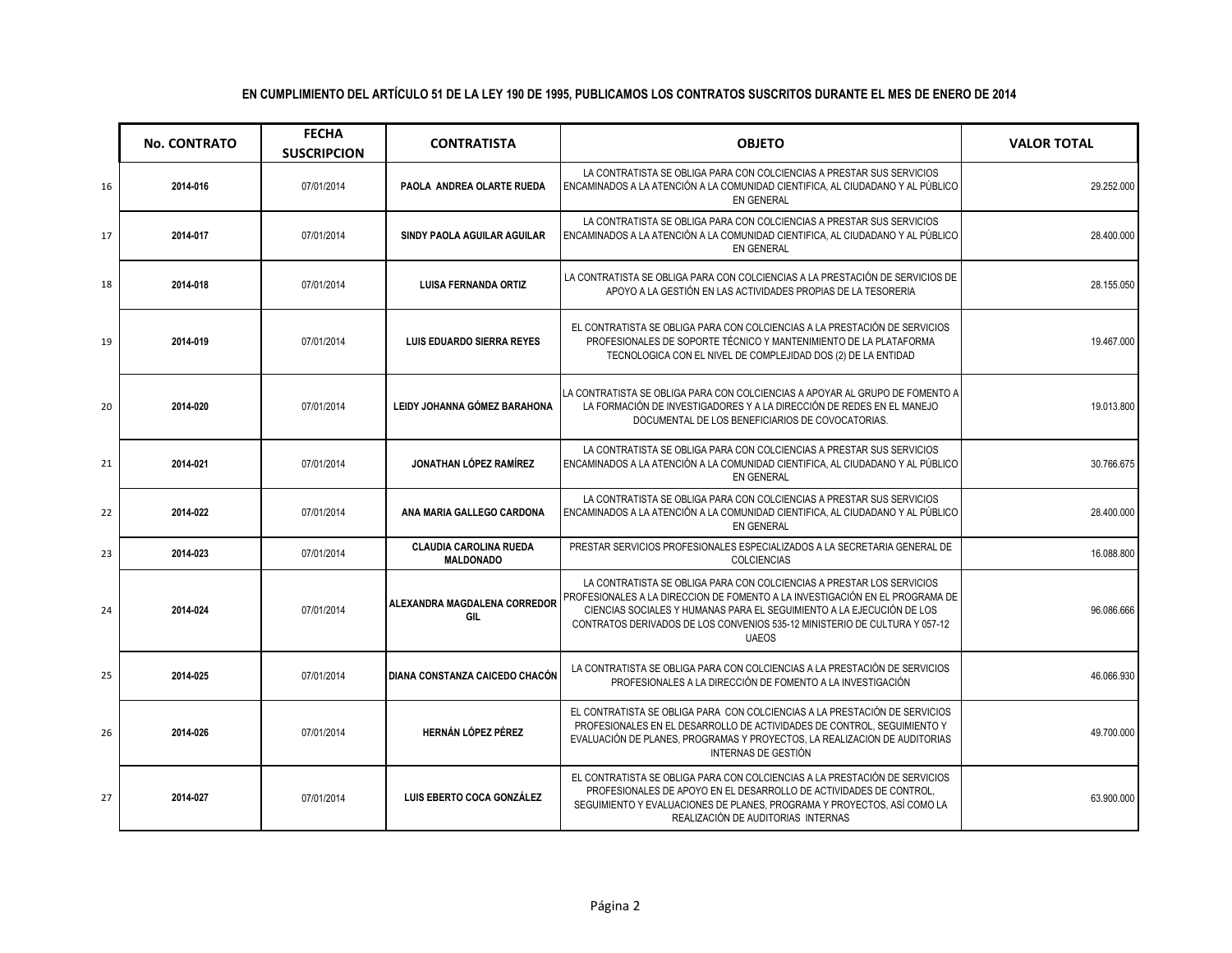#### **No. CONTRATO FECHA SUSCRIPCION CONTRATISTA OBJETO VALOR TOTAL**  16 **2014-016** 07/01/2014 **PAOLA ANDREA OLARTE RUEDA** LA CONTRATISTA SE OBLIGA PARA CON COLCIENCIAS A PRESTAR SUS SERVICIOS ENCAMINADOS A LA ATENCIÓN A LA COMUNIDAD CIENTIFICA, AL CIUDADANO Y AL PÚBLICO EN GENERAL 29.252.000 17 **2014-017** 07/01/2014 **SINDY PAOLA AGUILAR AGUILAR**  LA CONTRATISTA SE OBLIGA PARA CON COLCIENCIAS A PRESTAR SUS SERVICIOS ENCAMINADOS A LA ATENCIÓN A LA COMUNIDAD CIENTIFICA, AL CIUDADANO Y AL PÚBLICO EN GENERAL 28.400.000 <sup>18</sup> **2014-018** 07/01/2014 **LUISA FERNANDA ORTIZ** LA CONTRATISTA SE OBLIGA PARA CON COLCIENCIAS A LA PRESTACIÓN DE SERVICIOS DE NATISTA SE OBLIGA PARA CON COLCIENCIAS A LA PRESTACIÓN DE SERVICIOS DE **1989 - 1999 - 28.155.050 de 1999 - 28.155.050**<br>APOYO A LA GESTIÓN EN LAS ACTIVIDADES PROPIAS DE LA TESORERIA 19 **2014-019** 07/01/2014 **LUIS EDUARDO SIERRA REYES**  EL CONTRATISTA SE OBLIGA PARA CON COLCIENCIAS A LA PRESTACIÓN DE SERVICIOS PROFESIONALES DE SOPORTE TÉCNICO Y MANTENIMIENTO DE LA PLATAFORMA TECNOLOGICA CON EL NIVEL DE COMPLEJIDAD DOS (2) DE LA ENTIDAD 19.467.000 20 **2014-020** 07/01/2014 **LEIDY JOHANNA GÓMEZ BARAHONA**  LA CONTRATISTA SE OBLIGA PARA CON COLCIENCIAS A APOYAR AL GRUPO DE FOMENTO A LA FORMACIÓN DE INVESTIGADORES Y A LA DIRECCIÓN DE REDES EN EL MANEJO DOCUMENTAL DE LOS BENEFICIARIOS DE COVOCATORIAS. 19.013.800 21 **2014-021** 07/01/2014 **JONATHAN LÓPEZ RAMÍREZ**  LA CONTRATISTA SE OBLIGA PARA CON COLCIENCIAS A PRESTAR SUS SERVICIOS ENCAMINADOS A LA ATENCIÓN A LA COMUNIDAD CIENTIFICA, AL CIUDADANO Y AL PÚBLICO EN GENERAL 30.766.675 22 **2014-022** 07/01/2014 **ANA MARIA GALLEGO CARDONA**  LA CONTRATISTA SE OBLIGA PARA CON COLCIENCIAS A PRESTAR SUS SERVICIOS ENCAMINADOS A LA ATENCIÓN A LA COMUNIDAD CIENTIFICA, AL CIUDADANO Y AL PÚBLICO EN GENERAL 28.400.000 <sup>23</sup> **2014-023** 07/01/2014 **CLAUDIA CAROLINA RUEDA MALDONADO**  PRESTAR SERVICIOS PROFESIONALES ESPECIALIZADOS A LA SECRETARIA GENERAL DE COLCIENCIAS 16.088.800 <sup>24</sup> **2014-024** 07/01/2014 **ALEXANDRA MAGDALENA CORREDOR GIL**  LA CONTRATISTA SE OBLIGA PARA CON COLCIENCIAS A PRESTAR LOS SERVICIOS PROFESIONALES A LA DIRECCION DE FOMENTO A LA INVESTIGACIÓN EN EL PROGRAMA DE CIENCIAS SOCIALES Y HUMANAS PARA EL SEGUIMIENTO A LA EJECUCIÓN DE LOS CONTRATOS DERIVADOS DE LOS CONVENIOS 535-12 MINISTERIO DE CULTURA Y 057-12 UAEOS 96.086.666 <sup>25</sup> **2014-025** 07/01/2014 **DIANA CONSTANZA CAICEDO CHACÓN** LA CONTRATISTA SE OBLIGA PARA CON COLCIENCIAS A LA PRESTACIÓN DE SERVICIOS PROFESIONALES A LA DIRECCIÓN DE FOMENTO A LA INVESTIGACIÓN 46.066.930 26 **2014-026** 07/01/2014 **HERNÁN LÓPEZ PÉREZ**  EL CONTRATISTA SE OBLIGA PARA CON COLCIENCIAS A LA PRESTACIÓN DE SERVICIOS PROFESIONALES EN EL DESARROLLO DE ACTIVIDADES DE CONTROL, SEGUIMIENTO Y 49.700.000

#### **EN CUMPLIMIENTO DEL ARTÍCULO 51 DE LA LEY 190 DE 1995, PUBLICAMOS LOS CONTRATOS SUSCRITOS DURANTE EL MES DE ENERO DE 2014**

27 **2014-027** 07/01/2014 **LUIS EBERTO COCA GONZÁLEZ** 

EVALUACIÓN DE PLANES, PROGRAMAS Y PROYECTOS, LA REALIZACION DE AUDITORIAS INTERNAS DE GESTIÓN

EL CONTRATISTA SE OBLIGA PARA CON COLCIENCIAS A LA PRESTACIÓN DE SERVICIOS PROFESIONALES DE APOYO EN EL DESARROLLO DE ACTIVIDADES DE CONTROL, SEGUIMIENTO Y EVALUACIONES DE PLANES, PROGRAMA Y PROYECTOS, ASÍ COMO LA REALIZACIÓN DE AUDITORIAS INTERNAS

63.900.000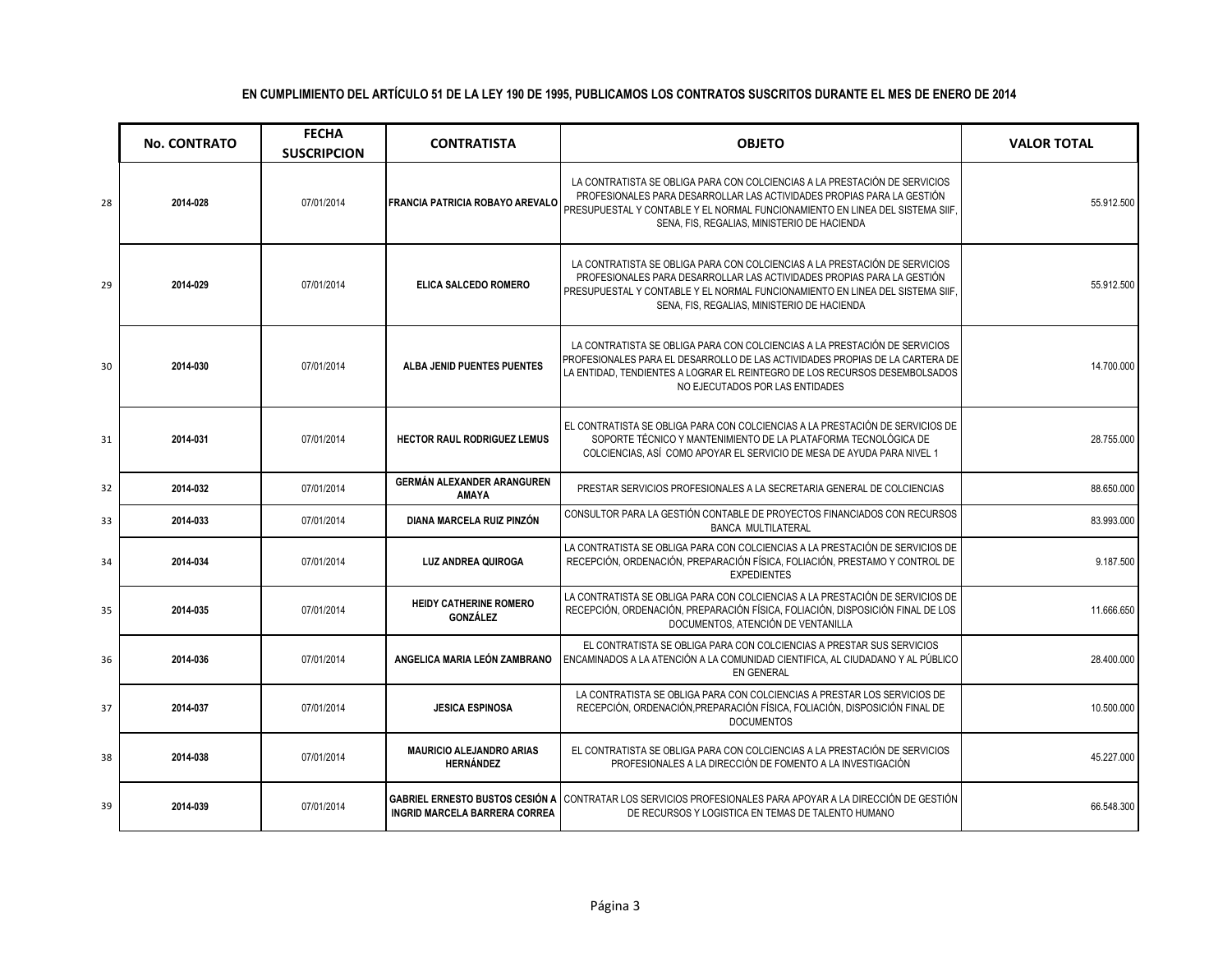|    | <b>No. CONTRATO</b> | <b>FECHA</b><br><b>SUSCRIPCION</b> | <b>CONTRATISTA</b>                                                             | <b>OBJETO</b>                                                                                                                                                                                                                                                                        | <b>VALOR TOTAL</b> |
|----|---------------------|------------------------------------|--------------------------------------------------------------------------------|--------------------------------------------------------------------------------------------------------------------------------------------------------------------------------------------------------------------------------------------------------------------------------------|--------------------|
| 28 | 2014-028            | 07/01/2014                         | <b>FRANCIA PATRICIA ROBAYO AREVALO</b>                                         | LA CONTRATISTA SE OBLIGA PARA CON COLCIENCIAS A LA PRESTACIÓN DE SERVICIOS<br>PROFESIONALES PARA DESARROLLAR LAS ACTIVIDADES PROPIAS PARA LA GESTIÓN<br>PRESUPUESTAL Y CONTABLE Y EL NORMAL FUNCIONAMIENTO EN LINEA DEL SISTEMA SIIF.<br>SENA, FIS, REGALIAS, MINISTERIO DE HACIENDA | 55.912.500         |
| 29 | 2014-029            | 07/01/2014                         | ELICA SALCEDO ROMERO                                                           | LA CONTRATISTA SE OBLIGA PARA CON COLCIENCIAS A LA PRESTACIÓN DE SERVICIOS<br>PROFESIONALES PARA DESARROLLAR LAS ACTIVIDADES PROPIAS PARA LA GESTIÓN<br>PRESUPUESTAL Y CONTABLE Y EL NORMAL FUNCIONAMIENTO EN LINEA DEL SISTEMA SIIF.<br>SENA, FIS, REGALIAS, MINISTERIO DE HACIENDA | 55.912.500         |
| 30 | 2014-030            | 07/01/2014                         | ALBA JENID PUENTES PUENTES                                                     | LA CONTRATISTA SE OBLIGA PARA CON COLCIENCIAS A LA PRESTACIÓN DE SERVICIOS<br>PROFESIONALES PARA EL DESARROLLO DE LAS ACTIVIDADES PROPIAS DE LA CARTERA DE<br>LA ENTIDAD. TENDIENTES A LOGRAR EL REINTEGRO DE LOS RECURSOS DESEMBOLSADOS<br>NO EJECUTADOS POR LAS ENTIDADES          | 14.700.000         |
| 31 | 2014-031            | 07/01/2014                         | <b>HECTOR RAUL RODRIGUEZ LEMUS</b>                                             | EL CONTRATISTA SE OBLIGA PARA CON COLCIENCIAS A LA PRESTACIÓN DE SERVICIOS DE<br>SOPORTE TÉCNICO Y MANTENIMIENTO DE LA PLATAFORMA TECNOLÓGICA DE<br>COLCIENCIAS, ASÍ COMO APOYAR EL SERVICIO DE MESA DE AYUDA PARA NIVEL 1                                                           | 28.755.000         |
| 32 | 2014-032            | 07/01/2014                         | <b>GERMÁN ALEXANDER ARANGUREN</b><br><b>AMAYA</b>                              | PRESTAR SERVICIOS PROFESIONALES A LA SECRETARIA GENERAL DE COLCIENCIAS                                                                                                                                                                                                               | 88.650.000         |
| 33 | 2014-033            | 07/01/2014                         | DIANA MARCELA RUIZ PINZÓN                                                      | CONSULTOR PARA LA GESTIÓN CONTABLE DE PROYECTOS FINANCIADOS CON RECURSOS<br><b>BANCA MULTILATERAL</b>                                                                                                                                                                                | 83.993.000         |
| 34 | 2014-034            | 07/01/2014                         | <b>LUZ ANDREA QUIROGA</b>                                                      | LA CONTRATISTA SE OBLIGA PARA CON COLCIENCIAS A LA PRESTACIÓN DE SERVICIOS DE<br>RECEPCIÓN, ORDENACIÓN, PREPARACIÓN FÍSICA, FOLIACIÓN, PRESTAMO Y CONTROL DE<br><b>EXPEDIENTES</b>                                                                                                   | 9.187.500          |
| 35 | 2014-035            | 07/01/2014                         | <b>HEIDY CATHERINE ROMERO</b><br>GONZÁLEZ                                      | LA CONTRATISTA SE OBLIGA PARA CON COLCIENCIAS A LA PRESTACIÓN DE SERVICIOS DE<br>RECEPCIÓN, ORDENACIÓN, PREPARACIÓN FÍSICA, FOLIACIÓN, DISPOSICIÓN FINAL DE LOS<br>DOCUMENTOS, ATENCIÓN DE VENTANILLA                                                                                | 11.666.650         |
| 36 | 2014-036            | 07/01/2014                         | ANGELICA MARIA LEÓN ZAMBRANO                                                   | EL CONTRATISTA SE OBLIGA PARA CON COLCIENCIAS A PRESTAR SUS SERVICIOS<br>ENCAMINADOS A LA ATENCIÓN A LA COMUNIDAD CIENTIFICA, AL CIUDADANO Y AL PÚBLICO<br><b>EN GENERAL</b>                                                                                                         | 28.400.000         |
| 37 | 2014-037            | 07/01/2014                         | <b>JESICA ESPINOSA</b>                                                         | LA CONTRATISTA SE OBLIGA PARA CON COLCIENCIAS A PRESTAR LOS SERVICIOS DE<br>RECEPCIÓN, ORDENACIÓN, PREPARACIÓN FÍSICA, FOLIACIÓN, DISPOSICIÓN FINAL DE<br><b>DOCUMENTOS</b>                                                                                                          | 10.500.000         |
| 38 | 2014-038            | 07/01/2014                         | <b>MAURICIO ALEJANDRO ARIAS</b><br><b>HERNÁNDEZ</b>                            | EL CONTRATISTA SE OBLIGA PARA CON COLCIENCIAS A LA PRESTACIÓN DE SERVICIOS<br>PROFESIONALES A LA DIRECCIÓN DE FOMENTO A LA INVESTIGACIÓN                                                                                                                                             | 45.227.000         |
| 39 | 2014-039            | 07/01/2014                         | <b>GABRIEL ERNESTO BUSTOS CESIÓN A</b><br><b>INGRID MARCELA BARRERA CORREA</b> | CONTRATAR LOS SERVICIOS PROFESIONALES PARA APOYAR A LA DIRECCIÓN DE GESTIÓN<br>DE RECURSOS Y LOGISTICA EN TEMAS DE TALENTO HUMANO                                                                                                                                                    | 66.548.300         |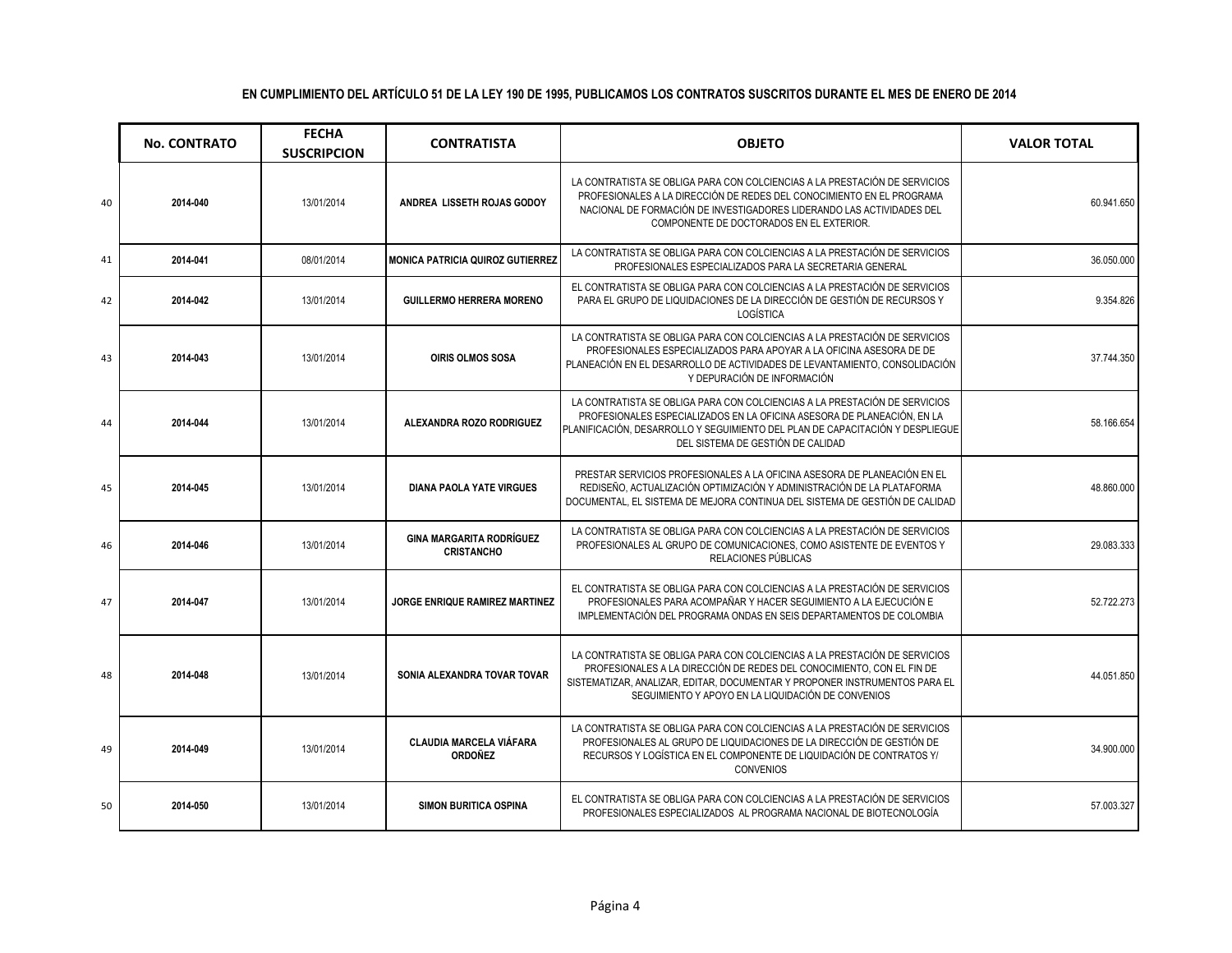|    | <b>No. CONTRATO</b> | <b>FECHA</b><br><b>SUSCRIPCION</b> | <b>CONTRATISTA</b>                                   | <b>OBJETO</b>                                                                                                                                                                                                                                                                           | <b>VALOR TOTAL</b> |
|----|---------------------|------------------------------------|------------------------------------------------------|-----------------------------------------------------------------------------------------------------------------------------------------------------------------------------------------------------------------------------------------------------------------------------------------|--------------------|
| 40 | 2014-040            | 13/01/2014                         | ANDREA LISSETH ROJAS GODOY                           | LA CONTRATISTA SE OBLIGA PARA CON COLCIENCIAS A LA PRESTACIÓN DE SERVICIOS<br>PROFESIONALES A LA DIRECCIÓN DE REDES DEL CONOCIMIENTO EN EL PROGRAMA<br>NACIONAL DE FORMACIÓN DE INVESTIGADORES LIDERANDO LAS ACTIVIDADES DEL<br>COMPONENTE DE DOCTORADOS EN EL EXTERIOR.                | 60.941.650         |
| 41 | 2014-041            | 08/01/2014                         | <b>MONICA PATRICIA QUIROZ GUTIERREZ</b>              | LA CONTRATISTA SE OBLIGA PARA CON COLCIENCIAS A LA PRESTACIÓN DE SERVICIOS<br>PROFESIONALES ESPECIALIZADOS PARA LA SECRETARIA GENERAL                                                                                                                                                   | 36.050.000         |
| 42 | 2014-042            | 13/01/2014                         | <b>GUILLERMO HERRERA MORENO</b>                      | EL CONTRATISTA SE OBLIGA PARA CON COLCIENCIAS A LA PRESTACIÓN DE SERVICIOS<br>PARA EL GRUPO DE LIQUIDACIONES DE LA DIRECCIÓN DE GESTIÓN DE RECURSOS Y<br>LOGÍSTICA                                                                                                                      | 9.354.826          |
| 43 | 2014-043            | 13/01/2014                         | <b>OIRIS OLMOS SOSA</b>                              | LA CONTRATISTA SE OBLIGA PARA CON COLCIENCIAS A LA PRESTACIÓN DE SERVICIOS<br>PROFESIONALES ESPECIALIZADOS PARA APOYAR A LA OFICINA ASESORA DE DE<br>PLANEACIÓN EN EL DESARROLLO DE ACTIVIDADES DE LEVANTAMIENTO, CONSOLIDACIÓN<br>Y DEPURACIÓN DE INFORMACIÓN                          | 37.744.350         |
| 44 | 2014-044            | 13/01/2014                         | ALEXANDRA ROZO RODRIGUEZ                             | LA CONTRATISTA SE OBLIGA PARA CON COLCIENCIAS A LA PRESTACIÓN DE SERVICIOS<br>PROFESIONALES ESPECIALIZADOS EN LA OFICINA ASESORA DE PLANEACIÓN, EN LA<br>PLANIFICACIÓN, DESARROLLO Y SEGUIMIENTO DEL PLAN DE CAPACITACIÓN Y DESPLIEGUE<br>DEL SISTEMA DE GESTIÓN DE CALIDAD             | 58.166.654         |
| 45 | 2014-045            | 13/01/2014                         | <b>DIANA PAOLA YATE VIRGUES</b>                      | PRESTAR SERVICIOS PROFESIONALES A LA OFICINA ASESORA DE PLANEACIÓN EN EL<br>REDISEÑO, ACTUALIZACIÓN OPTIMIZACIÓN Y ADMINISTRACIÓN DE LA PLATAFORMA<br>DOCUMENTAL, EL SISTEMA DE MEJORA CONTINUA DEL SISTEMA DE GESTIÓN DE CALIDAD                                                       | 48.860.000         |
| 46 | 2014-046            | 13/01/2014                         | <b>GINA MARGARITA RODRÍGUEZ</b><br><b>CRISTANCHO</b> | LA CONTRATISTA SE OBLIGA PARA CON COLCIENCIAS A LA PRESTACIÓN DE SERVICIOS<br>PROFESIONALES AL GRUPO DE COMUNICACIONES, COMO ASISTENTE DE EVENTOS Y<br>RELACIONES PÚBLICAS                                                                                                              | 29.083.333         |
| 47 | 2014-047            | 13/01/2014                         | <b>JORGE ENRIQUE RAMIREZ MARTINEZ</b>                | EL CONTRATISTA SE OBLIGA PARA CON COLCIENCIAS A LA PRESTACIÓN DE SERVICIOS<br>PROFESIONALES PARA ACOMPAÑAR Y HACER SEGUIMIENTO A LA EJECUCIÓN E<br>IMPLEMENTACIÓN DEL PROGRAMA ONDAS EN SEIS DEPARTAMENTOS DE COLOMBIA                                                                  | 52.722.273         |
| 48 | 2014-048            | 13/01/2014                         | SONIA ALEXANDRA TOVAR TOVAR                          | LA CONTRATISTA SE OBLIGA PARA CON COLCIENCIAS A LA PRESTACIÓN DE SERVICIOS<br>PROFESIONALES A LA DIRECCIÓN DE REDES DEL CONOCIMIENTO, CON EL FIN DE<br>SISTEMATIZAR, ANALIZAR, EDITAR, DOCUMENTAR Y PROPONER INSTRUMENTOS PARA EL<br>SEGUIMIENTO Y APOYO EN LA LIQUIDACIÓN DE CONVENIOS | 44.051.850         |
| 49 | 2014-049            | 13/01/2014                         | <b>CLAUDIA MARCELA VIÁFARA</b><br><b>ORDOÑEZ</b>     | LA CONTRATISTA SE OBLIGA PARA CON COLCIENCIAS A LA PRESTACIÓN DE SERVICIOS<br>PROFESIONALES AL GRUPO DE LIQUIDACIONES DE LA DIRECCIÓN DE GESTIÓN DE<br>RECURSOS Y LOGÍSTICA EN EL COMPONENTE DE LIQUIDACIÓN DE CONTRATOS Y/<br><b>CONVENIOS</b>                                         | 34.900.000         |
| 50 | 2014-050            | 13/01/2014                         | <b>SIMON BURITICA OSPINA</b>                         | EL CONTRATISTA SE OBLIGA PARA CON COLCIENCIAS A LA PRESTACIÓN DE SERVICIOS<br>PROFESIONALES ESPECIALIZADOS AL PROGRAMA NACIONAL DE BIOTECNOLOGÍA                                                                                                                                        | 57.003.327         |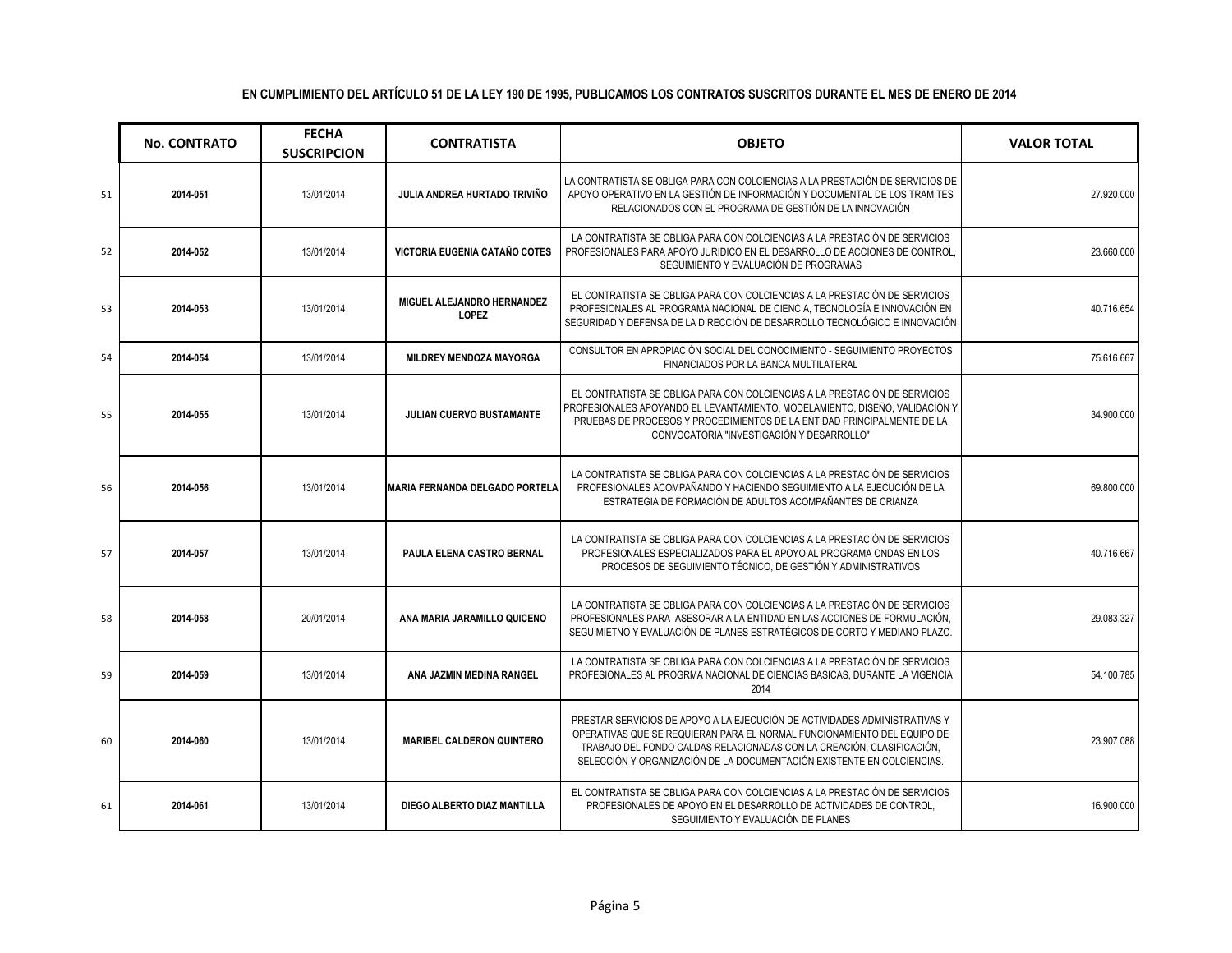|    | <b>No. CONTRATO</b> | <b>FECHA</b><br><b>SUSCRIPCION</b> | <b>CONTRATISTA</b>                         | <b>OBJETO</b>                                                                                                                                                                                                                                                                                            | <b>VALOR TOTAL</b> |
|----|---------------------|------------------------------------|--------------------------------------------|----------------------------------------------------------------------------------------------------------------------------------------------------------------------------------------------------------------------------------------------------------------------------------------------------------|--------------------|
| 51 | 2014-051            | 13/01/2014                         | JULIA ANDREA HURTADO TRIVIÑO               | LA CONTRATISTA SE OBLIGA PARA CON COLCIENCIAS A LA PRESTACIÓN DE SERVICIOS DE<br>APOYO OPERATIVO EN LA GESTIÓN DE INFORMACIÓN Y DOCUMENTAL DE LOS TRAMITES<br>RELACIONADOS CON EL PROGRAMA DE GESTIÓN DE LA INNOVACIÓN                                                                                   | 27.920.000         |
| 52 | 2014-052            | 13/01/2014                         | VICTORIA EUGENIA CATAÑO COTES              | LA CONTRATISTA SE OBLIGA PARA CON COLCIENCIAS A LA PRESTACIÓN DE SERVICIOS<br>PROFESIONALES PARA APOYO JURIDICO EN EL DESARROLLO DE ACCIONES DE CONTROL<br>SEGUIMIENTO Y EVALUACIÓN DE PROGRAMAS                                                                                                         | 23.660.000         |
| 53 | 2014-053            | 13/01/2014                         | MIGUEL ALEJANDRO HERNANDEZ<br><b>LOPEZ</b> | EL CONTRATISTA SE OBLIGA PARA CON COLCIENCIAS A LA PRESTACIÓN DE SERVICIOS<br>PROFESIONALES AL PROGRAMA NACIONAL DE CIENCIA, TECNOLOGÍA E INNOVACIÓN EN<br>SEGURIDAD Y DEFENSA DE LA DIRECCIÓN DE DESARROLLO TECNOLÓGICO E INNOVACIÓN                                                                    | 40.716.654         |
| 54 | 2014-054            | 13/01/2014                         | MILDREY MENDOZA MAYORGA                    | CONSULTOR EN APROPIACIÓN SOCIAL DEL CONOCIMIENTO - SEGUIMIENTO PROYECTOS<br>FINANCIADOS POR LA BANCA MULTILATERAL                                                                                                                                                                                        | 75.616.667         |
| 55 | 2014-055            | 13/01/2014                         | JULIAN CUERVO BUSTAMANTE                   | EL CONTRATISTA SE OBLIGA PARA CON COLCIENCIAS A LA PRESTACIÓN DE SERVICIOS<br>PROFESIONALES APOYANDO EL LEVANTAMIENTO, MODELAMIENTO, DISEÑO, VALIDACIÓN Y<br>PRUEBAS DE PROCESOS Y PROCEDIMIENTOS DE LA ENTIDAD PRINCIPALMENTE DE LA<br>CONVOCATORIA "INVESTIGACIÓN Y DESARROLLO"                        | 34.900.000         |
| 56 | 2014-056            | 13/01/2014                         | <b>MARIA FERNANDA DELGADO PORTELA</b>      | LA CONTRATISTA SE OBLIGA PARA CON COLCIENCIAS A LA PRESTACIÓN DE SERVICIOS<br>PROFESIONALES ACOMPAÑANDO Y HACIENDO SEGUIMIENTO A LA EJECUCIÓN DE LA<br>ESTRATEGIA DE FORMACIÓN DE ADULTOS ACOMPAÑANTES DE CRIANZA                                                                                        | 69.800.000         |
| 57 | 2014-057            | 13/01/2014                         | PAULA ELENA CASTRO BERNAL                  | LA CONTRATISTA SE OBLIGA PARA CON COLCIENCIAS A LA PRESTACIÓN DE SERVICIOS<br>PROFESIONALES ESPECIALIZADOS PARA EL APOYO AL PROGRAMA ONDAS EN LOS<br>PROCESOS DE SEGUIMIENTO TÉCNICO, DE GESTIÓN Y ADMINISTRATIVOS                                                                                       | 40.716.667         |
| 58 | 2014-058            | 20/01/2014                         | ANA MARIA JARAMILLO QUICENO                | LA CONTRATISTA SE OBLIGA PARA CON COLCIENCIAS A LA PRESTACIÓN DE SERVICIOS<br>PROFESIONALES PARA ASESORAR A LA ENTIDAD EN LAS ACCIONES DE FORMULACIÓN.<br>SEGUIMIETNO Y EVALUACIÓN DE PLANES ESTRATÉGICOS DE CORTO Y MEDIANO PLAZO.                                                                      | 29.083.327         |
| 59 | 2014-059            | 13/01/2014                         | ANA JAZMIN MEDINA RANGEL                   | LA CONTRATISTA SE OBLIGA PARA CON COLCIENCIAS A LA PRESTACIÓN DE SERVICIOS<br>PROFESIONALES AL PROGRMA NACIONAL DE CIENCIAS BASICAS, DURANTE LA VIGENCIA<br>2014                                                                                                                                         | 54.100.785         |
| 60 | 2014-060            | 13/01/2014                         | <b>MARIBEL CALDERON QUINTERO</b>           | PRESTAR SERVICIOS DE APOYO A LA EJECUCIÓN DE ACTIVIDADES ADMINISTRATIVAS Y<br>OPERATIVAS QUE SE REQUIERAN PARA EL NORMAL FUNCIONAMIENTO DEL EQUIPO DE<br>TRABAJO DEL FONDO CALDAS RELACIONADAS CON LA CREACIÓN, CLASIFICACIÓN,<br>SELECCIÓN Y ORGANIZACIÓN DE LA DOCUMENTACIÓN EXISTENTE EN COLCIENCIAS. | 23.907.088         |
| 61 | 2014-061            | 13/01/2014                         | DIEGO ALBERTO DIAZ MANTILLA                | EL CONTRATISTA SE OBLIGA PARA CON COLCIENCIAS A LA PRESTACIÓN DE SERVICIOS<br>PROFESIONALES DE APOYO EN EL DESARROLLO DE ACTIVIDADES DE CONTROL.<br>SEGUIMIENTO Y EVALUACIÓN DE PLANES                                                                                                                   | 16.900.000         |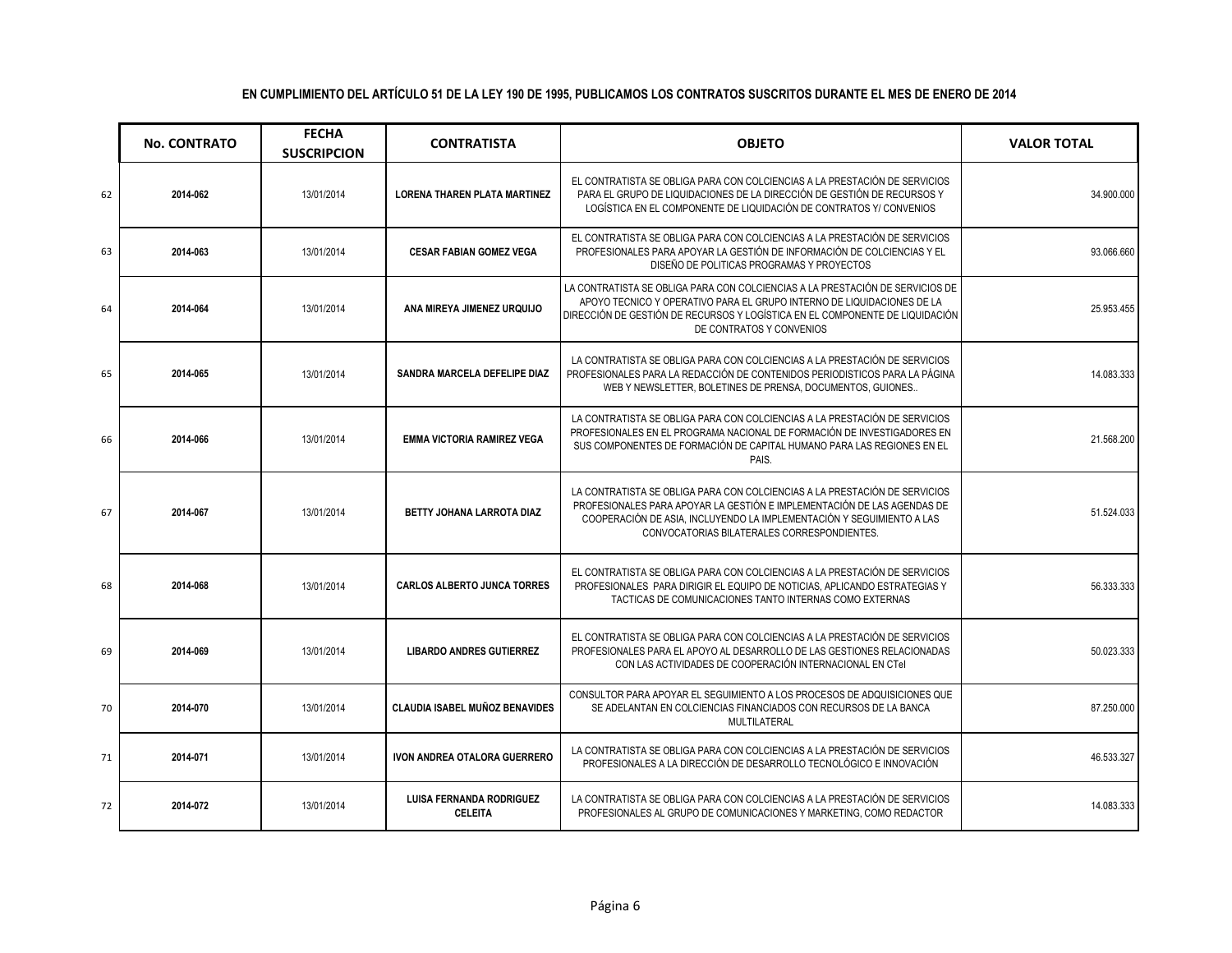|    | <b>No. CONTRATO</b> | <b>FECHA</b><br><b>SUSCRIPCION</b> | <b>CONTRATISTA</b>                                | <b>OBJETO</b>                                                                                                                                                                                                                                                                 | <b>VALOR TOTAL</b> |
|----|---------------------|------------------------------------|---------------------------------------------------|-------------------------------------------------------------------------------------------------------------------------------------------------------------------------------------------------------------------------------------------------------------------------------|--------------------|
| 62 | 2014-062            | 13/01/2014                         | <b>LORENA THAREN PLATA MARTINEZ</b>               | EL CONTRATISTA SE OBLIGA PARA CON COLCIENCIAS A LA PRESTACIÓN DE SERVICIOS<br>PARA EL GRUPO DE LIQUIDACIONES DE LA DIRECCIÓN DE GESTIÓN DE RECURSOS Y<br>LOGÍSTICA EN EL COMPONENTE DE LIQUIDACIÓN DE CONTRATOS Y/ CONVENIOS                                                  | 34.900.000         |
| 63 | 2014-063            | 13/01/2014                         | <b>CESAR FABIAN GOMEZ VEGA</b>                    | EL CONTRATISTA SE OBLIGA PARA CON COLCIENCIAS A LA PRESTACIÓN DE SERVICIOS<br>PROFESIONALES PARA APOYAR LA GESTIÓN DE INFORMACIÓN DE COLCIENCIAS Y EL<br>DISEÑO DE POLITICAS PROGRAMAS Y PROYECTOS                                                                            | 93.066.660         |
| 64 | 2014-064            | 13/01/2014                         | ANA MIREYA JIMENEZ URQUIJO                        | LA CONTRATISTA SE OBLIGA PARA CON COLCIENCIAS A LA PRESTACIÓN DE SERVICIOS DE<br>APOYO TECNICO Y OPERATIVO PARA EL GRUPO INTERNO DE LIQUIDACIONES DE LA<br>DIRECCIÓN DE GESTIÓN DE RECURSOS Y LOGÍSTICA EN EL COMPONENTE DE LIQUIDACIÓN<br>DE CONTRATOS Y CONVENIOS           | 25.953.455         |
| 65 | 2014-065            | 13/01/2014                         | SANDRA MARCELA DEFELIPE DIAZ                      | LA CONTRATISTA SE OBLIGA PARA CON COLCIENCIAS A LA PRESTACIÓN DE SERVICIOS<br>PROFESIONALES PARA LA REDACCIÓN DE CONTENIDOS PERIODISTICOS PARA LA PÁGINA<br>WEB Y NEWSLETTER, BOLETINES DE PRENSA, DOCUMENTOS, GUIONES                                                        | 14.083.333         |
| 66 | 2014-066            | 13/01/2014                         | <b>EMMA VICTORIA RAMIREZ VEGA</b>                 | LA CONTRATISTA SE OBLIGA PARA CON COLCIENCIAS A LA PRESTACIÓN DE SERVICIOS<br>PROFESIONALES EN EL PROGRAMA NACIONAL DE FORMACIÓN DE INVESTIGADORES EN<br>SUS COMPONENTES DE FORMACIÓN DE CAPITAL HUMANO PARA LAS REGIONES EN EL<br>PAIS.                                      | 21.568.200         |
| 67 | 2014-067            | 13/01/2014                         | BETTY JOHANA LARROTA DIAZ                         | LA CONTRATISTA SE OBLIGA PARA CON COLCIENCIAS A LA PRESTACIÓN DE SERVICIOS<br>PROFESIONALES PARA APOYAR LA GESTIÓN E IMPLEMENTACIÓN DE LAS AGENDAS DE<br>COOPERACIÓN DE ASIA, INCLUYENDO LA IMPLEMENTACIÓN Y SEGUIMIENTO A LAS<br>CONVOCATORIAS BILATERALES CORRESPONDIENTES. | 51.524.033         |
| 68 | 2014-068            | 13/01/2014                         | <b>CARLOS ALBERTO JUNCA TORRES</b>                | EL CONTRATISTA SE OBLIGA PARA CON COLCIENCIAS A LA PRESTACIÓN DE SERVICIOS<br>PROFESIONALES PARA DIRIGIR EL EQUIPO DE NOTICIAS, APLICANDO ESTRATEGIAS Y<br>TACTICAS DE COMUNICACIONES TANTO INTERNAS COMO EXTERNAS                                                            | 56.333.333         |
| 69 | 2014-069            | 13/01/2014                         | <b>LIBARDO ANDRES GUTIERREZ</b>                   | EL CONTRATISTA SE OBLIGA PARA CON COLCIENCIAS A LA PRESTACIÓN DE SERVICIOS<br>PROFESIONALES PARA EL APOYO AL DESARROLLO DE LAS GESTIONES RELACIONADAS<br>CON LAS ACTIVIDADES DE COOPERACIÓN INTERNACIONAL EN CTel                                                             | 50.023.333         |
| 70 | 2014-070            | 13/01/2014                         | <b>CLAUDIA ISABEL MUÑOZ BENAVIDES</b>             | CONSULTOR PARA APOYAR EL SEGUIMIENTO A LOS PROCESOS DE ADQUISICIONES QUE<br>SE ADELANTAN EN COLCIENCIAS FINANCIADOS CON RECURSOS DE LA BANCA<br>MULTILATERAL                                                                                                                  | 87.250.000         |
| 71 | 2014-071            | 13/01/2014                         | <b>IVON ANDREA OTALORA GUERRERO</b>               | LA CONTRATISTA SE OBLIGA PARA CON COLCIENCIAS A LA PRESTACIÓN DE SERVICIOS<br>PROFESIONALES A LA DIRECCIÓN DE DESARROLLO TECNOLÓGICO E INNOVACIÓN                                                                                                                             | 46.533.327         |
| 72 | 2014-072            | 13/01/2014                         | <b>LUISA FERNANDA RODRIGUEZ</b><br><b>CELEITA</b> | LA CONTRATISTA SE OBLIGA PARA CON COLCIENCIAS A LA PRESTACIÓN DE SERVICIOS<br>PROFESIONALES AL GRUPO DE COMUNICACIONES Y MARKETING, COMO REDACTOR                                                                                                                             | 14.083.333         |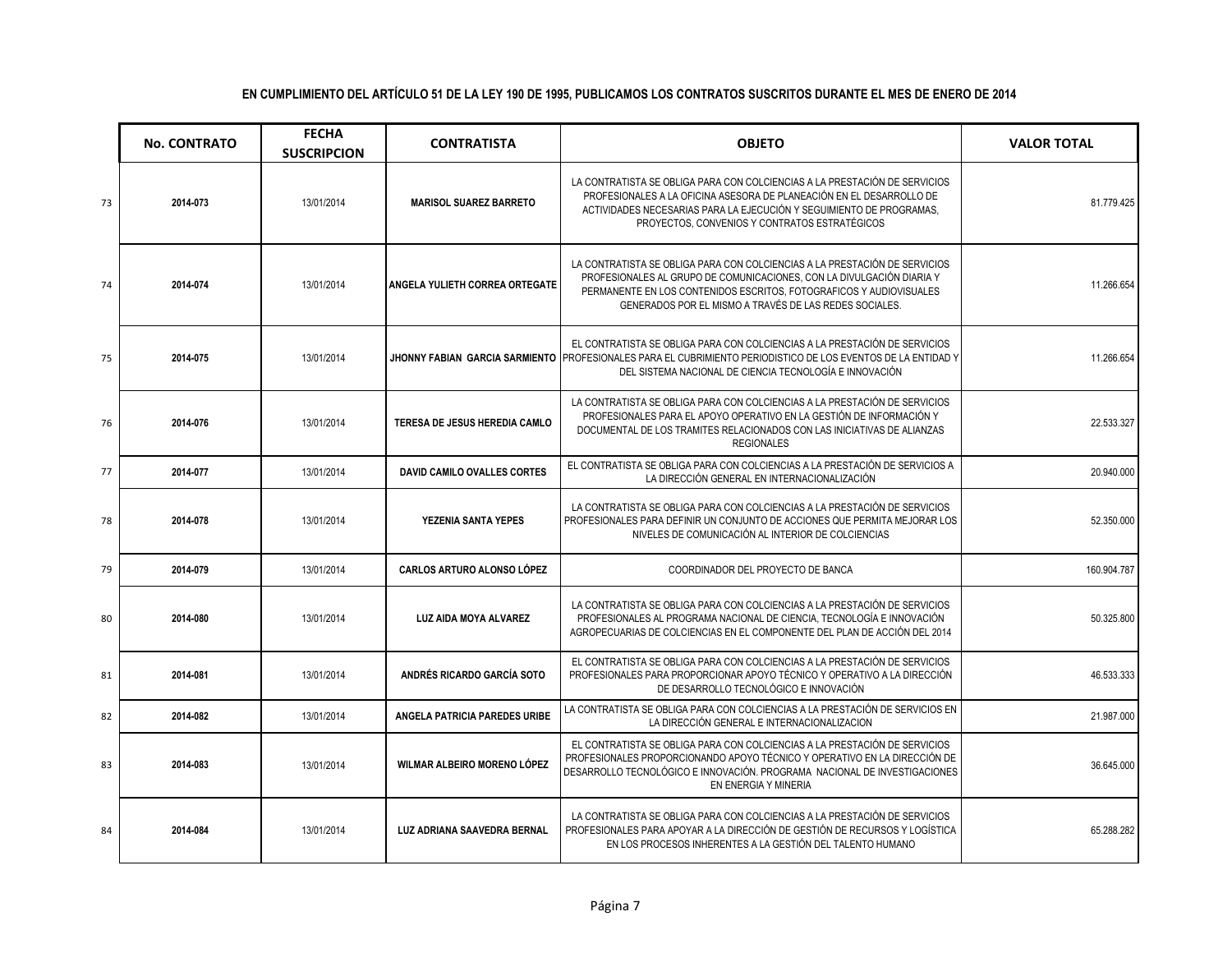|    | <b>No. CONTRATO</b> | <b>FECHA</b><br><b>SUSCRIPCION</b> | <b>CONTRATISTA</b>                | <b>OBJETO</b>                                                                                                                                                                                                                                                                        | <b>VALOR TOTAL</b> |
|----|---------------------|------------------------------------|-----------------------------------|--------------------------------------------------------------------------------------------------------------------------------------------------------------------------------------------------------------------------------------------------------------------------------------|--------------------|
| 73 | 2014-073            | 13/01/2014                         | <b>MARISOL SUAREZ BARRETO</b>     | LA CONTRATISTA SE OBLIGA PARA CON COLCIENCIAS A LA PRESTACIÓN DE SERVICIOS<br>PROFESIONALES A LA OFICINA ASESORA DE PLANEACIÓN EN EL DESARROLLO DE<br>ACTIVIDADES NECESARIAS PARA LA EJECUCIÓN Y SEGUIMIENTO DE PROGRAMAS,<br>PROYECTOS, CONVENIOS Y CONTRATOS ESTRATÉGICOS          | 81.779.425         |
| 74 | 2014-074            | 13/01/2014                         | ANGELA YULIETH CORREA ORTEGATE    | LA CONTRATISTA SE OBLIGA PARA CON COLCIENCIAS A LA PRESTACIÓN DE SERVICIOS<br>PROFESIONALES AL GRUPO DE COMUNICACIONES, CON LA DIVULGACIÓN DIARIA Y<br>PERMANENTE EN LOS CONTENIDOS ESCRITOS, FOTOGRAFICOS Y AUDIOVISUALES<br>GENERADOS POR EL MISMO A TRAVÉS DE LAS REDES SOCIALES. | 11.266.654         |
| 75 | 2014-075            | 13/01/2014                         |                                   | EL CONTRATISTA SE OBLIGA PARA CON COLCIENCIAS A LA PRESTACIÓN DE SERVICIOS<br>JHONNY FABIAN GARCIA SARMIENTO PROFESIONALES PARA EL CUBRIMIENTO PERIODISTICO DE LOS EVENTOS DE LA ENTIDAD Y<br>DEL SISTEMA NACIONAL DE CIENCIA TECNOLOGÍA E INNOVACIÓN                                | 11.266.654         |
| 76 | 2014-076            | 13/01/2014                         | TERESA DE JESUS HEREDIA CAMLO     | LA CONTRATISTA SE OBLIGA PARA CON COLCIENCIAS A LA PRESTACIÓN DE SERVICIOS<br>PROFESIONALES PARA EL APOYO OPERATIVO EN LA GESTIÓN DE INFORMACIÓN Y<br>DOCUMENTAL DE LOS TRAMITES RELACIONADOS CON LAS INICIATIVAS DE ALIANZAS<br><b>REGIONALES</b>                                   | 22.533.327         |
| 77 | 2014-077            | 13/01/2014                         | DAVID CAMILO OVALLES CORTES       | EL CONTRATISTA SE OBLIGA PARA CON COLCIENCIAS A LA PRESTACIÓN DE SERVICIOS A<br>LA DIRECCIÓN GENERAL EN INTERNACIONALIZACIÓN                                                                                                                                                         | 20.940.000         |
| 78 | 2014-078            | 13/01/2014                         | YEZENIA SANTA YEPES               | LA CONTRATISTA SE OBLIGA PARA CON COLCIENCIAS A LA PRESTACIÓN DE SERVICIOS<br>PROFESIONALES PARA DEFINIR UN CONJUNTO DE ACCIONES QUE PERMITA MEJORAR LOS<br>NIVELES DE COMUNICACIÓN AL INTERIOR DE COLCIENCIAS                                                                       | 52.350.000         |
| 79 | 2014-079            | 13/01/2014                         | <b>CARLOS ARTURO ALONSO LÓPEZ</b> | COORDINADOR DEL PROYECTO DE BANCA                                                                                                                                                                                                                                                    | 160.904.787        |
| 80 | 2014-080            | 13/01/2014                         | <b>LUZ AIDA MOYA ALVAREZ</b>      | LA CONTRATISTA SE OBLIGA PARA CON COLCIENCIAS A LA PRESTACIÓN DE SERVICIOS<br>PROFESIONALES AL PROGRAMA NACIONAL DE CIENCIA, TECNOLOGÍA E INNOVACIÓN<br>AGROPECUARIAS DE COLCIENCIAS EN EL COMPONENTE DEL PLAN DE ACCIÓN DEL 2014                                                    | 50.325.800         |
| 81 | 2014-081            | 13/01/2014                         | ANDRÉS RICARDO GARCÍA SOTO        | EL CONTRATISTA SE OBLIGA PARA CON COLCIENCIAS A LA PRESTACIÓN DE SERVICIOS<br>PROFESIONALES PARA PROPORCIONAR APOYO TÉCNICO Y OPERATIVO A LA DIRECCIÓN<br>DE DESARROLLO TECNOLÓGICO E INNOVACIÓN                                                                                     | 46.533.333         |
| 82 | 2014-082            | 13/01/2014                         | ANGELA PATRICIA PAREDES URIBE     | LA CONTRATISTA SE OBLIGA PARA CON COLCIENCIAS A LA PRESTACIÓN DE SERVICIOS EN<br>LA DIRECCIÓN GENERAL E INTERNACIONALIZACION                                                                                                                                                         | 21.987.000         |
| 83 | 2014-083            | 13/01/2014                         | WILMAR ALBEIRO MORENO LÓPEZ       | EL CONTRATISTA SE OBLIGA PARA CON COLCIENCIAS A LA PRESTACIÓN DE SERVICIOS<br>PROFESIONALES PROPORCIONANDO APOYO TÉCNICO Y OPERATIVO EN LA DIRECCIÓN DE<br>DESARROLLO TECNOLÓGICO E INNOVACIÓN. PROGRAMA NACIONAL DE INVESTIGACIONES<br>EN ENERGIA Y MINERIA                         | 36.645.000         |
| 84 | 2014-084            | 13/01/2014                         | LUZ ADRIANA SAAVEDRA BERNAL       | LA CONTRATISTA SE OBLIGA PARA CON COLCIENCIAS A LA PRESTACIÓN DE SERVICIOS<br>PROFESIONALES PARA APOYAR A LA DIRECCIÓN DE GESTIÓN DE RECURSOS Y LOGÍSTICA<br>EN LOS PROCESOS INHERENTES A LA GESTIÓN DEL TALENTO HUMANO                                                              | 65.288.282         |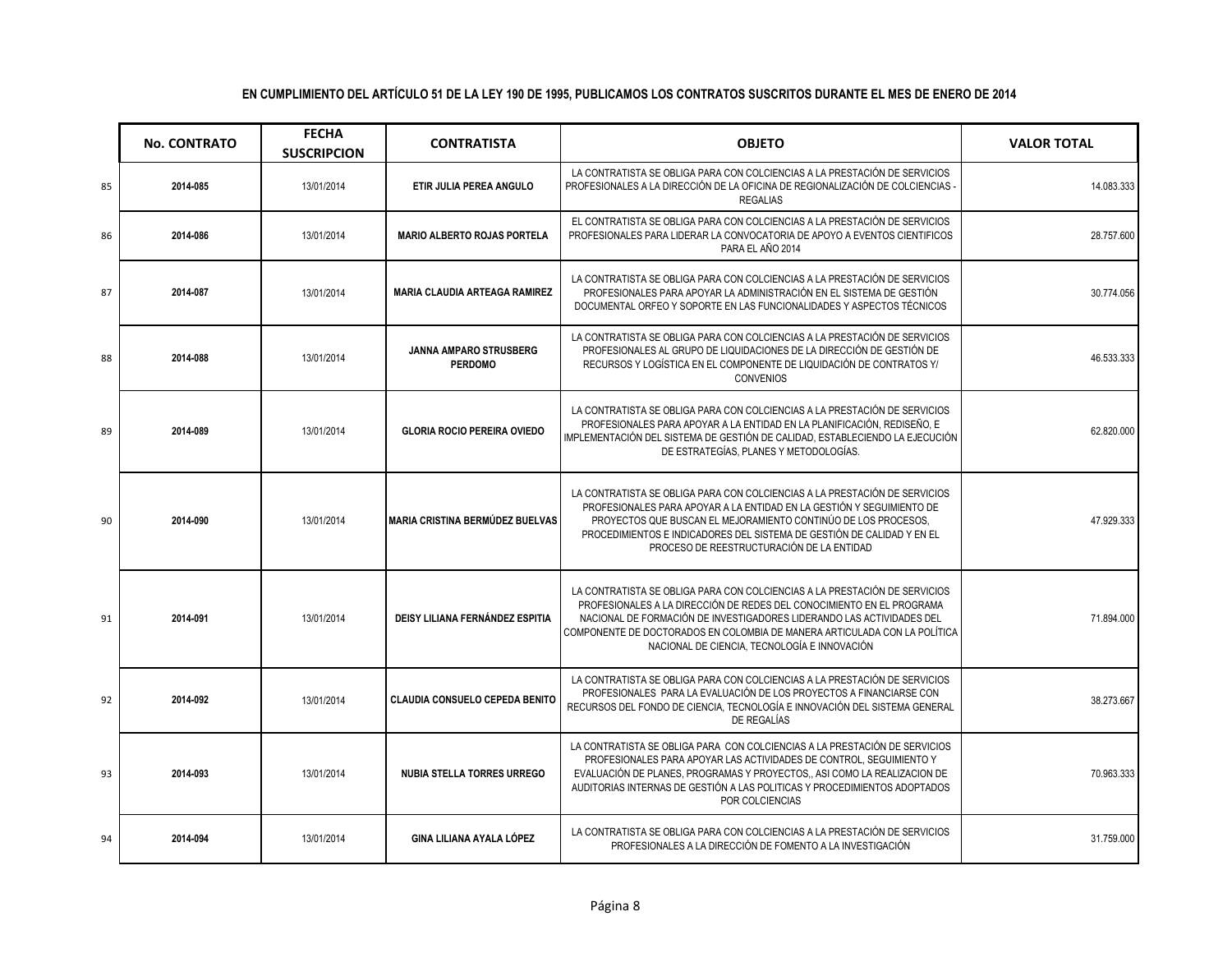|    | <b>No. CONTRATO</b> | <b>FECHA</b><br><b>SUSCRIPCION</b> | <b>CONTRATISTA</b>                       | <b>OBJETO</b>                                                                                                                                                                                                                                                                                                                                             | <b>VALOR TOTAL</b> |
|----|---------------------|------------------------------------|------------------------------------------|-----------------------------------------------------------------------------------------------------------------------------------------------------------------------------------------------------------------------------------------------------------------------------------------------------------------------------------------------------------|--------------------|
| 85 | 2014-085            | 13/01/2014                         | ETIR JULIA PEREA ANGULO                  | LA CONTRATISTA SE OBLIGA PARA CON COLCIENCIAS A LA PRESTACIÓN DE SERVICIOS<br>PROFESIONALES A LA DIRECCIÓN DE LA OFICINA DE REGIONALIZACIÓN DE COLCIENCIAS<br><b>REGALIAS</b>                                                                                                                                                                             | 14.083.333         |
| 86 | 2014-086            | 13/01/2014                         | <b>MARIO ALBERTO ROJAS PORTELA</b>       | EL CONTRATISTA SE OBLIGA PARA CON COLCIENCIAS A LA PRESTACIÓN DE SERVICIOS<br>PROFESIONALES PARA LIDERAR LA CONVOCATORIA DE APOYO A EVENTOS CIENTIFICOS<br>PARA EL AÑO 2014                                                                                                                                                                               | 28.757.600         |
| 87 | 2014-087            | 13/01/2014                         | <b>MARIA CLAUDIA ARTEAGA RAMIREZ</b>     | LA CONTRATISTA SE OBLIGA PARA CON COLCIENCIAS A LA PRESTACIÓN DE SERVICIOS<br>PROFESIONALES PARA APOYAR LA ADMINISTRACIÓN EN EL SISTEMA DE GESTIÓN<br>DOCUMENTAL ORFEO Y SOPORTE EN LAS FUNCIONALIDADES Y ASPECTOS TÉCNICOS                                                                                                                               | 30.774.056         |
| 88 | 2014-088            | 13/01/2014                         | JANNA AMPARO STRUSBERG<br><b>PERDOMO</b> | LA CONTRATISTA SE OBLIGA PARA CON COLCIENCIAS A LA PRESTACIÓN DE SERVICIOS<br>PROFESIONALES AL GRUPO DE LIQUIDACIONES DE LA DIRECCIÓN DE GESTIÓN DE<br>RECURSOS Y LOGÍSTICA EN EL COMPONENTE DE LIQUIDACIÓN DE CONTRATOS Y/<br><b>CONVENIOS</b>                                                                                                           | 46.533.333         |
| 89 | 2014-089            | 13/01/2014                         | <b>GLORIA ROCIO PEREIRA OVIEDO</b>       | LA CONTRATISTA SE OBLIGA PARA CON COLCIENCIAS A LA PRESTACIÓN DE SERVICIOS<br>PROFESIONALES PARA APOYAR A LA ENTIDAD EN LA PLANIFICACIÓN, REDISEÑO, E<br>IMPLEMENTACIÓN DEL SISTEMA DE GESTIÓN DE CALIDAD, ESTABLECIENDO LA EJECUCIÓN<br>DE ESTRATEGÍAS. PLANES Y METODOLOGÍAS.                                                                           | 62.820.000         |
| 90 | 2014-090            | 13/01/2014                         | <b>MARIA CRISTINA BERMÚDEZ BUELVAS</b>   | LA CONTRATISTA SE OBLIGA PARA CON COLCIENCIAS A LA PRESTACIÓN DE SERVICIOS<br>PROFESIONALES PARA APOYAR A LA ENTIDAD EN LA GESTIÓN Y SEGUIMIENTO DE<br>PROYECTOS QUE BUSCAN EL MEJORAMIENTO CONTINÚO DE LOS PROCESOS.<br>PROCEDIMIENTOS E INDICADORES DEL SISTEMA DE GESTIÓN DE CALIDAD Y EN EL<br>PROCESO DE REESTRUCTURACIÓN DE LA ENTIDAD              | 47.929.333         |
| 91 | 2014-091            | 13/01/2014                         | DEISY LILIANA FERNÁNDEZ ESPITIA          | LA CONTRATISTA SE OBLIGA PARA CON COLCIENCIAS A LA PRESTACIÓN DE SERVICIOS<br>PROFESIONALES A LA DIRECCIÓN DE REDES DEL CONOCIMIENTO EN EL PROGRAMA<br>NACIONAL DE FORMACIÓN DE INVESTIGADORES LIDERANDO LAS ACTIVIDADES DEL<br>COMPONENTE DE DOCTORADOS EN COLOMBIA DE MANERA ARTICULADA CON LA POLÍTICA<br>NACIONAL DE CIENCIA. TECNOLOGÍA E INNOVACIÓN | 71.894.000         |
| 92 | 2014-092            | 13/01/2014                         | <b>CLAUDIA CONSUELO CEPEDA BENITO</b>    | LA CONTRATISTA SE OBLIGA PARA CON COLCIENCIAS A LA PRESTACIÓN DE SERVICIOS<br>PROFESIONALES PARA LA EVALUACIÓN DE LOS PROYECTOS A FINANCIARSE CON<br>RECURSOS DEL FONDO DE CIENCIA, TECNOLOGÍA E INNOVACIÓN DEL SISTEMA GENERAL<br>DE REGALÍAS                                                                                                            | 38.273.667         |
| 93 | 2014-093            | 13/01/2014                         | <b>NUBIA STELLA TORRES URREGO</b>        | LA CONTRATISTA SE OBLIGA PARA CON COLCIENCIAS A LA PRESTACIÓN DE SERVICIOS<br>PROFESIONALES PARA APOYAR LAS ACTIVIDADES DE CONTROL, SEGUIMIENTO Y<br>EVALUACIÓN DE PLANES, PROGRAMAS Y PROYECTOS., ASI COMO LA REALIZACION DE<br>AUDITORIAS INTERNAS DE GESTIÓN A LAS POLITICAS Y PROCEDIMIENTOS ADOPTADOS<br>POR COLCIENCIAS                             | 70.963.333         |
| 94 | 2014-094            | 13/01/2014                         | GINA LILIANA AYALA LÓPEZ                 | LA CONTRATISTA SE OBLIGA PARA CON COLCIENCIAS A LA PRESTACIÓN DE SERVICIOS<br>PROFESIONALES A LA DIRECCIÓN DE FOMENTO A LA INVESTIGACIÓN                                                                                                                                                                                                                  | 31.759.000         |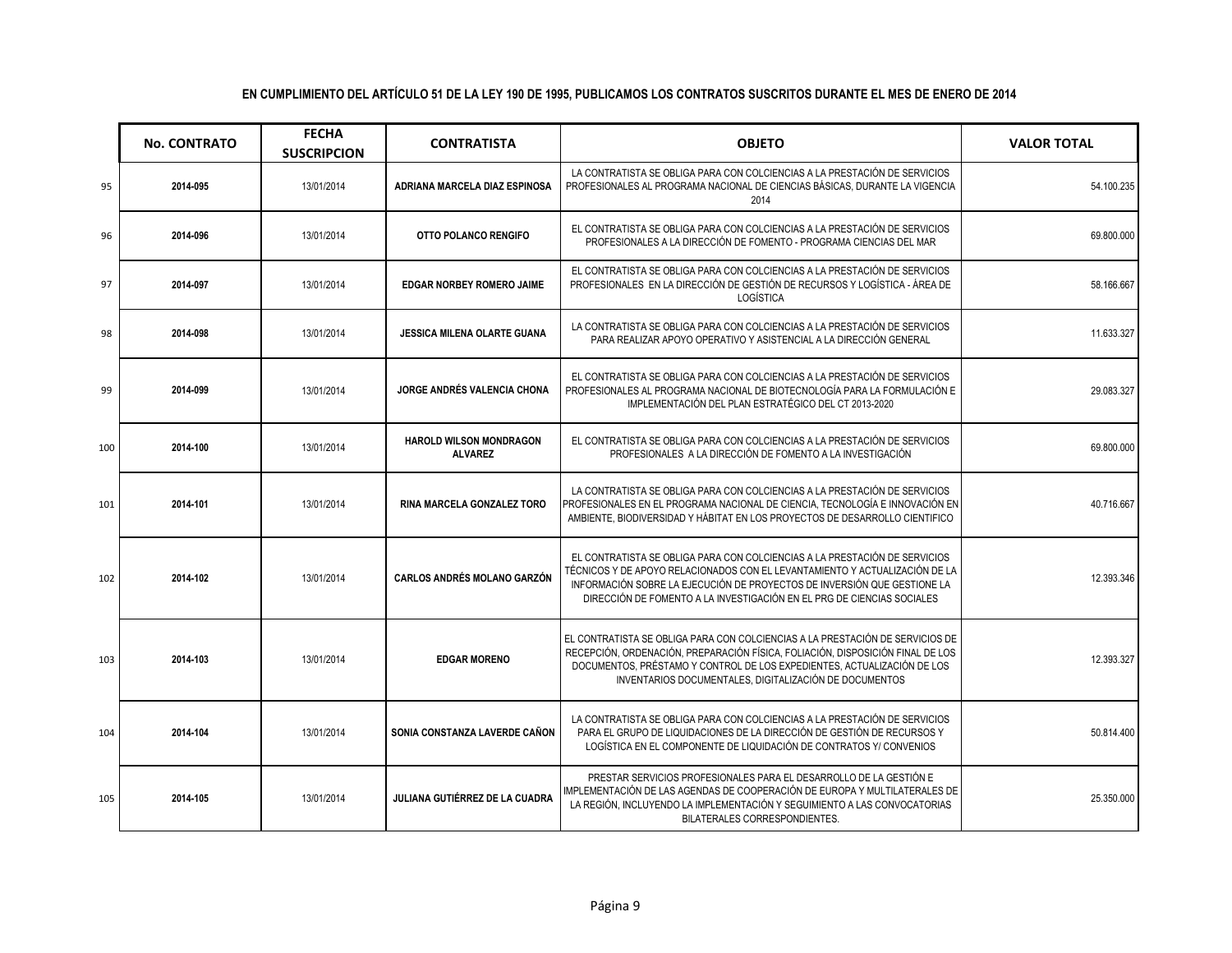|     | <b>No. CONTRATO</b> | <b>FECHA</b><br><b>SUSCRIPCION</b> | <b>CONTRATISTA</b>                               | <b>OBJETO</b>                                                                                                                                                                                                                                                                                                   | <b>VALOR TOTAL</b> |
|-----|---------------------|------------------------------------|--------------------------------------------------|-----------------------------------------------------------------------------------------------------------------------------------------------------------------------------------------------------------------------------------------------------------------------------------------------------------------|--------------------|
| 95  | 2014-095            | 13/01/2014                         | ADRIANA MARCELA DIAZ ESPINOSA                    | LA CONTRATISTA SE OBLIGA PARA CON COLCIENCIAS A LA PRESTACIÓN DE SERVICIOS<br>PROFESIONALES AL PROGRAMA NACIONAL DE CIENCIAS BÁSICAS, DURANTE LA VIGENCIA<br>2014                                                                                                                                               | 54.100.235         |
| 96  | 2014-096            | 13/01/2014                         | OTTO POLANCO RENGIFO                             | EL CONTRATISTA SE OBLIGA PARA CON COLCIENCIAS A LA PRESTACIÓN DE SERVICIOS<br>PROFESIONALES A LA DIRECCIÓN DE FOMENTO - PROGRAMA CIENCIAS DEL MAR                                                                                                                                                               | 69.800.000         |
| 97  | 2014-097            | 13/01/2014                         | <b>EDGAR NORBEY ROMERO JAIME</b>                 | EL CONTRATISTA SE OBLIGA PARA CON COLCIENCIAS A LA PRESTACIÓN DE SERVICIOS<br>PROFESIONALES EN LA DIRECCIÓN DE GESTIÓN DE RECURSOS Y LOGÍSTICA - ÁREA DE<br>LOGÍSTICA                                                                                                                                           | 58.166.667         |
| 98  | 2014-098            | 13/01/2014                         | <b>JESSICA MILENA OLARTE GUANA</b>               | LA CONTRATISTA SE OBLIGA PARA CON COLCIENCIAS A LA PRESTACIÓN DE SERVICIOS<br>PARA REALIZAR APOYO OPERATIVO Y ASISTENCIAL A LA DIRECCIÓN GENERAL                                                                                                                                                                | 11.633.327         |
| 99  | 2014-099            | 13/01/2014                         | <b>JORGE ANDRÉS VALENCIA CHONA</b>               | EL CONTRATISTA SE OBLIGA PARA CON COLCIENCIAS A LA PRESTACIÓN DE SERVICIOS<br>PROFESIONALES AL PROGRAMA NACIONAL DE BIOTECNOLOGÍA PARA LA FORMULACIÓN E<br>IMPLEMENTACIÓN DEL PLAN ESTRATÉGICO DEL CT 2013-2020                                                                                                 | 29.083.327         |
| 100 | 2014-100            | 13/01/2014                         | <b>HAROLD WILSON MONDRAGON</b><br><b>ALVAREZ</b> | EL CONTRATISTA SE OBLIGA PARA CON COLCIENCIAS A LA PRESTACIÓN DE SERVICIOS<br>PROFESIONALES A LA DIRECCIÓN DE FOMENTO A LA INVESTIGACIÓN                                                                                                                                                                        | 69.800.000         |
| 101 | 2014-101            | 13/01/2014                         | RINA MARCELA GONZALEZ TORO                       | LA CONTRATISTA SE OBLIGA PARA CON COLCIENCIAS A LA PRESTACIÓN DE SERVICIOS<br>PROFESIONALES EN EL PROGRAMA NACIONAL DE CIENCIA, TECNOLOGÍA E INNOVACIÓN EN<br>AMBIENTE, BIODIVERSIDAD Y HÁBITAT EN LOS PROYECTOS DE DESARROLLO CIENTIFICO                                                                       | 40.716.667         |
| 102 | 2014-102            | 13/01/2014                         | <b>CARLOS ANDRÉS MOLANO GARZÓN</b>               | EL CONTRATISTA SE OBLIGA PARA CON COLCIENCIAS A LA PRESTACIÓN DE SERVICIOS<br>TÉCNICOS Y DE APOYO RELACIONADOS CON EL LEVANTAMIENTO Y ACTUALIZACIÓN DE LA<br>INFORMACIÓN SOBRE LA EJECUCIÓN DE PROYECTOS DE INVERSIÓN QUE GESTIONE LA<br>DIRECCIÓN DE FOMENTO A LA INVESTIGACIÓN EN EL PRG DE CIENCIAS SOCIALES | 12.393.346         |
| 103 | 2014-103            | 13/01/2014                         | <b>EDGAR MORENO</b>                              | EL CONTRATISTA SE OBLIGA PARA CON COLCIENCIAS A LA PRESTACIÓN DE SERVICIOS DE<br>RECEPCIÓN, ORDENACIÓN, PREPARACIÓN FÍSICA, FOLIACIÓN, DISPOSICIÓN FINAL DE LOS<br>DOCUMENTOS, PRÉSTAMO Y CONTROL DE LOS EXPEDIENTES, ACTUALIZACIÓN DE LOS<br>INVENTARIOS DOCUMENTALES, DIGITALIZACIÓN DE DOCUMENTOS            | 12.393.327         |
| 104 | 2014-104            | 13/01/2014                         | SONIA CONSTANZA LAVERDE CAÑON                    | LA CONTRATISTA SE OBLIGA PARA CON COLCIENCIAS A LA PRESTACIÓN DE SERVICIOS<br>PARA EL GRUPO DE LIQUIDACIONES DE LA DIRECCIÓN DE GESTIÓN DE RECURSOS Y<br>LOGÍSTICA EN EL COMPONENTE DE LIQUIDACIÓN DE CONTRATOS Y/ CONVENIOS                                                                                    | 50.814.400         |
| 105 | 2014-105            | 13/01/2014                         | JULIANA GUTIÉRREZ DE LA CUADRA                   | PRESTAR SERVICIOS PROFESIONALES PARA EL DESARROLLO DE LA GESTIÓN E<br>IMPLEMENTACIÓN DE LAS AGENDAS DE COOPERACIÓN DE EUROPA Y MULTILATERALES DE<br>LA REGIÓN, INCLUYENDO LA IMPLEMENTACIÓN Y SEGUIMIENTO A LAS CONVOCATORIAS<br>BILATERALES CORRESPONDIENTES.                                                  | 25.350.000         |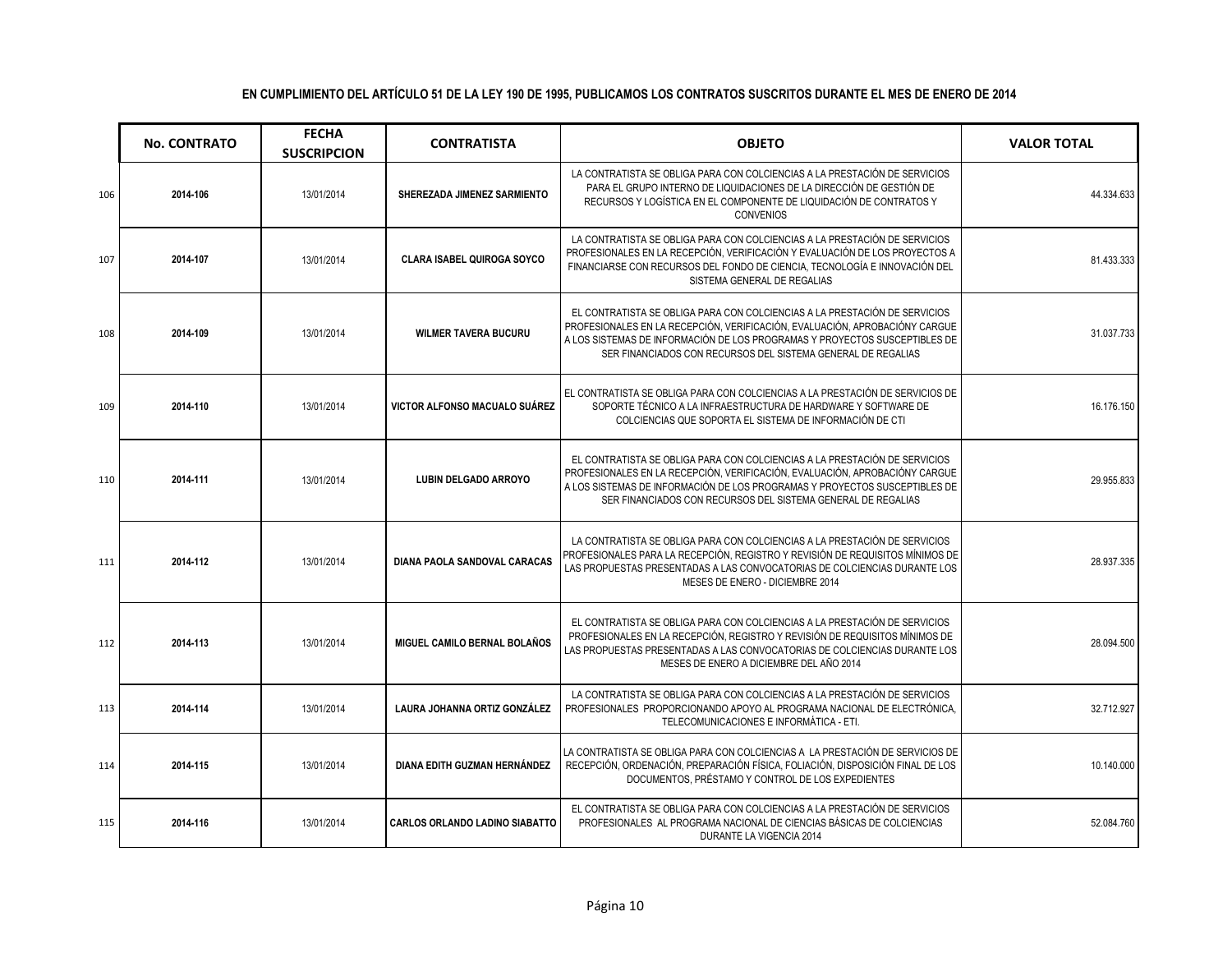|     | <b>No. CONTRATO</b> | <b>FECHA</b><br><b>SUSCRIPCION</b> | <b>CONTRATISTA</b>                    | <b>OBJETO</b>                                                                                                                                                                                                                                                                                           | <b>VALOR TOTAL</b> |
|-----|---------------------|------------------------------------|---------------------------------------|---------------------------------------------------------------------------------------------------------------------------------------------------------------------------------------------------------------------------------------------------------------------------------------------------------|--------------------|
| 106 | 2014-106            | 13/01/2014                         | SHEREZADA JIMENEZ SARMIENTO           | LA CONTRATISTA SE OBLIGA PARA CON COLCIENCIAS A LA PRESTACIÓN DE SERVICIOS<br>PARA EL GRUPO INTERNO DE LIQUIDACIONES DE LA DIRECCIÓN DE GESTIÓN DE<br>RECURSOS Y LOGÍSTICA EN EL COMPONENTE DE LIQUIDACIÓN DE CONTRATOS Y<br><b>CONVENIOS</b>                                                           | 44.334.633         |
| 107 | 2014-107            | 13/01/2014                         | <b>CLARA ISABEL QUIROGA SOYCO</b>     | LA CONTRATISTA SE OBLIGA PARA CON COLCIENCIAS A LA PRESTACIÓN DE SERVICIOS<br>PROFESIONALES EN LA RECEPCIÓN, VERIFICACIÓN Y EVALUACIÓN DE LOS PROYECTOS A<br>FINANCIARSE CON RECURSOS DEL FONDO DE CIENCIA, TECNOLOGÍA E INNOVACIÓN DEL<br>SISTEMA GENERAL DE REGALIAS                                  | 81.433.333         |
| 108 | 2014-109            | 13/01/2014                         | <b>WILMER TAVERA BUCURU</b>           | EL CONTRATISTA SE OBLIGA PARA CON COLCIENCIAS A LA PRESTACIÓN DE SERVICIOS<br>PROFESIONALES EN LA RECEPCIÓN, VERIFICACIÓN, EVALUACIÓN, APROBACIÓNY CARGUE<br>A LOS SISTEMAS DE INFORMACIÓN DE LOS PROGRAMAS Y PROYECTOS SUSCEPTIBLES DE<br>SER FINANCIADOS CON RECURSOS DEL SISTEMA GENERAL DE REGALIAS | 31.037.733         |
| 109 | 2014-110            | 13/01/2014                         | VICTOR ALFONSO MACUALO SUÁREZ         | EL CONTRATISTA SE OBLIGA PARA CON COLCIENCIAS A LA PRESTACIÓN DE SERVICIOS DE<br>SOPORTE TÉCNICO A LA INFRAESTRUCTURA DE HARDWARE Y SOFTWARE DE<br>COLCIENCIAS QUE SOPORTA EL SISTEMA DE INFORMACIÓN DE CTI                                                                                             | 16.176.150         |
| 110 | 2014-111            | 13/01/2014                         | <b>LUBIN DELGADO ARROYO</b>           | EL CONTRATISTA SE OBLIGA PARA CON COLCIENCIAS A LA PRESTACIÓN DE SERVICIOS<br>PROFESIONALES EN LA RECEPCIÓN, VERIFICACIÓN, EVALUACIÓN, APROBACIÓNY CARGUE<br>A LOS SISTEMAS DE INFORMACIÓN DE LOS PROGRAMAS Y PROYECTOS SUSCEPTIBLES DE<br>SER FINANCIADOS CON RECURSOS DEL SISTEMA GENERAL DE REGALIAS | 29.955.833         |
| 111 | 2014-112            | 13/01/2014                         | DIANA PAOLA SANDOVAL CARACAS          | LA CONTRATISTA SE OBLIGA PARA CON COLCIENCIAS A LA PRESTACIÓN DE SERVICIOS<br>PROFESIONALES PARA LA RECEPCIÓN. REGISTRO Y REVISIÓN DE REQUISITOS MÍNIMOS DE<br>LAS PROPUESTAS PRESENTADAS A LAS CONVOCATORIAS DE COLCIENCIAS DURANTE LOS<br>MESES DE ENERO - DICIEMBRE 2014                             | 28.937.335         |
| 112 | 2014-113            | 13/01/2014                         | MIGUEL CAMILO BERNAL BOLAÑOS          | EL CONTRATISTA SE OBLIGA PARA CON COLCIENCIAS A LA PRESTACIÓN DE SERVICIOS<br>PROFESIONALES EN LA RECEPCIÓN, REGISTRO Y REVISIÓN DE REQUISITOS MÍNIMOS DE<br>LAS PROPUESTAS PRESENTADAS A LAS CONVOCATORIAS DE COLCIENCIAS DURANTE LOS<br>MESES DE ENERO A DICIEMBRE DEL AÑO 2014                       | 28.094.500         |
| 113 | 2014-114            | 13/01/2014                         | LAURA JOHANNA ORTIZ GONZÁLEZ          | LA CONTRATISTA SE OBLIGA PARA CON COLCIENCIAS A LA PRESTACIÓN DE SERVICIOS<br>PROFESIONALES PROPORCIONANDO APOYO AL PROGRAMA NACIONAL DE ELECTRÓNICA.<br>TELECOMUNICACIONES E INFORMÁTICA - ETI.                                                                                                        | 32.712.927         |
| 114 | 2014-115            | 13/01/2014                         | DIANA EDITH GUZMAN HERNÁNDEZ          | LA CONTRATISTA SE OBLIGA PARA CON COLCIENCIAS A LA PRESTACIÓN DE SERVICIOS DE<br>RECEPCIÓN, ORDENACIÓN, PREPARACIÓN FÍSICA, FOLIACIÓN, DISPOSICIÓN FINAL DE LOS<br>DOCUMENTOS, PRÉSTAMO Y CONTROL DE LOS EXPEDIENTES                                                                                    | 10.140.000         |
| 115 | 2014-116            | 13/01/2014                         | <b>CARLOS ORLANDO LADINO SIABATTO</b> | EL CONTRATISTA SE OBLIGA PARA CON COLCIENCIAS A LA PRESTACIÓN DE SERVICIOS<br>PROFESIONALES AL PROGRAMA NACIONAL DE CIENCIAS BÁSICAS DE COLCIENCIAS<br>DURANTE LA VIGENCIA 2014                                                                                                                         | 52.084.760         |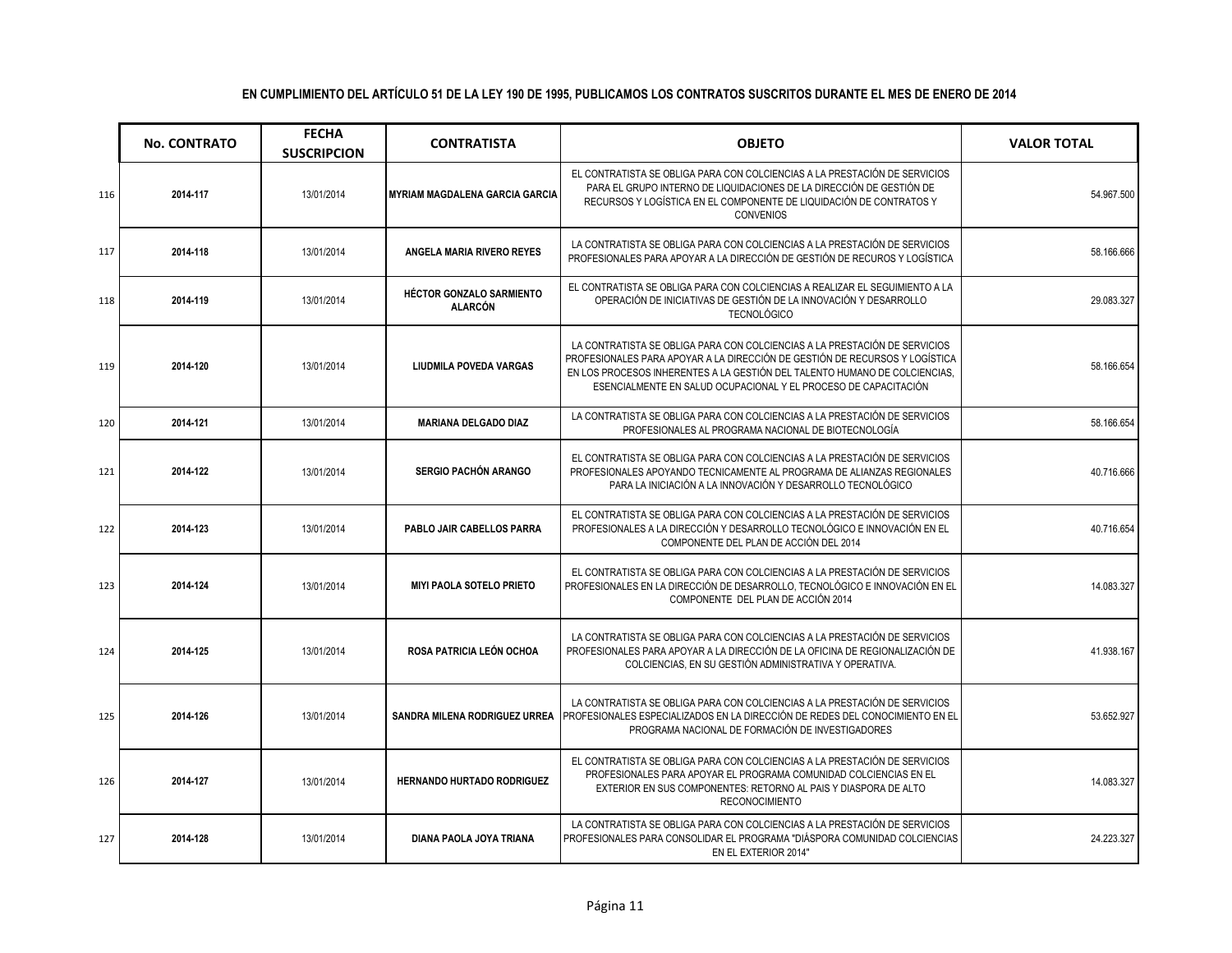|     | <b>No. CONTRATO</b> | <b>FECHA</b><br><b>SUSCRIPCION</b> | <b>CONTRATISTA</b>                         | <b>OBJETO</b>                                                                                                                                                                                                                                                                                              | <b>VALOR TOTAL</b> |
|-----|---------------------|------------------------------------|--------------------------------------------|------------------------------------------------------------------------------------------------------------------------------------------------------------------------------------------------------------------------------------------------------------------------------------------------------------|--------------------|
| 116 | 2014-117            | 13/01/2014                         | <b>MYRIAM MAGDALENA GARCIA GARCIA</b>      | EL CONTRATISTA SE OBLIGA PARA CON COLCIENCIAS A LA PRESTACIÓN DE SERVICIOS<br>PARA EL GRUPO INTERNO DE LIQUIDACIONES DE LA DIRECCIÓN DE GESTIÓN DE<br>RECURSOS Y LOGÍSTICA EN EL COMPONENTE DE LIQUIDACIÓN DE CONTRATOS Y<br><b>CONVENIOS</b>                                                              | 54.967.500         |
| 117 | 2014-118            | 13/01/2014                         | ANGELA MARIA RIVERO REYES                  | LA CONTRATISTA SE OBLIGA PARA CON COLCIENCIAS A LA PRESTACIÓN DE SERVICIOS<br>PROFESIONALES PARA APOYAR A LA DIRECCIÓN DE GESTIÓN DE RECUROS Y LOGÍSTICA                                                                                                                                                   | 58.166.666         |
| 118 | 2014-119            | 13/01/2014                         | HÉCTOR GONZALO SARMIENTO<br><b>ALARCÓN</b> | EL CONTRATISTA SE OBLIGA PARA CON COLCIENCIAS A REALIZAR EL SEGUIMIENTO A LA<br>OPERACIÓN DE INICIATIVAS DE GESTIÓN DE LA INNOVACIÓN Y DESARROLLO<br><b>TECNOLÓGICO</b>                                                                                                                                    | 29.083.327         |
| 119 | 2014-120            | 13/01/2014                         | LIUDMILA POVEDA VARGAS                     | LA CONTRATISTA SE OBLIGA PARA CON COLCIENCIAS A LA PRESTACIÓN DE SERVICIOS<br>PROFESIONALES PARA APOYAR A LA DIRECCIÓN DE GESTIÓN DE RECURSOS Y LOGÍSTICA<br>EN LOS PROCESOS INHERENTES A LA GESTIÓN DEL TALENTO HUMANO DE COLCIENCIAS.<br>ESENCIALMENTE EN SALUD OCUPACIONAL Y EL PROCESO DE CAPACITACIÓN | 58.166.654         |
| 120 | 2014-121            | 13/01/2014                         | <b>MARIANA DELGADO DIAZ</b>                | LA CONTRATISTA SE OBLIGA PARA CON COLCIENCIAS A LA PRESTACIÓN DE SERVICIOS<br>PROFESIONALES AL PROGRAMA NACIONAL DE BIOTECNOLOGÍA                                                                                                                                                                          | 58.166.654         |
| 121 | 2014-122            | 13/01/2014                         | <b>SERGIO PACHÓN ARANGO</b>                | EL CONTRATISTA SE OBLIGA PARA CON COLCIENCIAS A LA PRESTACIÓN DE SERVICIOS<br>PROFESIONALES APOYANDO TECNICAMENTE AL PROGRAMA DE ALIANZAS REGIONALES<br>PARA LA INICIACIÓN A LA INNOVACIÓN Y DESARROLLO TECNOLÓGICO                                                                                        | 40.716.666         |
| 122 | 2014-123            | 13/01/2014                         | PABLO JAIR CABELLOS PARRA                  | EL CONTRATISTA SE OBLIGA PARA CON COLCIENCIAS A LA PRESTACIÓN DE SERVICIOS<br>PROFESIONALES A LA DIRECCIÓN Y DESARROLLO TECNOLÓGICO E INNOVACIÓN EN EL<br>COMPONENTE DEL PLAN DE ACCIÓN DEL 2014                                                                                                           | 40.716.654         |
| 123 | 2014-124            | 13/01/2014                         | <b>MIYI PAOLA SOTELO PRIETO</b>            | EL CONTRATISTA SE OBLIGA PARA CON COLCIENCIAS A LA PRESTACIÓN DE SERVICIOS<br>PROFESIONALES EN LA DIRECCIÓN DE DESARROLLO, TECNOLÓGICO E INNOVACIÓN EN EL<br>COMPONENTE DEL PLAN DE ACCIÓN 2014                                                                                                            | 14.083.327         |
| 124 | 2014-125            | 13/01/2014                         | ROSA PATRICIA LEÓN OCHOA                   | LA CONTRATISTA SE OBLIGA PARA CON COLCIENCIAS A LA PRESTACIÓN DE SERVICIOS<br>PROFESIONALES PARA APOYAR A LA DIRECCIÓN DE LA OFICINA DE REGIONALIZACIÓN DE<br>COLCIENCIAS. EN SU GESTIÓN ADMINISTRATIVA Y OPERATIVA.                                                                                       | 41.938.167         |
| 125 | 2014-126            | 13/01/2014                         | SANDRA MILENA RODRIGUEZ URREA              | LA CONTRATISTA SE OBLIGA PARA CON COLCIENCIAS A LA PRESTACIÓN DE SERVICIOS<br>PROFESIONALES ESPECIALIZADOS EN LA DIRECCIÓN DE REDES DEL CONOCIMIENTO EN EL<br>PROGRAMA NACIONAL DE FORMACIÓN DE INVESTIGADORES                                                                                             | 53.652.927         |
| 126 | 2014-127            | 13/01/2014                         | <b>HERNANDO HURTADO RODRIGUEZ</b>          | EL CONTRATISTA SE OBLIGA PARA CON COLCIENCIAS A LA PRESTACIÓN DE SERVICIOS<br>PROFESIONALES PARA APOYAR EL PROGRAMA COMUNIDAD COLCIENCIAS EN EL<br>EXTERIOR EN SUS COMPONENTES: RETORNO AL PAIS Y DIASPORA DE ALTO<br><b>RECONOCIMIENTO</b>                                                                | 14.083.327         |
| 127 | 2014-128            | 13/01/2014                         | DIANA PAOLA JOYA TRIANA                    | LA CONTRATISTA SE OBLIGA PARA CON COLCIENCIAS A LA PRESTACIÓN DE SERVICIOS<br>PROFESIONALES PARA CONSOLIDAR EL PROGRAMA "DIÁSPORA COMUNIDAD COLCIENCIAS<br>EN EL EXTERIOR 2014"                                                                                                                            | 24.223.327         |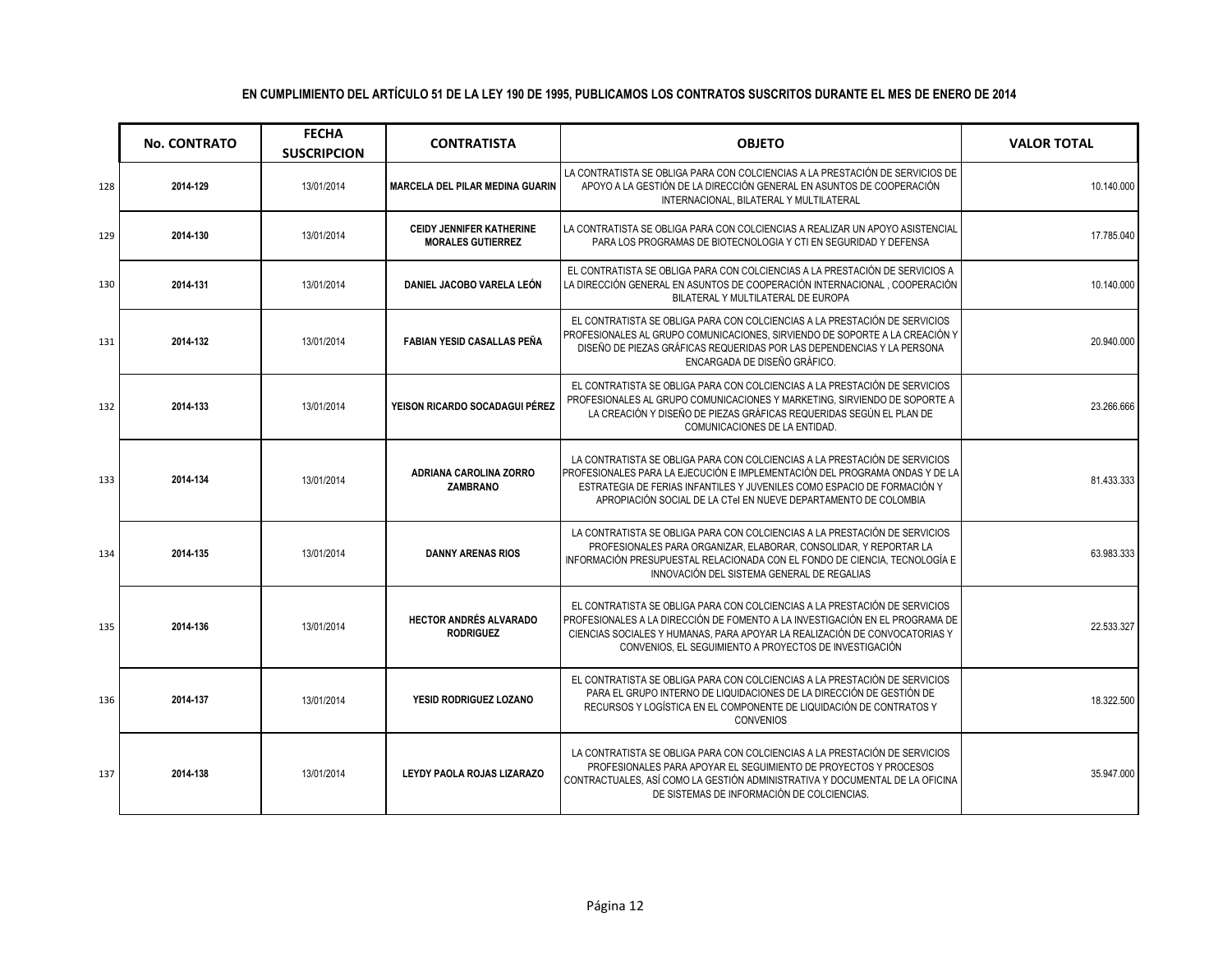|     | <b>No. CONTRATO</b> | <b>FECHA</b><br><b>SUSCRIPCION</b> | <b>CONTRATISTA</b>                                          | <b>OBJETO</b>                                                                                                                                                                                                                                                                                           | <b>VALOR TOTAL</b> |
|-----|---------------------|------------------------------------|-------------------------------------------------------------|---------------------------------------------------------------------------------------------------------------------------------------------------------------------------------------------------------------------------------------------------------------------------------------------------------|--------------------|
| 128 | 2014-129            | 13/01/2014                         | <b>MARCELA DEL PILAR MEDINA GUARIN</b>                      | LA CONTRATISTA SE OBLIGA PARA CON COLCIENCIAS A LA PRESTACIÓN DE SERVICIOS DE<br>APOYO A LA GESTIÓN DE LA DIRECCIÓN GENERAL EN ASUNTOS DE COOPERACIÓN<br>INTERNACIONAL, BILATERAL Y MULTILATERAL                                                                                                        | 10.140.000         |
| 129 | 2014-130            | 13/01/2014                         | <b>CEIDY JENNIFER KATHERINE</b><br><b>MORALES GUTIERREZ</b> | LA CONTRATISTA SE OBLIGA PARA CON COLCIENCIAS A REALIZAR UN APOYO ASISTENCIAL<br>PARA LOS PROGRAMAS DE BIOTECNOLOGIA Y CTI EN SEGURIDAD Y DEFENSA                                                                                                                                                       | 17.785.040         |
| 130 | 2014-131            | 13/01/2014                         | DANIEL JACOBO VARELA LEÓN                                   | EL CONTRATISTA SE OBLIGA PARA CON COLCIENCIAS A LA PRESTACIÓN DE SERVICIOS A<br>LA DIRECCIÓN GENERAL EN ASUNTOS DE COOPERACIÓN INTERNACIONAL, COOPERACIÓN<br>BILATERAL Y MULTILATERAL DE EUROPA                                                                                                         | 10.140.000         |
| 131 | 2014-132            | 13/01/2014                         | <b>FABIAN YESID CASALLAS PEÑA</b>                           | EL CONTRATISTA SE OBLIGA PARA CON COLCIENCIAS A LA PRESTACIÓN DE SERVICIOS<br>PROFESIONALES AL GRUPO COMUNICACIONES, SIRVIENDO DE SOPORTE A LA CREACIÓN Y<br>DISEÑO DE PIEZAS GRÁFICAS REQUERIDAS POR LAS DEPENDENCIAS Y LA PERSONA<br>ENCARGADA DE DISEÑO GRÁFICO.                                     | 20.940.000         |
| 132 | 2014-133            | 13/01/2014                         | YEISON RICARDO SOCADAGUI PÉREZ                              | EL CONTRATISTA SE OBLIGA PARA CON COLCIENCIAS A LA PRESTACIÓN DE SERVICIOS<br>PROFESIONALES AL GRUPO COMUNICACIONES Y MARKETING, SIRVIENDO DE SOPORTE A<br>LA CREACIÓN Y DISEÑO DE PIEZAS GRÁFICAS REQUERIDAS SEGÚN EL PLAN DE<br>COMUNICACIONES DE LA ENTIDAD.                                         | 23.266.666         |
| 133 | 2014-134            | 13/01/2014                         | ADRIANA CAROLINA ZORRO<br><b>ZAMBRANO</b>                   | LA CONTRATISTA SE OBLIGA PARA CON COLCIENCIAS A LA PRESTACIÓN DE SERVICIOS<br>PROFESIONALES PARA LA EJECUCIÓN E IMPLEMENTACIÓN DEL PROGRAMA ONDAS Y DE LA<br>ESTRATEGIA DE FERIAS INFANTILES Y JUVENILES COMO ESPACIO DE FORMACIÓN Y<br>APROPIACIÓN SOCIAL DE LA CTel EN NUEVE DEPARTAMENTO DE COLOMBIA | 81.433.333         |
| 134 | 2014-135            | 13/01/2014                         | <b>DANNY ARENAS RIOS</b>                                    | LA CONTRATISTA SE OBLIGA PARA CON COLCIENCIAS A LA PRESTACIÓN DE SERVICIOS<br>PROFESIONALES PARA ORGANIZAR, ELABORAR, CONSOLIDAR, Y REPORTAR LA<br>INFORMACIÓN PRESUPUESTAL RELACIONADA CON EL FONDO DE CIENCIA, TECNOLOGÍA E<br>INNOVACIÓN DEL SISTEMA GENERAL DE REGALIAS                             | 63.983.333         |
| 135 | 2014-136            | 13/01/2014                         | <b>HECTOR ANDRÉS ALVARADO</b><br><b>RODRIGUEZ</b>           | EL CONTRATISTA SE OBLIGA PARA CON COLCIENCIAS A LA PRESTACIÓN DE SERVICIOS<br>PROFESIONALES A LA DIRECCIÓN DE FOMENTO A LA INVESTIGACIÓN EN EL PROGRAMA DE<br>CIENCIAS SOCIALES Y HUMANAS, PARA APOYAR LA REALIZACIÓN DE CONVOCATORIAS Y<br>CONVENIOS. EL SEGUIMIENTO A PROYECTOS DE INVESTIGACIÓN      | 22.533.327         |
| 136 | 2014-137            | 13/01/2014                         | YESID RODRIGUEZ LOZANO                                      | EL CONTRATISTA SE OBLIGA PARA CON COLCIENCIAS A LA PRESTACIÓN DE SERVICIOS<br>PARA EL GRUPO INTERNO DE LIQUIDACIONES DE LA DIRECCIÓN DE GESTIÓN DE<br>RECURSOS Y LOGÍSTICA EN EL COMPONENTE DE LIQUIDACIÓN DE CONTRATOS Y<br><b>CONVENIOS</b>                                                           | 18.322.500         |
| 137 | 2014-138            | 13/01/2014                         | LEYDY PAOLA ROJAS LIZARAZO                                  | LA CONTRATISTA SE OBLIGA PARA CON COLCIENCIAS A LA PRESTACIÓN DE SERVICIOS<br>PROFESIONALES PARA APOYAR EL SEGUIMIENTO DE PROYECTOS Y PROCESOS<br>CONTRACTUALES, ASÍ COMO LA GESTIÓN ADMINISTRATIVA Y DOCUMENTAL DE LA OFICINA<br>DE SISTEMAS DE INFORMACIÓN DE COLCIENCIAS.                            | 35.947.000         |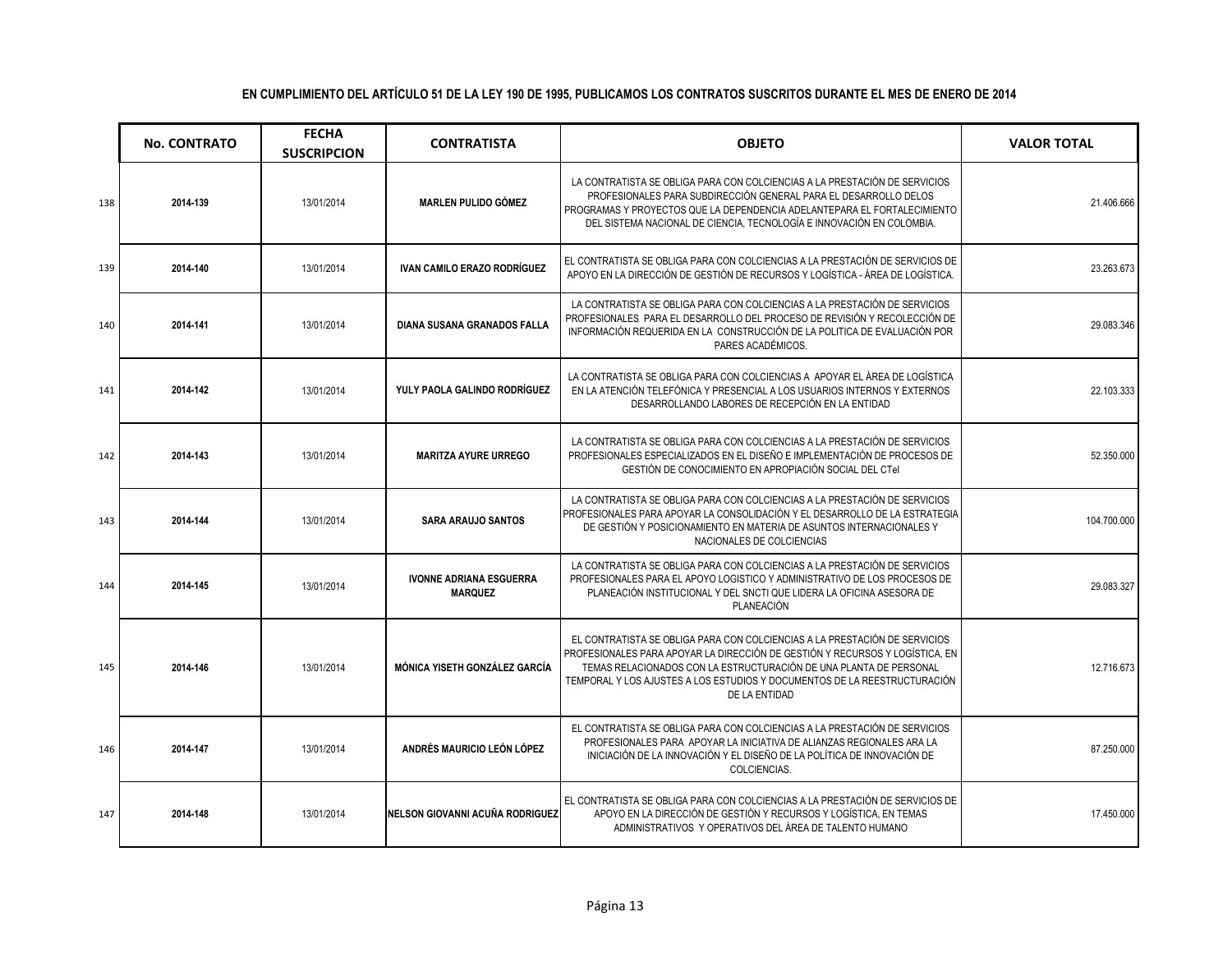|     | <b>No. CONTRATO</b> | <b>FECHA</b><br><b>SUSCRIPCION</b> | <b>CONTRATISTA</b>                               | <b>OBJETO</b>                                                                                                                                                                                                                                                                                                                  | <b>VALOR TOTAL</b> |
|-----|---------------------|------------------------------------|--------------------------------------------------|--------------------------------------------------------------------------------------------------------------------------------------------------------------------------------------------------------------------------------------------------------------------------------------------------------------------------------|--------------------|
| 138 | 2014-139            | 13/01/2014                         | <b>MARLEN PULIDO GÓMEZ</b>                       | LA CONTRATISTA SE OBLIGA PARA CON COLCIENCIAS A LA PRESTACIÓN DE SERVICIOS<br>PROFESIONALES PARA SUBDIRECCIÓN GENERAL PARA EL DESARROLLO DELOS<br>PROGRAMAS Y PROYECTOS QUE LA DEPENDENCIA ADELANTEPARA EL FORTALECIMIENTO<br>DEL SISTEMA NACIONAL DE CIENCIA, TECNOLOGÍA E INNOVACIÓN EN COLOMBIA.                            | 21.406.666         |
| 139 | 2014-140            | 13/01/2014                         | <b>IVAN CAMILO ERAZO RODRÍGUEZ</b>               | EL CONTRATISTA SE OBLIGA PARA CON COLCIENCIAS A LA PRESTACIÓN DE SERVICIOS DE<br>APOYO EN LA DIRECCIÓN DE GESTIÓN DE RECURSOS Y LOGÍSTICA - ÁREA DE LOGÍSTICA.                                                                                                                                                                 | 23.263.673         |
| 140 | 2014-141            | 13/01/2014                         | DIANA SUSANA GRANADOS FALLA                      | LA CONTRATISTA SE OBLIGA PARA CON COLCIENCIAS A LA PRESTACIÓN DE SERVICIOS<br>PROFESIONALES PARA EL DESARROLLO DEL PROCESO DE REVISIÓN Y RECOLECCIÓN DE<br>INFORMACIÓN REQUERIDA EN LA CONSTRUCCIÓN DE LA POLITICA DE EVALUACIÓN POR<br>PARES ACADÉMICOS.                                                                      | 29.083.346         |
| 141 | 2014-142            | 13/01/2014                         | YULY PAOLA GALINDO RODRÍGUEZ                     | LA CONTRATISTA SE OBLIGA PARA CON COLCIENCIAS A APOYAR EL ÁREA DE LOGÍSTICA<br>EN LA ATENCIÓN TELEFÓNICA Y PRESENCIAL A LOS USUARIOS INTERNOS Y EXTERNOS<br>DESARROLLANDO LABORES DE RECEPCIÓN EN LA ENTIDAD                                                                                                                   | 22.103.333         |
| 142 | 2014-143            | 13/01/2014                         | <b>MARITZA AYURE URREGO</b>                      | LA CONTRATISTA SE OBLIGA PARA CON COLCIENCIAS A LA PRESTACIÓN DE SERVICIOS<br>PROFESIONALES ESPECIALIZADOS EN EL DISEÑO E IMPLEMENTACIÓN DE PROCESOS DE<br>GESTIÓN DE CONOCIMIENTO EN APROPIACIÓN SOCIAL DEL CTeI                                                                                                              | 52.350.000         |
| 143 | 2014-144            | 13/01/2014                         | <b>SARA ARAUJO SANTOS</b>                        | LA CONTRATISTA SE OBLIGA PARA CON COLCIENCIAS A LA PRESTACIÓN DE SERVICIOS<br>PROFESIONALES PARA APOYAR LA CONSOLIDACIÓN Y EL DESARROLLO DE LA ESTRATEGIA<br>DE GESTIÓN Y POSICIONAMIENTO EN MATERIA DE ASUNTOS INTERNACIONALES Y<br>NACIONALES DE COLCIENCIAS                                                                 | 104.700.000        |
| 144 | 2014-145            | 13/01/2014                         | <b>IVONNE ADRIANA ESGUERRA</b><br><b>MARQUEZ</b> | LA CONTRATISTA SE OBLIGA PARA CON COLCIENCIAS A LA PRESTACIÓN DE SERVICIOS<br>PROFESIONALES PARA EL APOYO LOGISTICO Y ADMINISTRATIVO DE LOS PROCESOS DE<br>PLANEACIÓN INSTITUCIONAL Y DEL SNCTI QUE LIDERA LA OFICINA ASESORA DE<br><b>PLANEACIÓN</b>                                                                          | 29.083.327         |
| 145 | 2014-146            | 13/01/2014                         | MÓNICA YISETH GONZÁLEZ GARCÍA                    | EL CONTRATISTA SE OBLIGA PARA CON COLCIENCIAS A LA PRESTACIÓN DE SERVICIOS<br>PROFESIONALES PARA APOYAR LA DIRECCIÓN DE GESTIÓN Y RECURSOS Y LOGÍSTICA, EN<br>TEMAS RELACIONADOS CON LA ESTRUCTURACIÓN DE UNA PLANTA DE PERSONAL<br>TEMPORAL Y LOS AJUSTES A LOS ESTUDIOS Y DOCUMENTOS DE LA REESTRUCTURACIÓN<br>DE LA ENTIDAD | 12.716.673         |
| 146 | 2014-147            | 13/01/2014                         | ANDRÉS MAURICIO LEÓN LÓPEZ                       | EL CONTRATISTA SE OBLIGA PARA CON COLCIENCIAS A LA PRESTACIÓN DE SERVICIOS<br>PROFESIONALES PARA APOYAR LA INICIATIVA DE ALIANZAS REGIONALES ARA LA<br>INICIACIÓN DE LA INNOVACIÓN Y EL DISEÑO DE LA POLÍTICA DE INNOVACIÓN DE<br>COLCIENCIAS.                                                                                 | 87.250.000         |
| 147 | 2014-148            | 13/01/2014                         | NELSON GIOVANNI ACUÑA RODRIGUEZ                  | EL CONTRATISTA SE OBLIGA PARA CON COLCIENCIAS A LA PRESTACIÓN DE SERVICIOS DE<br>APOYO EN LA DIRECCIÓN DE GESTIÓN Y RECURSOS Y LOGÍSTICA, EN TEMAS<br>ADMINISTRATIVOS Y OPERATIVOS DEL ÁREA DE TALENTO HUMANO                                                                                                                  | 17.450.000         |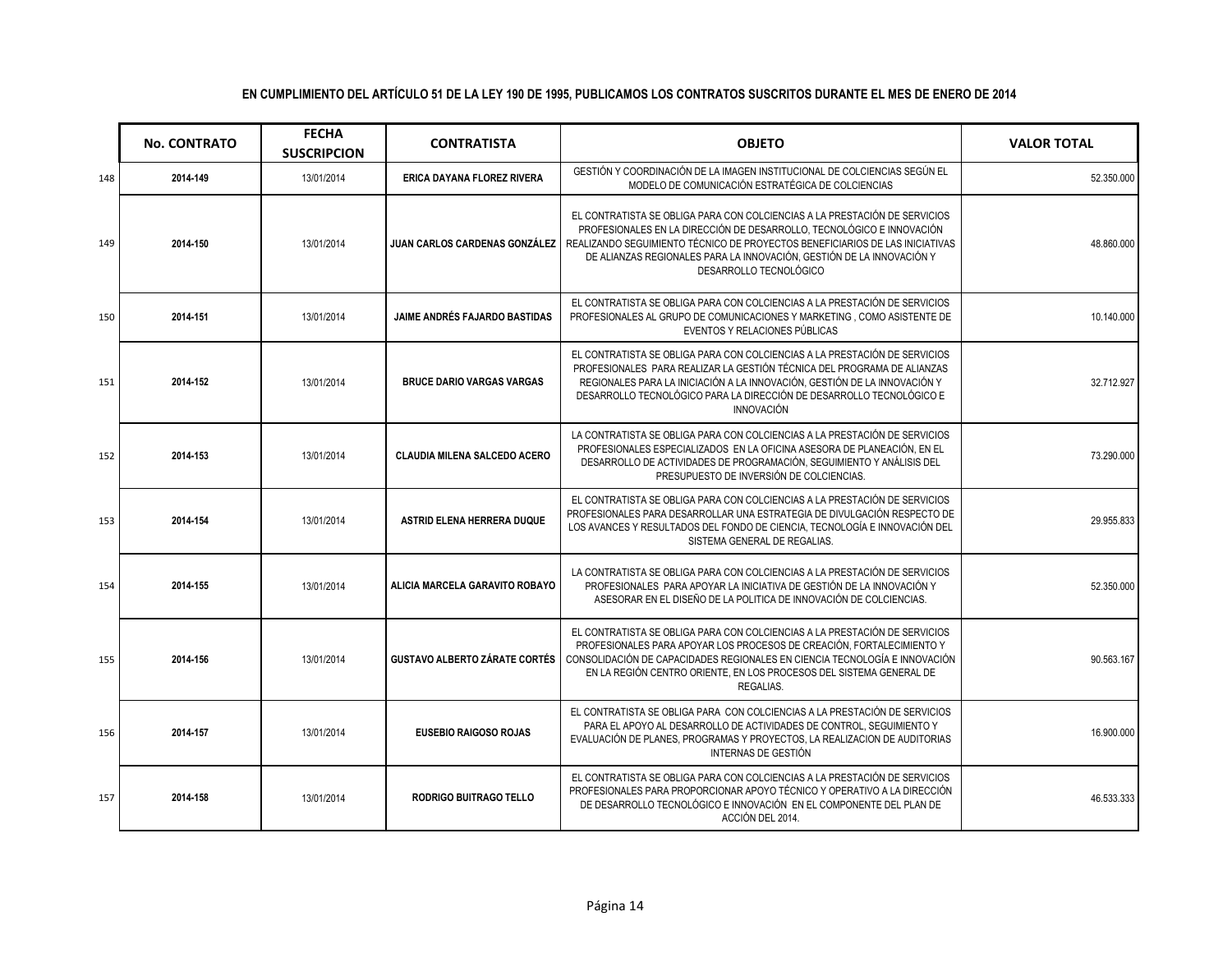|     | <b>No. CONTRATO</b> | <b>FECHA</b><br><b>SUSCRIPCION</b> | <b>CONTRATISTA</b>                   | <b>OBJETO</b>                                                                                                                                                                                                                                                                                                                                                          | <b>VALOR TOTAL</b> |
|-----|---------------------|------------------------------------|--------------------------------------|------------------------------------------------------------------------------------------------------------------------------------------------------------------------------------------------------------------------------------------------------------------------------------------------------------------------------------------------------------------------|--------------------|
| 148 | 2014-149            | 13/01/2014                         | ERICA DAYANA FLOREZ RIVERA           | GESTIÓN Y COORDINACIÓN DE LA IMAGEN INSTITUCIONAL DE COLCIENCIAS SEGÚN EL<br>MODELO DE COMUNICACIÓN ESTRATÉGICA DE COLCIENCIAS                                                                                                                                                                                                                                         | 52.350.000         |
| 149 | 2014-150            | 13/01/2014                         |                                      | EL CONTRATISTA SE OBLIGA PARA CON COLCIENCIAS A LA PRESTACIÓN DE SERVICIOS<br>PROFESIONALES EN LA DIRECCIÓN DE DESARROLLO, TECNOLÓGICO E INNOVACIÓN<br>JUAN CARLOS CARDENAS GONZÁLEZ   REALIZANDO SEGUIMIENTO TÉCNICO DE PROYECTOS BENEFICIARIOS DE LAS INICIATIVAS<br>DE ALIANZAS REGIONALES PARA LA INNOVACIÓN, GESTIÓN DE LA INNOVACIÓN Y<br>DESARROLLO TECNOLÓGICO | 48.860.000         |
| 150 | 2014-151            | 13/01/2014                         | JAIME ANDRÉS FAJARDO BASTIDAS        | EL CONTRATISTA SE OBLIGA PARA CON COLCIENCIAS A LA PRESTACIÓN DE SERVICIOS<br>PROFESIONALES AL GRUPO DE COMUNICACIONES Y MARKETING, COMO ASISTENTE DE<br>EVENTOS Y RELACIONES PÚBLICAS                                                                                                                                                                                 | 10.140.000         |
| 151 | 2014-152            | 13/01/2014                         | <b>BRUCE DARIO VARGAS VARGAS</b>     | EL CONTRATISTA SE OBLIGA PARA CON COLCIENCIAS A LA PRESTACIÓN DE SERVICIOS<br>PROFESIONALES PARA REALIZAR LA GESTIÓN TÉCNICA DEL PROGRAMA DE ALIANZAS<br>REGIONALES PARA LA INICIACIÓN A LA INNOVACIÓN, GESTIÓN DE LA INNOVACIÓN Y<br>DESARROLLO TECNOLÓGICO PARA LA DIRECCIÓN DE DESARROLLO TECNOLÓGICO E<br><b>INNOVACIÓN</b>                                        | 32.712.927         |
| 152 | 2014-153            | 13/01/2014                         | <b>CLAUDIA MILENA SALCEDO ACERO</b>  | LA CONTRATISTA SE OBLIGA PARA CON COLCIENCIAS A LA PRESTACIÓN DE SERVICIOS<br>PROFESIONALES ESPECIALIZADOS EN LA OFICINA ASESORA DE PLANEACIÓN, EN EL<br>DESARROLLO DE ACTIVIDADES DE PROGRAMACIÓN, SEGUIMIENTO Y ANÁLISIS DEL<br>PRESUPUESTO DE INVERSIÓN DE COLCIENCIAS.                                                                                             | 73.290.000         |
| 153 | 2014-154            | 13/01/2014                         | ASTRID ELENA HERRERA DUQUE           | EL CONTRATISTA SE OBLIGA PARA CON COLCIENCIAS A LA PRESTACIÓN DE SERVICIOS<br>PROFESIONALES PARA DESARROLLAR UNA ESTRATEGIA DE DIVULGACIÓN RESPECTO DE<br>LOS AVANCES Y RESULTADOS DEL FONDO DE CIENCIA, TECNOLOGÍA E INNOVACIÓN DEL<br>SISTEMA GENERAL DE REGALIAS.                                                                                                   | 29.955.833         |
| 154 | 2014-155            | 13/01/2014                         | ALICIA MARCELA GARAVITO ROBAYO       | LA CONTRATISTA SE OBLIGA PARA CON COLCIENCIAS A LA PRESTACIÓN DE SERVICIOS<br>PROFESIONALES PARA APOYAR LA INICIATIVA DE GESTIÓN DE LA INNOVACIÓN Y<br>ASESORAR EN EL DISEÑO DE LA POLITICA DE INNOVACIÓN DE COLCIENCIAS.                                                                                                                                              | 52.350.000         |
| 155 | 2014-156            | 13/01/2014                         | <b>GUSTAVO ALBERTO ZÁRATE CORTÉS</b> | EL CONTRATISTA SE OBLIGA PARA CON COLCIENCIAS A LA PRESTACIÓN DE SERVICIOS<br>PROFESIONALES PARA APOYAR LOS PROCESOS DE CREACIÓN, FORTALECIMIENTO Y<br>CONSOLIDACIÓN DE CAPACIDADES REGIONALES EN CIENCIA TECNOLOGÍA E INNOVACIÓN<br>EN LA REGIÓN CENTRO ORIENTE, EN LOS PROCESOS DEL SISTEMA GENERAL DE<br>REGALIAS.                                                  | 90.563.167         |
| 156 | 2014-157            | 13/01/2014                         | <b>EUSEBIO RAIGOSO ROJAS</b>         | EL CONTRATISTA SE OBLIGA PARA CON COLCIENCIAS A LA PRESTACIÓN DE SERVICIOS<br>PARA EL APOYO AL DESARROLLO DE ACTIVIDADES DE CONTROL, SEGUIMIENTO Y<br>EVALUACIÓN DE PLANES, PROGRAMAS Y PROYECTOS, LA REALIZACION DE AUDITORIAS<br>INTERNAS DE GESTIÓN                                                                                                                 | 16.900.000         |
| 157 | 2014-158            | 13/01/2014                         | <b>RODRIGO BUITRAGO TELLO</b>        | EL CONTRATISTA SE OBLIGA PARA CON COLCIENCIAS A LA PRESTACIÓN DE SERVICIOS<br>PROFESIONALES PARA PROPORCIONAR APOYO TÉCNICO Y OPERATIVO A LA DIRECCIÓN<br>DE DESARROLLO TECNOLÓGICO E INNOVACIÓN EN EL COMPONENTE DEL PLAN DE<br>ACCIÓN DEL 2014.                                                                                                                      | 46.533.333         |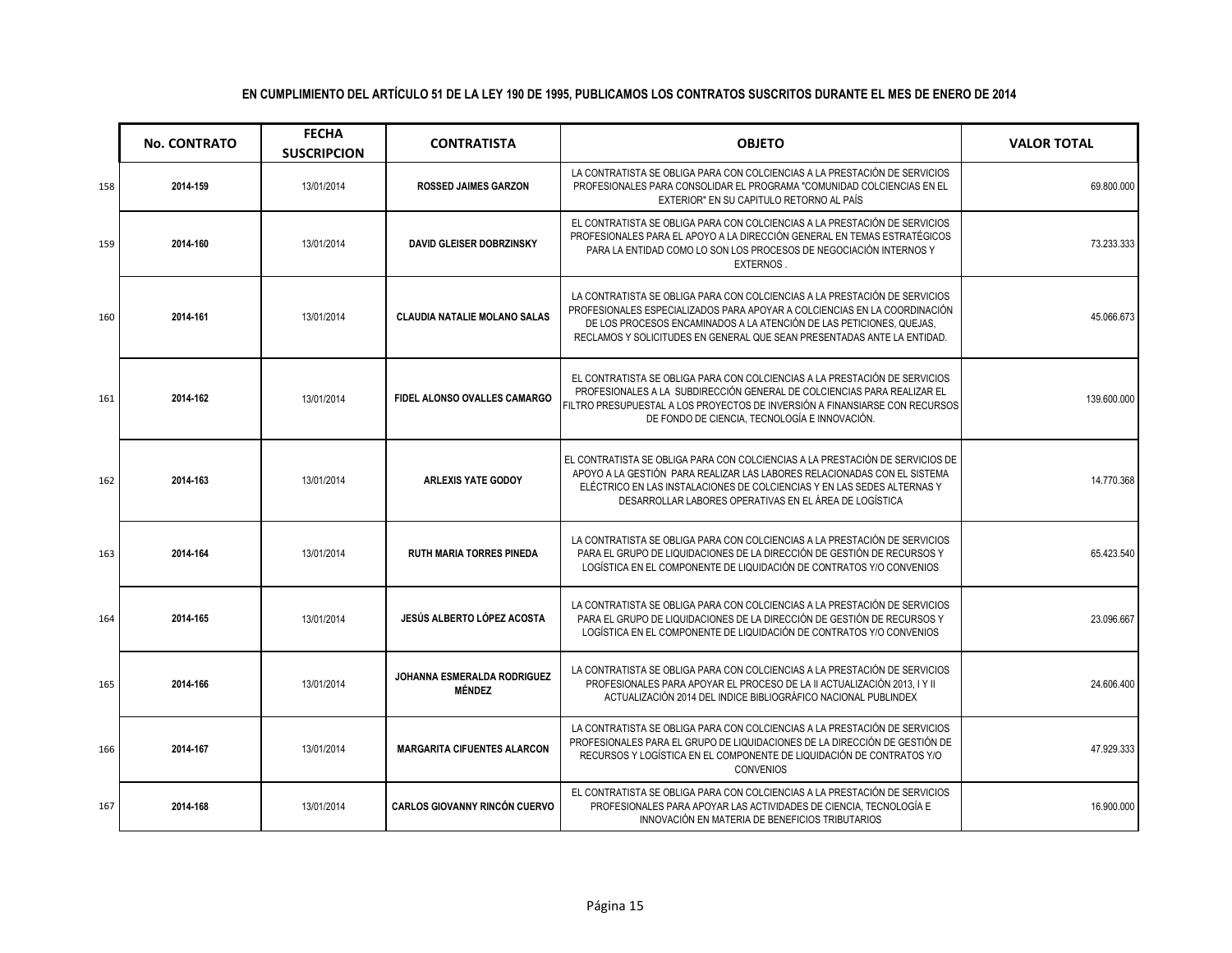|     | <b>No. CONTRATO</b> | <b>FECHA</b><br><b>SUSCRIPCION</b> | <b>CONTRATISTA</b>                           | <b>OBJETO</b>                                                                                                                                                                                                                                                                                              | <b>VALOR TOTAL</b> |
|-----|---------------------|------------------------------------|----------------------------------------------|------------------------------------------------------------------------------------------------------------------------------------------------------------------------------------------------------------------------------------------------------------------------------------------------------------|--------------------|
| 158 | 2014-159            | 13/01/2014                         | <b>ROSSED JAIMES GARZON</b>                  | LA CONTRATISTA SE OBLIGA PARA CON COLCIENCIAS A LA PRESTACIÓN DE SERVICIOS<br>PROFESIONALES PARA CONSOLIDAR EL PROGRAMA "COMUNIDAD COLCIENCIAS EN EL<br>EXTERIOR" EN SU CAPITULO RETORNO AL PAÍS                                                                                                           | 69.800.000         |
| 159 | 2014-160            | 13/01/2014                         | <b>DAVID GLEISER DOBRZINSKY</b>              | EL CONTRATISTA SE OBLIGA PARA CON COLCIENCIAS A LA PRESTACIÓN DE SERVICIOS<br>PROFESIONALES PARA EL APOYO A LA DIRECCIÓN GENERAL EN TEMAS ESTRATÉGICOS<br>PARA LA ENTIDAD COMO LO SON LOS PROCESOS DE NEGOCIACIÓN INTERNOS Y<br>EXTERNOS.                                                                  | 73.233.333         |
| 160 | 2014-161            | 13/01/2014                         | <b>CLAUDIA NATALIE MOLANO SALAS</b>          | LA CONTRATISTA SE OBLIGA PARA CON COLCIENCIAS A LA PRESTACIÓN DE SERVICIOS<br>PROFESIONALES ESPECIALIZADOS PARA APOYAR A COLCIENCIAS EN LA COORDINACIÓN<br>DE LOS PROCESOS ENCAMINADOS A LA ATENCIÓN DE LAS PETICIONES, QUEJAS,<br>RECLAMOS Y SOLICITUDES EN GENERAL QUE SEAN PRESENTADAS ANTE LA ENTIDAD. | 45.066.673         |
| 161 | 2014-162            | 13/01/2014                         | FIDEL ALONSO OVALLES CAMARGO                 | EL CONTRATISTA SE OBLIGA PARA CON COLCIENCIAS A LA PRESTACIÓN DE SERVICIOS<br>PROFESIONALES A LA SUBDIRECCIÓN GENERAL DE COLCIENCIAS PARA REALIZAR EL<br>FILTRO PRESUPUESTAL A LOS PROYECTOS DE INVERSIÓN A FINANSIARSE CON RECURSOS<br>DE FONDO DE CIENCIA, TECNOLOGÍA E INNOVACIÓN.                      | 139.600.000        |
| 162 | 2014-163            | 13/01/2014                         | <b>ARLEXIS YATE GODOY</b>                    | EL CONTRATISTA SE OBLIGA PARA CON COLCIENCIAS A LA PRESTACIÓN DE SERVICIOS DE<br>APOYO A LA GESTIÓN PARA REALIZAR LAS LABORES RELACIONADAS CON EL SISTEMA<br>ELÉCTRICO EN LAS INSTALACIONES DE COLCIENCIAS Y EN LAS SEDES ALTERNAS Y<br>DESARROLLAR LABORES OPERATIVAS EN EL ÁREA DE LOGÍSTICA             | 14.770.368         |
| 163 | 2014-164            | 13/01/2014                         | <b>RUTH MARIA TORRES PINEDA</b>              | LA CONTRATISTA SE OBLIGA PARA CON COLCIENCIAS A LA PRESTACIÓN DE SERVICIOS<br>PARA EL GRUPO DE LIQUIDACIONES DE LA DIRECCIÓN DE GESTIÓN DE RECURSOS Y<br>LOGÍSTICA EN EL COMPONENTE DE LIQUIDACIÓN DE CONTRATOS Y/O CONVENIOS                                                                              | 65.423.540         |
| 164 | 2014-165            | 13/01/2014                         | JESÚS ALBERTO LÓPEZ ACOSTA                   | LA CONTRATISTA SE OBLIGA PARA CON COLCIENCIAS A LA PRESTACIÓN DE SERVICIOS<br>PARA EL GRUPO DE LIQUIDACIONES DE LA DIRECCIÓN DE GESTIÓN DE RECURSOS Y<br>LOGÍSTICA EN EL COMPONENTE DE LIQUIDACIÓN DE CONTRATOS Y/O CONVENIOS                                                                              | 23.096.667         |
| 165 | 2014-166            | 13/01/2014                         | JOHANNA ESMERALDA RODRIGUEZ<br><b>MÉNDEZ</b> | LA CONTRATISTA SE OBLIGA PARA CON COLCIENCIAS A LA PRESTACIÓN DE SERVICIOS<br>PROFESIONALES PARA APOYAR EL PROCESO DE LA II ACTUALIZACIÓN 2013, I Y II<br>ACTUALIZACIÓN 2014 DEL INDICE BIBLIOGRÁFICO NACIONAL PUBLINDEX                                                                                   | 24.606.400         |
| 166 | 2014-167            | 13/01/2014                         | <b>MARGARITA CIFUENTES ALARCON</b>           | LA CONTRATISTA SE OBLIGA PARA CON COLCIENCIAS A LA PRESTACIÓN DE SERVICIOS<br>PROFESIONALES PARA EL GRUPO DE LIQUIDACIONES DE LA DIRECCIÓN DE GESTIÓN DE<br>RECURSOS Y LOGÍSTICA EN EL COMPONENTE DE LIQUIDACIÓN DE CONTRATOS Y/O<br><b>CONVENIOS</b>                                                      | 47.929.333         |
| 167 | 2014-168            | 13/01/2014                         | <b>CARLOS GIOVANNY RINCÓN CUERVO</b>         | EL CONTRATISTA SE OBLIGA PARA CON COLCIENCIAS A LA PRESTACIÓN DE SERVICIOS<br>PROFESIONALES PARA APOYAR LAS ACTIVIDADES DE CIENCIA, TECNOLOGÍA E<br>INNOVACIÓN EN MATERIA DE BENEFICIOS TRIBUTARIOS                                                                                                        | 16.900.000         |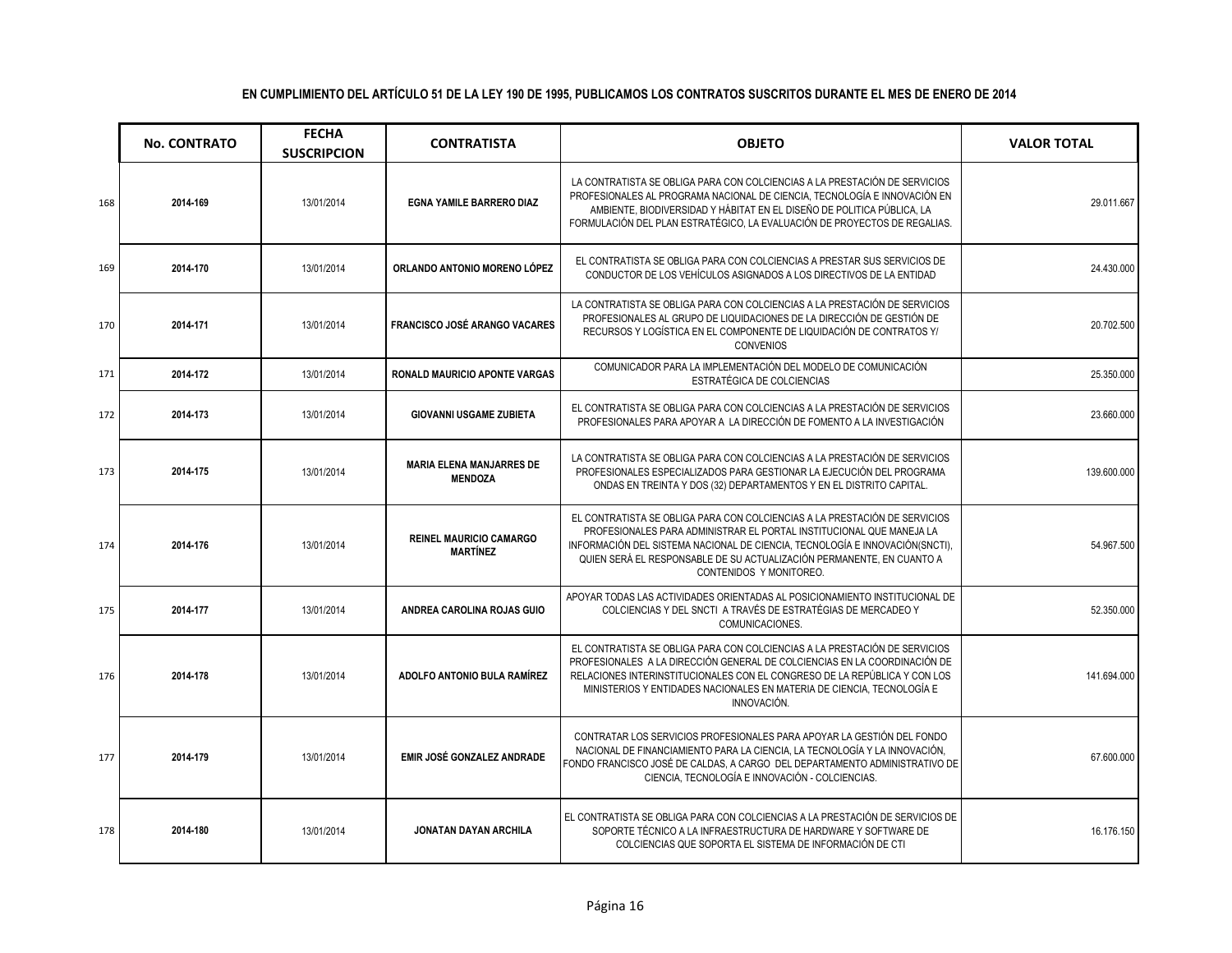|     | <b>No. CONTRATO</b> | <b>FECHA</b><br><b>SUSCRIPCION</b> | <b>CONTRATISTA</b>                                | <b>OBJETO</b>                                                                                                                                                                                                                                                                                                                          | <b>VALOR TOTAL</b> |
|-----|---------------------|------------------------------------|---------------------------------------------------|----------------------------------------------------------------------------------------------------------------------------------------------------------------------------------------------------------------------------------------------------------------------------------------------------------------------------------------|--------------------|
| 168 | 2014-169            | 13/01/2014                         | <b>EGNA YAMILE BARRERO DIAZ</b>                   | LA CONTRATISTA SE OBLIGA PARA CON COLCIENCIAS A LA PRESTACIÓN DE SERVICIOS<br>PROFESIONALES AL PROGRAMA NACIONAL DE CIENCIA, TECNOLOGÍA E INNOVACIÓN EN<br>AMBIENTE, BIODIVERSIDAD Y HÁBITAT EN EL DISEÑO DE POLITICA PÚBLICA, LA<br>FORMULACIÓN DEL PLAN ESTRATÉGICO, LA EVALUACIÓN DE PROYECTOS DE REGALIAS.                         | 29.011.667         |
| 169 | 2014-170            | 13/01/2014                         | ORLANDO ANTONIO MORENO LÓPEZ                      | EL CONTRATISTA SE OBLIGA PARA CON COLCIENCIAS A PRESTAR SUS SERVICIOS DE<br>CONDUCTOR DE LOS VEHÍCULOS ASIGNADOS A LOS DIRECTIVOS DE LA ENTIDAD                                                                                                                                                                                        | 24.430.000         |
| 170 | 2014-171            | 13/01/2014                         | <b>FRANCISCO JOSÉ ARANGO VACARES</b>              | LA CONTRATISTA SE OBLIGA PARA CON COLCIENCIAS A LA PRESTACIÓN DE SERVICIOS<br>PROFESIONALES AL GRUPO DE LIQUIDACIONES DE LA DIRECCIÓN DE GESTIÓN DE<br>RECURSOS Y LOGÍSTICA EN EL COMPONENTE DE LIQUIDACIÓN DE CONTRATOS Y/<br><b>CONVENIOS</b>                                                                                        | 20.702.500         |
| 171 | 2014-172            | 13/01/2014                         | RONALD MAURICIO APONTE VARGAS                     | COMUNICADOR PARA LA IMPLEMENTACIÓN DEL MODELO DE COMUNICACIÓN<br>ESTRATÉGICA DE COLCIENCIAS                                                                                                                                                                                                                                            | 25.350.000         |
| 172 | 2014-173            | 13/01/2014                         | <b>GIOVANNI USGAME ZUBIETA</b>                    | EL CONTRATISTA SE OBLIGA PARA CON COLCIENCIAS A LA PRESTACIÓN DE SERVICIOS<br>PROFESIONALES PARA APOYAR A LA DIRECCIÓN DE FOMENTO A LA INVESTIGACIÓN                                                                                                                                                                                   | 23.660.000         |
| 173 | 2014-175            | 13/01/2014                         | <b>MARIA ELENA MANJARRES DE</b><br><b>MENDOZA</b> | LA CONTRATISTA SE OBLIGA PARA CON COLCIENCIAS A LA PRESTACIÓN DE SERVICIOS<br>PROFESIONALES ESPECIALIZADOS PARA GESTIONAR LA EJECUCIÓN DEL PROGRAMA<br>ONDAS EN TREINTA Y DOS (32) DEPARTAMENTOS Y EN EL DISTRITO CAPITAL.                                                                                                             | 139.600.000        |
| 174 | 2014-176            | 13/01/2014                         | <b>REINEL MAURICIO CAMARGO</b><br><b>MARTÍNEZ</b> | EL CONTRATISTA SE OBLIGA PARA CON COLCIENCIAS A LA PRESTACIÓN DE SERVICIOS<br>PROFESIONALES PARA ADMINISTRAR EL PORTAL INSTITUCIONAL QUE MANEJA LA<br>INFORMACIÓN DEL SISTEMA NACIONAL DE CIENCIA, TECNOLOGÍA E INNOVACIÓN(SNCTI),<br>QUIEN SERÁ EL RESPONSABLE DE SU ACTUALIZACIÓN PERMANENTE, EN CUANTO A<br>CONTENIDOS Y MONITOREO. | 54.967.500         |
| 175 | 2014-177            | 13/01/2014                         | ANDREA CAROLINA ROJAS GUIO                        | APOYAR TODAS LAS ACTIVIDADES ORIENTADAS AL POSICIONAMIENTO INSTITUCIONAL DE<br>COLCIENCIAS Y DEL SNCTI A TRAVÉS DE ESTRATÉGIAS DE MERCADEO Y<br>COMUNICACIONES.                                                                                                                                                                        | 52.350.000         |
| 176 | 2014-178            | 13/01/2014                         | ADOLFO ANTONIO BULA RAMÍREZ                       | EL CONTRATISTA SE OBLIGA PARA CON COLCIENCIAS A LA PRESTACIÓN DE SERVICIOS<br>PROFESIONALES A LA DIRECCIÓN GENERAL DE COLCIENCIAS EN LA COORDINACIÓN DE<br>RELACIONES INTERINSTITUCIONALES CON EL CONGRESO DE LA REPÚBLICA Y CON LOS<br>MINISTERIOS Y ENTIDADES NACIONALES EN MATERIA DE CIENCIA, TECNOLOGÍA E<br>INNOVACIÓN.          | 141.694.000        |
| 177 | 2014-179            | 13/01/2014                         | EMIR JOSÉ GONZALEZ ANDRADE                        | CONTRATAR LOS SERVICIOS PROFESIONALES PARA APOYAR LA GESTIÓN DEL FONDO<br>NACIONAL DE FINANCIAMIENTO PARA LA CIENCIA. LA TECNOLOGÍA Y LA INNOVACIÓN.<br>FONDO FRANCISCO JOSÉ DE CALDAS, A CARGO DEL DEPARTAMENTO ADMINISTRATIVO DE<br>CIENCIA, TECNOLOGÍA E INNOVACIÓN - COLCIENCIAS.                                                  | 67.600.000         |
| 178 | 2014-180            | 13/01/2014                         | <b>JONATAN DAYAN ARCHILA</b>                      | EL CONTRATISTA SE OBLIGA PARA CON COLCIENCIAS A LA PRESTACIÓN DE SERVICIOS DE<br>SOPORTE TÉCNICO A LA INFRAESTRUCTURA DE HARDWARE Y SOFTWARE DE<br>COLCIENCIAS QUE SOPORTA EL SISTEMA DE INFORMACIÓN DE CTI                                                                                                                            | 16.176.150         |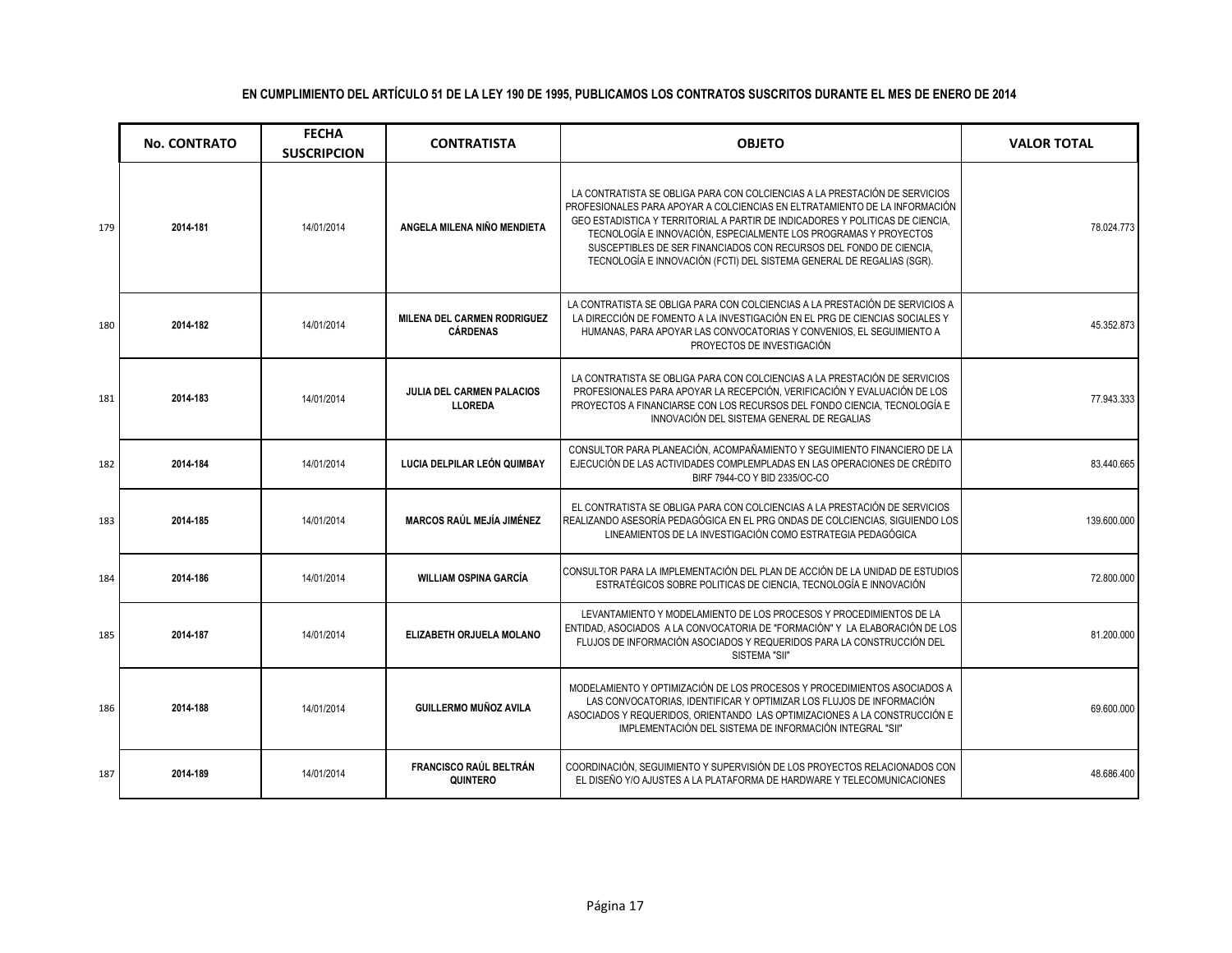|     | <b>No. CONTRATO</b> | <b>FECHA</b><br><b>SUSCRIPCION</b> | <b>CONTRATISTA</b>                                    | <b>OBJETO</b>                                                                                                                                                                                                                                                                                                                                                                                                                                                | <b>VALOR TOTAL</b> |
|-----|---------------------|------------------------------------|-------------------------------------------------------|--------------------------------------------------------------------------------------------------------------------------------------------------------------------------------------------------------------------------------------------------------------------------------------------------------------------------------------------------------------------------------------------------------------------------------------------------------------|--------------------|
| 179 | 2014-181            | 14/01/2014                         | ANGELA MILENA NIÑO MENDIETA                           | LA CONTRATISTA SE OBLIGA PARA CON COLCIENCIAS A LA PRESTACIÓN DE SERVICIOS<br>PROFESIONALES PARA APOYAR A COLCIENCIAS EN ELTRATAMIENTO DE LA INFORMACIÓN<br>GEO ESTADISTICA Y TERRITORIAL A PARTIR DE INDICADORES Y POLITICAS DE CIENCIA.<br>TECNOLOGÍA E INNOVACIÓN, ESPECIALMENTE LOS PROGRAMAS Y PROYECTOS<br>SUSCEPTIBLES DE SER FINANCIADOS CON RECURSOS DEL FONDO DE CIENCIA,<br>TECNOLOGÍA E INNOVACIÓN (FCTI) DEL SISTEMA GENERAL DE REGALIAS (SGR). | 78.024.773         |
| 180 | 2014-182            | 14/01/2014                         | <b>MILENA DEL CARMEN RODRIGUEZ</b><br><b>CÁRDENAS</b> | LA CONTRATISTA SE OBLIGA PARA CON COLCIENCIAS A LA PRESTACIÓN DE SERVICIOS A<br>LA DIRECCIÓN DE FOMENTO A LA INVESTIGACIÓN EN EL PRG DE CIENCIAS SOCIALES Y<br>HUMANAS, PARA APOYAR LAS CONVOCATORIAS Y CONVENIOS, EL SEGUIMIENTO A<br>PROYECTOS DE INVESTIGACIÓN                                                                                                                                                                                            | 45.352.873         |
| 181 | 2014-183            | 14/01/2014                         | <b>JULIA DEL CARMEN PALACIOS</b><br><b>LLOREDA</b>    | LA CONTRATISTA SE OBLIGA PARA CON COLCIENCIAS A LA PRESTACIÓN DE SERVICIOS<br>PROFESIONALES PARA APOYAR LA RECEPCIÓN, VERIFICACIÓN Y EVALUACIÓN DE LOS<br>PROYECTOS A FINANCIARSE CON LOS RECURSOS DEL FONDO CIENCIA, TECNOLOGÍA E<br>INNOVACIÓN DEL SISTEMA GENERAL DE REGALIAS                                                                                                                                                                             | 77.943.333         |
| 182 | 2014-184            | 14/01/2014                         | LUCIA DELPILAR LEÓN QUIMBAY                           | CONSULTOR PARA PLANEACIÓN. ACOMPAÑAMIENTO Y SEGUIMIENTO FINANCIERO DE LA<br>EJECUCIÓN DE LAS ACTIVIDADES COMPLEMPLADAS EN LAS OPERACIONES DE CRÉDITO<br>BIRF 7944-CO Y BID 2335/OC-CO                                                                                                                                                                                                                                                                        | 83.440.665         |
| 183 | 2014-185            | 14/01/2014                         | <b>MARCOS RAÚL MEJÍA JIMÉNEZ</b>                      | EL CONTRATISTA SE OBLIGA PARA CON COLCIENCIAS A LA PRESTACIÓN DE SERVICIOS<br>REALIZANDO ASESORÍA PEDAGÓGICA EN EL PRG ONDAS DE COLCIENCIAS, SIGUIENDO LOS<br>LINEAMIENTOS DE LA INVESTIGACIÓN COMO ESTRATEGIA PEDAGÓGICA                                                                                                                                                                                                                                    | 139.600.000        |
| 184 | 2014-186            | 14/01/2014                         | <b>WILLIAM OSPINA GARCÍA</b>                          | CONSULTOR PARA LA IMPLEMENTACIÓN DEL PLAN DE ACCIÓN DE LA UNIDAD DE ESTUDIOS<br>ESTRATÉGICOS SOBRE POLITICAS DE CIENCIA, TECNOLOGÍA E INNOVACIÓN                                                                                                                                                                                                                                                                                                             | 72.800.000         |
| 185 | 2014-187            | 14/01/2014                         | ELIZABETH ORJUELA MOLANO                              | LEVANTAMIENTO Y MODELAMIENTO DE LOS PROCESOS Y PROCEDIMIENTOS DE LA<br>ENTIDAD, ASOCIADOS A LA CONVOCATORIA DE "FORMACIÓN" Y LA ELABORACIÓN DE LOS<br>FLUJOS DE INFORMACIÓN ASOCIADOS Y REQUERIDOS PARA LA CONSTRUCCIÓN DEL<br>SISTEMA "SII"                                                                                                                                                                                                                 | 81.200.000         |
| 186 | 2014-188            | 14/01/2014                         | <b>GUILLERMO MUÑOZ AVILA</b>                          | MODELAMIENTO Y OPTIMIZACIÓN DE LOS PROCESOS Y PROCEDIMIENTOS ASOCIADOS A<br>LAS CONVOCATORIAS, IDENTIFICAR Y OPTIMIZAR LOS FLUJOS DE INFORMACIÓN<br>ASOCIADOS Y REQUERIDOS, ORIENTANDO LAS OPTIMIZACIONES A LA CONSTRUCCIÓN E<br>IMPLEMENTACIÓN DEL SISTEMA DE INFORMACIÓN INTEGRAL "SII"                                                                                                                                                                    | 69.600.000         |
| 187 | 2014-189            | 14/01/2014                         | <b>FRANCISCO RAÚL BELTRÁN</b><br>QUINTERO             | COORDINACIÓN, SEGUIMIENTO Y SUPERVISIÓN DE LOS PROYECTOS RELACIONADOS CON<br>EL DISEÑO Y/O AJUSTES A LA PLATAFORMA DE HARDWARE Y TELECOMUNICACIONES                                                                                                                                                                                                                                                                                                          | 48.686.400         |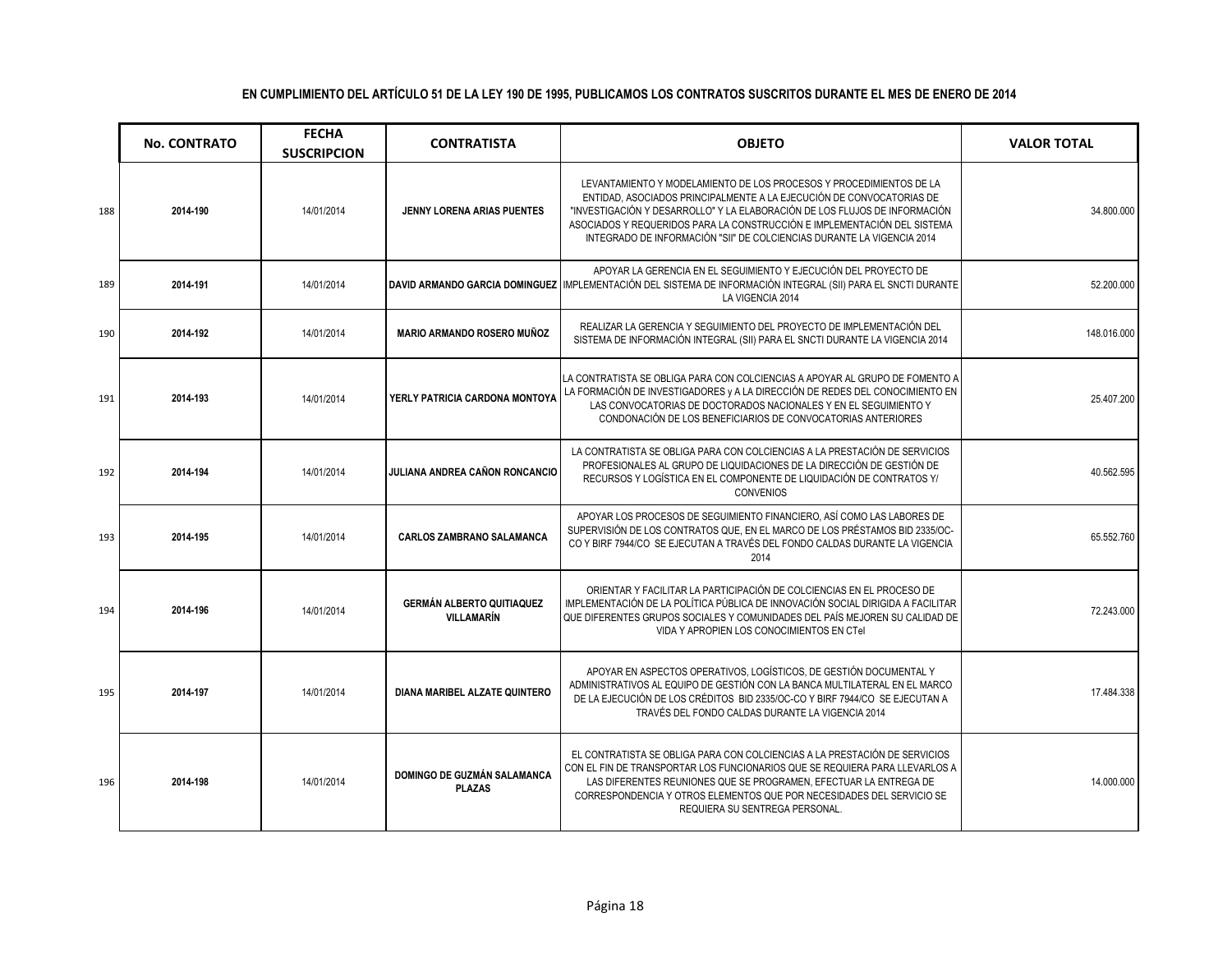|     | <b>No. CONTRATO</b> | <b>FECHA</b><br><b>SUSCRIPCION</b> | <b>CONTRATISTA</b>                                    | <b>OBJETO</b>                                                                                                                                                                                                                                                                                                                                                                   | <b>VALOR TOTAL</b> |
|-----|---------------------|------------------------------------|-------------------------------------------------------|---------------------------------------------------------------------------------------------------------------------------------------------------------------------------------------------------------------------------------------------------------------------------------------------------------------------------------------------------------------------------------|--------------------|
| 188 | 2014-190            | 14/01/2014                         | JENNY LORENA ARIAS PUENTES                            | LEVANTAMIENTO Y MODELAMIENTO DE LOS PROCESOS Y PROCEDIMIENTOS DE LA<br>ENTIDAD, ASOCIADOS PRINCIPALMENTE A LA EJECUCIÓN DE CONVOCATORIAS DE<br>"INVESTIGACIÓN Y DESARROLLO" Y LA ELABORACIÓN DE LOS FLUJOS DE INFORMACIÓN<br>ASOCIADOS Y REQUERIDOS PARA LA CONSTRUCCIÓN E IMPLEMENTACIÓN DEL SISTEMA<br>INTEGRADO DE INFORMACIÓN "SII" DE COLCIENCIAS DURANTE LA VIGENCIA 2014 | 34.800.000         |
| 189 | 2014-191            | 14/01/2014                         |                                                       | APOYAR LA GERENCIA EN EL SEGUIMIENTO Y EJECUCIÓN DEL PROYECTO DE<br>DAVID ARMANDO GARCIA DOMINGUEZ IMPLEMENTACIÓN DEL SISTEMA DE INFORMACIÓN INTEGRAL (SII) PARA EL SNCTI DURANTE<br>LA VIGENCIA 2014                                                                                                                                                                           | 52.200.000         |
| 190 | 2014-192            | 14/01/2014                         | <b>MARIO ARMANDO ROSERO MUÑOZ</b>                     | REALIZAR LA GERENCIA Y SEGUIMIENTO DEL PROYECTO DE IMPLEMENTACIÓN DEL<br>SISTEMA DE INFORMACIÓN INTEGRAL (SII) PARA EL SNCTI DURANTE LA VIGENCIA 2014                                                                                                                                                                                                                           | 148.016.000        |
| 191 | 2014-193            | 14/01/2014                         | YERLY PATRICIA CARDONA MONTOYA                        | LA CONTRATISTA SE OBLIGA PARA CON COLCIENCIAS A APOYAR AL GRUPO DE FOMENTO A<br>LA FORMACIÓN DE INVESTIGADORES y A LA DIRECCIÓN DE REDES DEL CONOCIMIENTO EN<br>LAS CONVOCATORIAS DE DOCTORADOS NACIONALES Y EN EL SEGUIMIENTO Y<br>CONDONACIÓN DE LOS BENEFICIARIOS DE CONVOCATORIAS ANTERIORES                                                                                | 25.407.200         |
| 192 | 2014-194            | 14/01/2014                         | JULIANA ANDREA CAÑON RONCANCIO                        | LA CONTRATISTA SE OBLIGA PARA CON COLCIENCIAS A LA PRESTACIÓN DE SERVICIOS<br>PROFESIONALES AL GRUPO DE LIQUIDACIONES DE LA DIRECCIÓN DE GESTIÓN DE<br>RECURSOS Y LOGÍSTICA EN EL COMPONENTE DE LIQUIDACIÓN DE CONTRATOS Y/<br>CONVENIOS                                                                                                                                        | 40.562.595         |
| 193 | 2014-195            | 14/01/2014                         | <b>CARLOS ZAMBRANO SALAMANCA</b>                      | APOYAR LOS PROCESOS DE SEGUIMIENTO FINANCIERO, ASÍ COMO LAS LABORES DE<br>SUPERVISIÓN DE LOS CONTRATOS QUE. EN EL MARCO DE LOS PRÉSTAMOS BID 2335/OC-<br>CO Y BIRF 7944/CO SE EJECUTAN A TRAVÉS DEL FONDO CALDAS DURANTE LA VIGENCIA<br>2014                                                                                                                                    | 65.552.760         |
| 194 | 2014-196            | 14/01/2014                         | <b>GERMÁN ALBERTO QUITIAQUEZ</b><br><b>VILLAMARÍN</b> | ORIENTAR Y FACILITAR LA PARTICIPACIÓN DE COLCIENCIAS EN EL PROCESO DE<br>IMPLEMENTACIÓN DE LA POLÍTICA PÚBLICA DE INNOVACIÓN SOCIAL DIRIGIDA A FACILITAR<br>QUE DIFERENTES GRUPOS SOCIALES Y COMUNIDADES DEL PAÍS MEJOREN SU CALIDAD DE<br>VIDA Y APROPIEN LOS CONOCIMIENTOS EN CTel                                                                                            | 72.243.000         |
| 195 | 2014-197            | 14/01/2014                         | DIANA MARIBEL ALZATE QUINTERO                         | APOYAR EN ASPECTOS OPERATIVOS, LOGÍSTICOS, DE GESTIÓN DOCUMENTAL Y<br>ADMINISTRATIVOS AL EQUIPO DE GESTIÓN CON LA BANCA MULTILATERAL EN EL MARCO<br>DE LA EJECUCIÓN DE LOS CRÉDITOS BID 2335/OC-CO Y BIRF 7944/CO SE EJECUTAN A<br>TRAVÉS DEL FONDO CALDAS DURANTE LA VIGENCIA 2014                                                                                             | 17.484.338         |
| 196 | 2014-198            | 14/01/2014                         | <b>DOMINGO DE GUZMÁN SALAMANCA</b><br><b>PLAZAS</b>   | EL CONTRATISTA SE OBLIGA PARA CON COLCIENCIAS A LA PRESTACIÓN DE SERVICIOS<br>CON EL FIN DE TRANSPORTAR LOS FUNCIONARIOS QUE SE REQUIERA PARA LLEVARLOS A<br>LAS DIFERENTES REUNIONES QUE SE PROGRAMEN. EFECTUAR LA ENTREGA DE<br>CORRESPONDENCIA Y OTROS ELEMENTOS QUE POR NECESIDADES DEL SERVICIO SE<br>REQUIERA SU SENTREGA PERSONAL.                                       | 14.000.000         |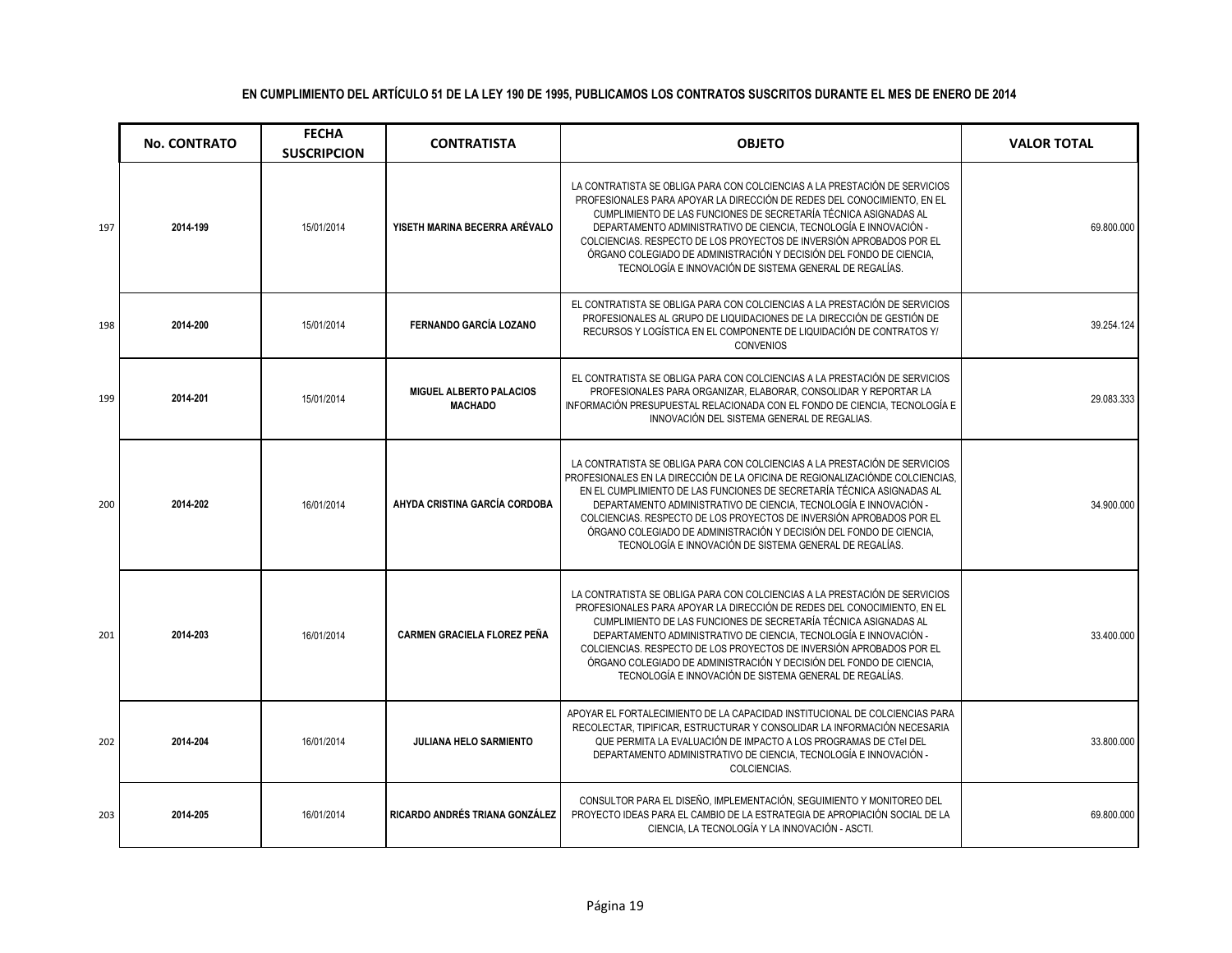|     | <b>No. CONTRATO</b> | <b>FECHA</b><br><b>SUSCRIPCION</b> | <b>CONTRATISTA</b>                               | <b>OBJETO</b>                                                                                                                                                                                                                                                                                                                                                                                                                                                                                                        | <b>VALOR TOTAL</b> |
|-----|---------------------|------------------------------------|--------------------------------------------------|----------------------------------------------------------------------------------------------------------------------------------------------------------------------------------------------------------------------------------------------------------------------------------------------------------------------------------------------------------------------------------------------------------------------------------------------------------------------------------------------------------------------|--------------------|
| 197 | 2014-199            | 15/01/2014                         | YISETH MARINA BECERRA ARÉVALO                    | LA CONTRATISTA SE OBLIGA PARA CON COLCIENCIAS A LA PRESTACIÓN DE SERVICIOS<br>PROFESIONALES PARA APOYAR LA DIRECCIÓN DE REDES DEL CONOCIMIENTO, EN EL<br>CUMPLIMIENTO DE LAS FUNCIONES DE SECRETARÍA TÉCNICA ASIGNADAS AL<br>DEPARTAMENTO ADMINISTRATIVO DE CIENCIA, TECNOLOGÍA E INNOVACIÓN -<br>COLCIENCIAS. RESPECTO DE LOS PROYECTOS DE INVERSIÓN APROBADOS POR EL<br>ÓRGANO COLEGIADO DE ADMINISTRACIÓN Y DECISIÓN DEL FONDO DE CIENCIA,<br>TECNOLOGÍA E INNOVACIÓN DE SISTEMA GENERAL DE REGALÍAS.             | 69.800.000         |
| 198 | 2014-200            | 15/01/2014                         | <b>FERNANDO GARCÍA LOZANO</b>                    | EL CONTRATISTA SE OBLIGA PARA CON COLCIENCIAS A LA PRESTACIÓN DE SERVICIOS<br>PROFESIONALES AL GRUPO DE LIQUIDACIONES DE LA DIRECCIÓN DE GESTIÓN DE<br>RECURSOS Y LOGÍSTICA EN EL COMPONENTE DE LIQUIDACIÓN DE CONTRATOS Y/<br><b>CONVENIOS</b>                                                                                                                                                                                                                                                                      | 39.254.124         |
| 199 | 2014-201            | 15/01/2014                         | <b>MIGUEL ALBERTO PALACIOS</b><br><b>MACHADO</b> | EL CONTRATISTA SE OBLIGA PARA CON COLCIENCIAS A LA PRESTACIÓN DE SERVICIOS<br>PROFESIONALES PARA ORGANIZAR, ELABORAR, CONSOLIDAR Y REPORTAR LA<br>INFORMACIÓN PRESUPUESTAL RELACIONADA CON EL FONDO DE CIENCIA, TECNOLOGÍA E<br>INNOVACIÓN DEL SISTEMA GENERAL DE REGALIAS.                                                                                                                                                                                                                                          | 29.083.333         |
| 200 | 2014-202            | 16/01/2014                         | AHYDA CRISTINA GARCÍA CORDOBA                    | LA CONTRATISTA SE OBLIGA PARA CON COLCIENCIAS A LA PRESTACIÓN DE SERVICIOS<br>PROFESIONALES EN LA DIRECCIÓN DE LA OFICINA DE REGIONALIZACIÓNDE COLCIENCIAS.<br>EN EL CUMPLIMIENTO DE LAS FUNCIONES DE SECRETARÍA TÉCNICA ASIGNADAS AL<br>DEPARTAMENTO ADMINISTRATIVO DE CIENCIA, TECNOLOGÍA E INNOVACIÓN -<br>COLCIENCIAS. RESPECTO DE LOS PROYECTOS DE INVERSIÓN APROBADOS POR EL<br>ÓRGANO COLEGIADO DE ADMINISTRACIÓN Y DECISIÓN DEL FONDO DE CIENCIA.<br>TECNOLOGÍA E INNOVACIÓN DE SISTEMA GENERAL DE REGALÍAS. | 34.900.000         |
| 201 | 2014-203            | 16/01/2014                         | <b>CARMEN GRACIELA FLOREZ PEÑA</b>               | LA CONTRATISTA SE OBLIGA PARA CON COLCIENCIAS A LA PRESTACIÓN DE SERVICIOS<br>PROFESIONALES PARA APOYAR LA DIRECCIÓN DE REDES DEL CONOCIMIENTO. EN EL<br>CUMPLIMIENTO DE LAS FUNCIONES DE SECRETARÍA TÉCNICA ASIGNADAS AL<br>DEPARTAMENTO ADMINISTRATIVO DE CIENCIA, TECNOLOGÍA E INNOVACIÓN -<br>COLCIENCIAS. RESPECTO DE LOS PROYECTOS DE INVERSIÓN APROBADOS POR EL<br>ÓRGANO COLEGIADO DE ADMINISTRACIÓN Y DECISIÓN DEL FONDO DE CIENCIA,<br>TECNOLOGÍA E INNOVACIÓN DE SISTEMA GENERAL DE REGALÍAS.             | 33.400.000         |
| 202 | 2014-204            | 16/01/2014                         | <b>JULIANA HELO SARMIENTO</b>                    | APOYAR EL FORTALECIMIENTO DE LA CAPACIDAD INSTITUCIONAL DE COLCIENCIAS PARA<br>RECOLECTAR, TIPIFICAR, ESTRUCTURAR Y CONSOLIDAR LA INFORMACIÓN NECESARIA<br>QUE PERMITA LA EVALUACIÓN DE IMPACTO A LOS PROGRAMAS DE CTel DEL<br>DEPARTAMENTO ADMINISTRATIVO DE CIENCIA, TECNOLOGÍA E INNOVACIÓN -<br>COLCIENCIAS.                                                                                                                                                                                                     | 33.800.000         |
| 203 | 2014-205            | 16/01/2014                         | RICARDO ANDRÉS TRIANA GONZÁLEZ                   | CONSULTOR PARA EL DISEÑO. IMPLEMENTACIÓN. SEGUIMIENTO Y MONITOREO DEL<br>PROYECTO IDEAS PARA EL CAMBIO DE LA ESTRATEGIA DE APROPIACIÓN SOCIAL DE LA<br>CIENCIA, LA TECNOLOGÍA Y LA INNOVACIÓN - ASCTI.                                                                                                                                                                                                                                                                                                               | 69.800.000         |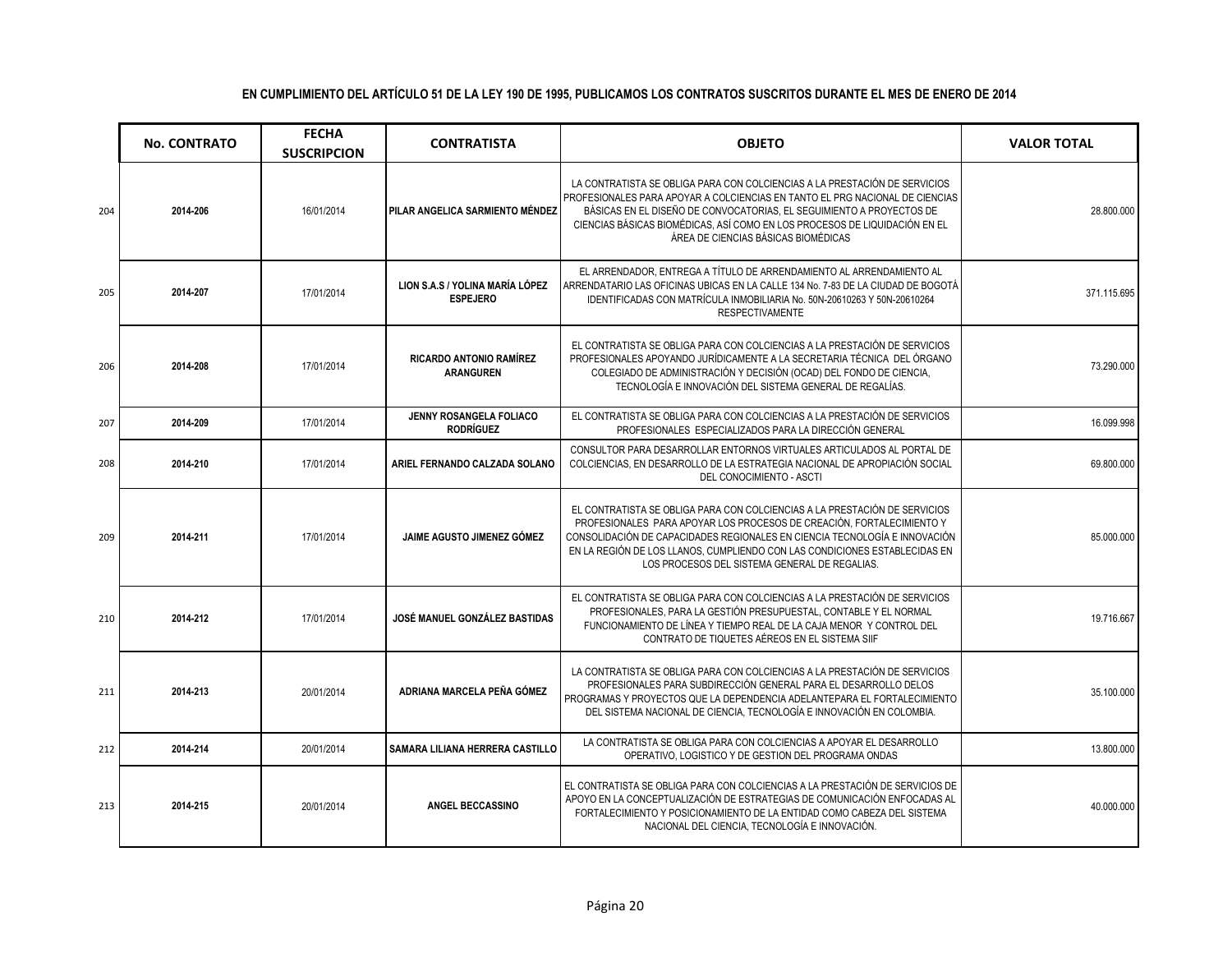|     | <b>No. CONTRATO</b> | <b>FECHA</b><br><b>SUSCRIPCION</b> | <b>CONTRATISTA</b>                                 | <b>OBJETO</b>                                                                                                                                                                                                                                                                                                                                                    | <b>VALOR TOTAL</b> |
|-----|---------------------|------------------------------------|----------------------------------------------------|------------------------------------------------------------------------------------------------------------------------------------------------------------------------------------------------------------------------------------------------------------------------------------------------------------------------------------------------------------------|--------------------|
| 204 | 2014-206            | 16/01/2014                         | PILAR ANGELICA SARMIENTO MÉNDEZ                    | LA CONTRATISTA SE OBLIGA PARA CON COLCIENCIAS A LA PRESTACIÓN DE SERVICIOS<br>PROFESIONALES PARA APOYAR A COLCIENCIAS EN TANTO EL PRG NACIONAL DE CIENCIAS<br>BÁSICAS EN EL DISEÑO DE CONVOCATORIAS. EL SEGUIMIENTO A PROYECTOS DE<br>CIENCIAS BÁSICAS BIOMÉDICAS, ASÍ COMO EN LOS PROCESOS DE LIQUIDACIÓN EN EL<br>ÁREA DE CIENCIAS BÁSICAS BIOMÉDICAS          | 28.800.000         |
| 205 | 2014-207            | 17/01/2014                         | LION S.A.S / YOLINA MARÍA LÓPEZ<br><b>ESPEJERO</b> | EL ARRENDADOR. ENTREGA A TÍTULO DE ARRENDAMIENTO AL ARRENDAMIENTO AL<br>ARRENDATARIO LAS OFICINAS UBICAS EN LA CALLE 134 No. 7-83 DE LA CIUDAD DE BOGOTÁ<br>IDENTIFICADAS CON MATRÍCULA INMOBILIARIA No. 50N-20610263 Y 50N-20610264<br><b>RESPECTIVAMENTE</b>                                                                                                   | 371.115.695        |
| 206 | 2014-208            | 17/01/2014                         | <b>RICARDO ANTONIO RAMÍREZ</b><br><b>ARANGUREN</b> | EL CONTRATISTA SE OBLIGA PARA CON COLCIENCIAS A LA PRESTACIÓN DE SERVICIOS<br>PROFESIONALES APOYANDO JURÍDICAMENTE A LA SECRETARIA TÉCNICA DEL ÓRGANO<br>COLEGIADO DE ADMINISTRACIÓN Y DECISIÓN (OCAD) DEL FONDO DE CIENCIA,<br>TECNOLOGÍA E INNOVACIÓN DEL SISTEMA GENERAL DE REGALÍAS.                                                                         | 73.290.000         |
| 207 | 2014-209            | 17/01/2014                         | JENNY ROSANGELA FOLIACO<br><b>RODRÍGUEZ</b>        | EL CONTRATISTA SE OBLIGA PARA CON COLCIENCIAS A LA PRESTACIÓN DE SERVICIOS<br>PROFESIONALES ESPECIALIZADOS PARA LA DIRECCIÓN GENERAL                                                                                                                                                                                                                             | 16.099.998         |
| 208 | 2014-210            | 17/01/2014                         | ARIEL FERNANDO CALZADA SOLANO                      | CONSULTOR PARA DESARROLLAR ENTORNOS VIRTUALES ARTICULADOS AL PORTAL DE<br>COLCIENCIAS. EN DESARROLLO DE LA ESTRATEGIA NACIONAL DE APROPIACIÓN SOCIAL<br>DEL CONOCIMIENTO - ASCTI                                                                                                                                                                                 | 69.800.000         |
| 209 | 2014-211            | 17/01/2014                         | JAIME AGUSTO JIMENEZ GÓMEZ                         | EL CONTRATISTA SE OBLIGA PARA CON COLCIENCIAS A LA PRESTACIÓN DE SERVICIOS<br>PROFESIONALES PARA APOYAR LOS PROCESOS DE CREACIÓN, FORTALECIMIENTO Y<br>CONSOLIDACIÓN DE CAPACIDADES REGIONALES EN CIENCIA TECNOLOGÍA E INNOVACIÓN<br>EN LA REGIÓN DE LOS LLANOS, CUMPLIENDO CON LAS CONDICIONES ESTABLECIDAS EN<br>LOS PROCESOS DEL SISTEMA GENERAL DE REGALIAS. | 85.000.000         |
| 210 | 2014-212            | 17/01/2014                         | JOSÉ MANUEL GONZÁLEZ BASTIDAS                      | EL CONTRATISTA SE OBLIGA PARA CON COLCIENCIAS A LA PRESTACIÓN DE SERVICIOS<br>PROFESIONALES, PARA LA GESTIÓN PRESUPUESTAL, CONTABLE Y EL NORMAL<br>FUNCIONAMIENTO DE LÍNEA Y TIEMPO REAL DE LA CAJA MENOR Y CONTROL DEL<br>CONTRATO DE TIQUETES AÉREOS EN EL SISTEMA SIIF                                                                                        | 19.716.667         |
| 211 | 2014-213            | 20/01/2014                         | ADRIANA MARCELA PEÑA GÓMEZ                         | LA CONTRATISTA SE OBLIGA PARA CON COLCIENCIAS A LA PRESTACIÓN DE SERVICIOS<br>PROFESIONALES PARA SUBDIRECCIÓN GENERAL PARA EL DESARROLLO DELOS<br>PROGRAMAS Y PROYECTOS QUE LA DEPENDENCIA ADELANTEPARA EL FORTALECIMIENTO<br>DEL SISTEMA NACIONAL DE CIENCIA, TECNOLOGÍA E INNOVACIÓN EN COLOMBIA.                                                              | 35.100.000         |
| 212 | 2014-214            | 20/01/2014                         | SAMARA LILIANA HERRERA CASTILLO                    | LA CONTRATISTA SE OBLIGA PARA CON COLCIENCIAS A APOYAR EL DESARROLLO<br>OPERATIVO, LOGISTICO Y DE GESTION DEL PROGRAMA ONDAS                                                                                                                                                                                                                                     | 13.800.000         |
| 213 | 2014-215            | 20/01/2014                         | ANGEL BECCASSINO                                   | EL CONTRATISTA SE OBLIGA PARA CON COLCIENCIAS A LA PRESTACIÓN DE SERVICIOS DE<br>APOYO EN LA CONCEPTUALIZACIÓN DE ESTRATEGIAS DE COMUNICACIÓN ENFOCADAS AL<br>FORTALECIMIENTO Y POSICIONAMIENTO DE LA ENTIDAD COMO CABEZA DEL SISTEMA<br>NACIONAL DEL CIENCIA. TECNOLOGÍA E INNOVACIÓN.                                                                          | 40.000.000         |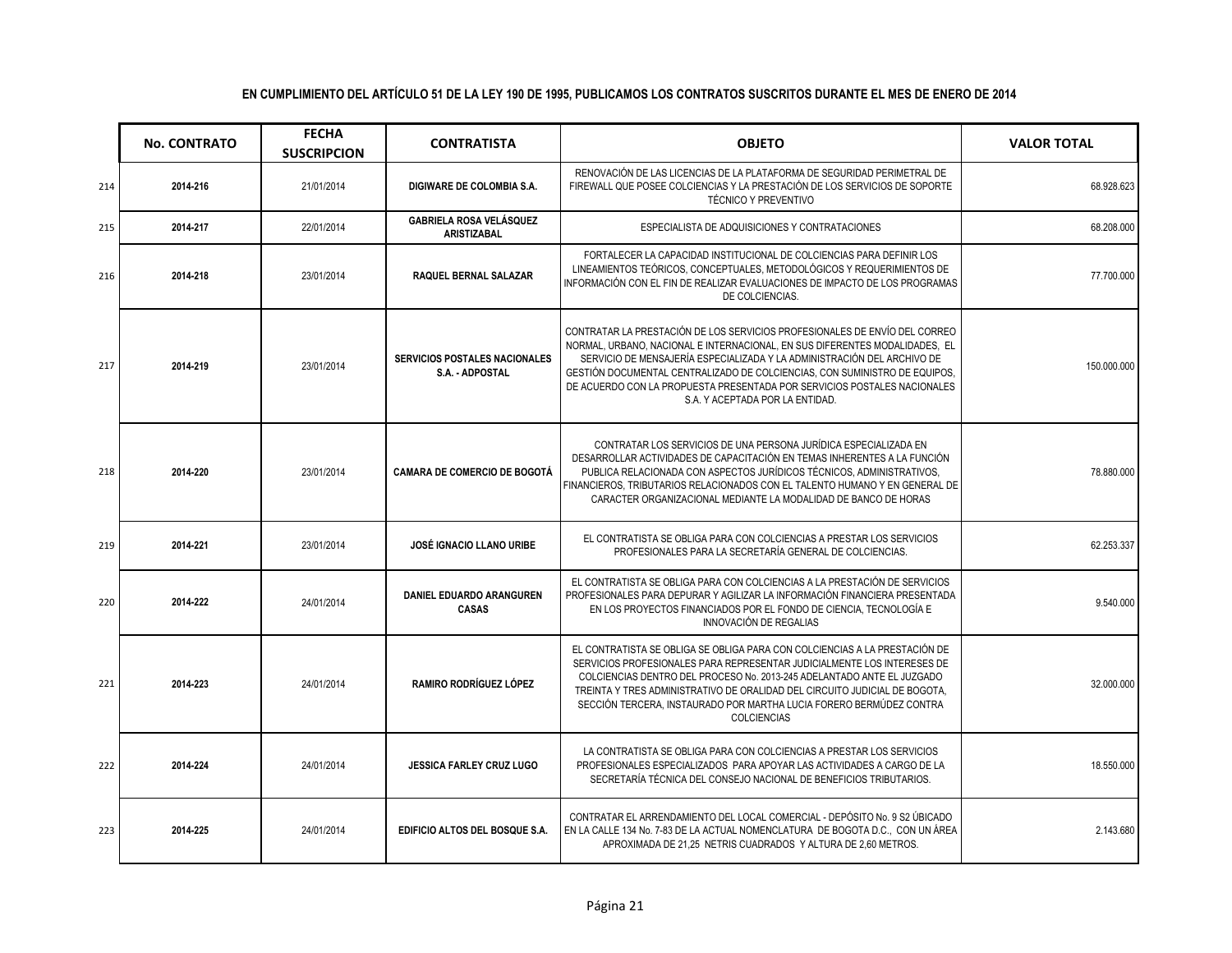|     | <b>No. CONTRATO</b> | <b>FECHA</b><br><b>SUSCRIPCION</b> | <b>CONTRATISTA</b>                                      | <b>OBJETO</b>                                                                                                                                                                                                                                                                                                                                                                                                                     | <b>VALOR TOTAL</b> |
|-----|---------------------|------------------------------------|---------------------------------------------------------|-----------------------------------------------------------------------------------------------------------------------------------------------------------------------------------------------------------------------------------------------------------------------------------------------------------------------------------------------------------------------------------------------------------------------------------|--------------------|
| 214 | 2014-216            | 21/01/2014                         | DIGIWARE DE COLOMBIA S.A.                               | RENOVACIÓN DE LAS LICENCIAS DE LA PLATAFORMA DE SEGURIDAD PERIMETRAL DE<br>FIREWALL QUE POSEE COLCIENCIAS Y LA PRESTACIÓN DE LOS SERVICIOS DE SOPORTE<br><b>TÉCNICO Y PREVENTIVO</b>                                                                                                                                                                                                                                              | 68.928.623         |
| 215 | 2014-217            | 22/01/2014                         | <b>GABRIELA ROSA VELÁSQUEZ</b><br><b>ARISTIZABAL</b>    | ESPECIALISTA DE ADQUISICIONES Y CONTRATACIONES                                                                                                                                                                                                                                                                                                                                                                                    | 68.208.000         |
| 216 | 2014-218            | 23/01/2014                         | <b>RAQUEL BERNAL SALAZAR</b>                            | FORTALECER LA CAPACIDAD INSTITUCIONAL DE COLCIENCIAS PARA DEFINIR LOS<br>LINEAMIENTOS TEÓRICOS, CONCEPTUALES, METODOLÓGICOS Y REQUERIMIENTOS DE<br>INFORMACIÓN CON EL FIN DE REALIZAR EVALUACIONES DE IMPACTO DE LOS PROGRAMAS<br>DE COLCIENCIAS.                                                                                                                                                                                 | 77.700.000         |
| 217 | 2014-219            | 23/01/2014                         | <b>SERVICIOS POSTALES NACIONALES</b><br>S.A. - ADPOSTAL | CONTRATAR LA PRESTACIÓN DE LOS SERVICIOS PROFESIONALES DE ENVÍO DEL CORREO<br>NORMAL, URBANO, NACIONAL E INTERNACIONAL, EN SUS DIFERENTES MODALIDADES, EL<br>SERVICIO DE MENSAJERÍA ESPECIALIZADA Y LA ADMINISTRACIÓN DEL ARCHIVO DE<br>GESTIÓN DOCUMENTAL CENTRALIZADO DE COLCIENCIAS, CON SUMINISTRO DE EQUIPOS,<br>DE ACUERDO CON LA PROPUESTA PRESENTADA POR SERVICIOS POSTALES NACIONALES<br>S.A. Y ACEPTADA POR LA ENTIDAD. | 150.000.000        |
| 218 | 2014-220            | 23/01/2014                         | <b>CAMARA DE COMERCIO DE BOGOTÁ</b>                     | CONTRATAR LOS SERVICIOS DE UNA PERSONA JURÍDICA ESPECIALIZADA EN<br>DESARROLLAR ACTIVIDADES DE CAPACITACIÓN EN TEMAS INHERENTES A LA FUNCIÓN<br>PUBLICA RELACIONADA CON ASPECTOS JURÍDICOS TÉCNICOS, ADMINISTRATIVOS,<br>FINANCIEROS. TRIBUTARIOS RELACIONADOS CON EL TALENTO HUMANO Y EN GENERAL DE<br>CARACTER ORGANIZACIONAL MEDIANTE LA MODALIDAD DE BANCO DE HORAS                                                           | 78.880.000         |
| 219 | 2014-221            | 23/01/2014                         | JOSÉ IGNACIO LLANO URIBE                                | EL CONTRATISTA SE OBLIGA PARA CON COLCIENCIAS A PRESTAR LOS SERVICIOS<br>PROFESIONALES PARA LA SECRETARÍA GENERAL DE COLCIENCIAS.                                                                                                                                                                                                                                                                                                 | 62.253.337         |
| 220 | 2014-222            | 24/01/2014                         | DANIEL EDUARDO ARANGUREN<br><b>CASAS</b>                | EL CONTRATISTA SE OBLIGA PARA CON COLCIENCIAS A LA PRESTACIÓN DE SERVICIOS<br>PROFESIONALES PARA DEPURAR Y AGILIZAR LA INFORMACIÓN FINANCIERA PRESENTADA<br>EN LOS PROYECTOS FINANCIADOS POR EL FONDO DE CIENCIA, TECNOLOGÍA E<br><b>INNOVACIÓN DE REGALIAS</b>                                                                                                                                                                   | 9.540.000          |
| 221 | 2014-223            | 24/01/2014                         | RAMIRO RODRÍGUEZ LÓPEZ                                  | EL CONTRATISTA SE OBLIGA SE OBLIGA PARA CON COLCIENCIAS A LA PRESTACIÓN DE<br>SERVICIOS PROFESIONALES PARA REPRESENTAR JUDICIALMENTE LOS INTERESES DE<br>COLCIENCIAS DENTRO DEL PROCESO No. 2013-245 ADELANTADO ANTE EL JUZGADO<br>TREINTA Y TRES ADMINISTRATIVO DE ORALIDAD DEL CIRCUITO JUDICIAL DE BOGOTA,<br>SECCIÓN TERCERA, INSTAURADO POR MARTHA LUCIA FORERO BERMÚDEZ CONTRA<br><b>COLCIENCIAS</b>                        | 32.000.000         |
| 222 | 2014-224            | 24/01/2014                         | <b>JESSICA FARLEY CRUZ LUGO</b>                         | LA CONTRATISTA SE OBLIGA PARA CON COLCIENCIAS A PRESTAR LOS SERVICIOS<br>PROFESIONALES ESPECIALIZADOS PARA APOYAR LAS ACTIVIDADES A CARGO DE LA<br>SECRETARÍA TÉCNICA DEL CONSEJO NACIONAL DE BENEFICIOS TRIBUTARIOS.                                                                                                                                                                                                             | 18.550.000         |
| 223 | 2014-225            | 24/01/2014                         | EDIFICIO ALTOS DEL BOSQUE S.A.                          | CONTRATAR EL ARRENDAMIENTO DEL LOCAL COMERCIAL - DEPÓSITO No. 9 S2 ÚBICADO<br>EN LA CALLE 134 No. 7-83 DE LA ACTUAL NOMENCLATURA DE BOGOTA D.C., CON UN ÁREA<br>APROXIMADA DE 21.25 NETRIS CUADRADOS Y ALTURA DE 2.60 METROS.                                                                                                                                                                                                     | 2.143.680          |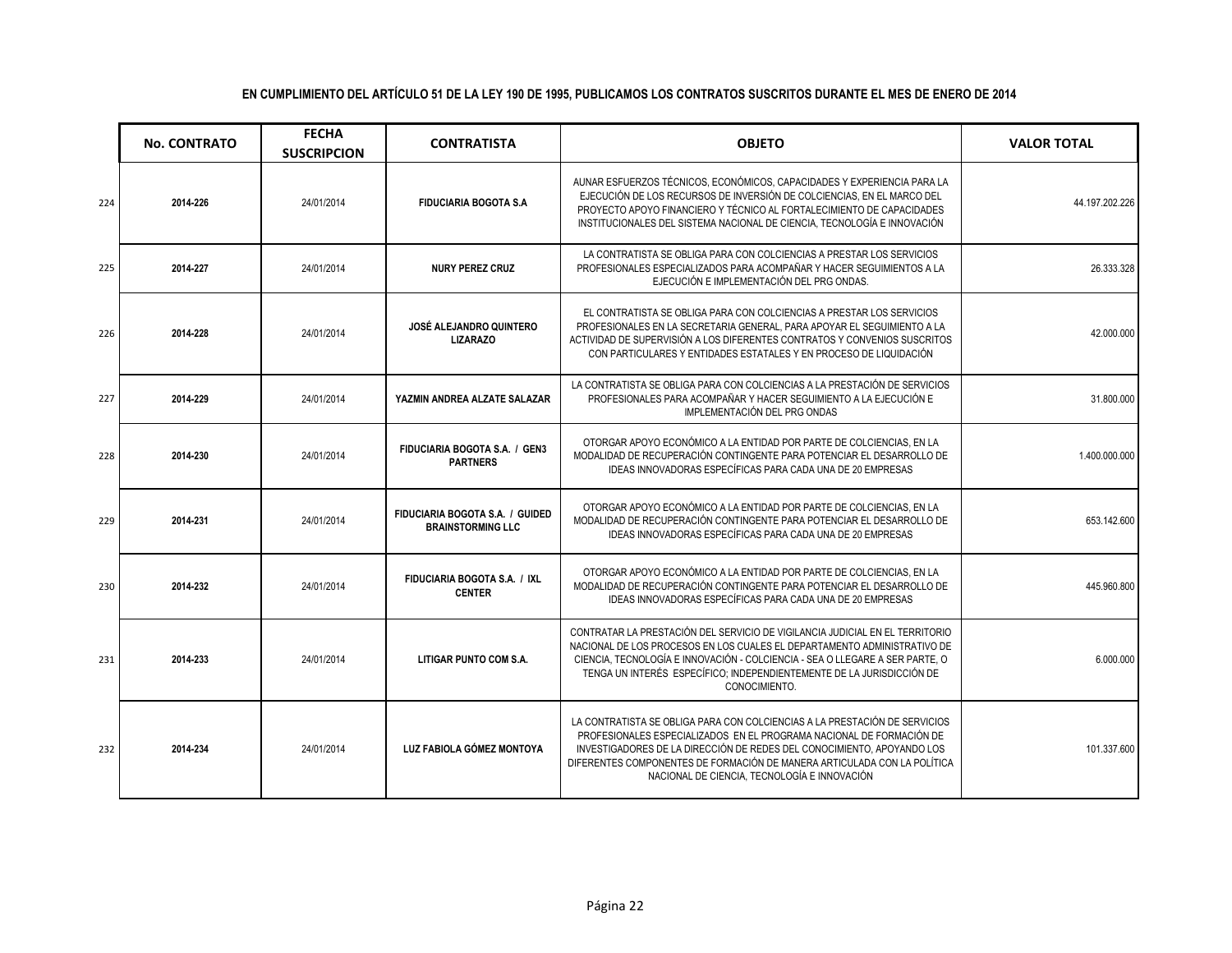|     | <b>No. CONTRATO</b> | <b>FECHA</b><br><b>SUSCRIPCION</b> | <b>CONTRATISTA</b>                                          | <b>OBJETO</b>                                                                                                                                                                                                                                                                                                                                            | <b>VALOR TOTAL</b> |
|-----|---------------------|------------------------------------|-------------------------------------------------------------|----------------------------------------------------------------------------------------------------------------------------------------------------------------------------------------------------------------------------------------------------------------------------------------------------------------------------------------------------------|--------------------|
| 224 | 2014-226            | 24/01/2014                         | <b>FIDUCIARIA BOGOTA S.A</b>                                | AUNAR ESFUERZOS TÉCNICOS, ECONÓMICOS, CAPACIDADES Y EXPERIENCIA PARA LA<br>EJECUCIÓN DE LOS RECURSOS DE INVERSIÓN DE COLCIENCIAS, EN EL MARCO DEL<br>PROYECTO APOYO FINANCIERO Y TÉCNICO AL FORTALECIMIENTO DE CAPACIDADES<br>INSTITUCIONALES DEL SISTEMA NACIONAL DE CIENCIA, TECNOLOGÍA E INNOVACIÓN                                                   | 44.197.202.226     |
| 225 | 2014-227            | 24/01/2014                         | <b>NURY PEREZ CRUZ</b>                                      | LA CONTRATISTA SE OBLIGA PARA CON COLCIENCIAS A PRESTAR LOS SERVICIOS<br>PROFESIONALES ESPECIALIZADOS PARA ACOMPAÑAR Y HACER SEGUIMIENTOS A LA<br>EJECUCIÓN E IMPLEMENTACIÓN DEL PRG ONDAS.                                                                                                                                                              | 26.333.328         |
| 226 | 2014-228            | 24/01/2014                         | JOSÉ ALEJANDRO QUINTERO<br><b>LIZARAZO</b>                  | EL CONTRATISTA SE OBLIGA PARA CON COLCIENCIAS A PRESTAR LOS SERVICIOS<br>PROFESIONALES EN LA SECRETARIA GENERAL, PARA APOYAR EL SEGUIMIENTO A LA<br>ACTIVIDAD DE SUPERVISIÓN A LOS DIFERENTES CONTRATOS Y CONVENIOS SUSCRITOS<br>CON PARTICULARES Y ENTIDADES ESTATALES Y EN PROCESO DE LIQUIDACIÓN                                                      | 42.000.000         |
| 227 | 2014-229            | 24/01/2014                         | YAZMIN ANDREA ALZATE SALAZAR                                | LA CONTRATISTA SE OBLIGA PARA CON COLCIENCIAS A LA PRESTACIÓN DE SERVICIOS<br>PROFESIONALES PARA ACOMPAÑAR Y HACER SEGUIMIENTO A LA EJECUCIÓN E<br>IMPLEMENTACIÓN DEL PRG ONDAS                                                                                                                                                                          | 31,800,000         |
| 228 | 2014-230            | 24/01/2014                         | FIDUCIARIA BOGOTA S.A. / GEN3<br><b>PARTNERS</b>            | OTORGAR APOYO ECONÓMICO A LA ENTIDAD POR PARTE DE COLCIENCIAS, EN LA<br>MODALIDAD DE RECUPERACIÓN CONTINGENTE PARA POTENCIAR EL DESARROLLO DE<br>IDEAS INNOVADORAS ESPECÍFICAS PARA CADA UNA DE 20 EMPRESAS                                                                                                                                              | 1.400.000.000      |
| 229 | 2014-231            | 24/01/2014                         | FIDUCIARIA BOGOTA S.A. / GUIDED<br><b>BRAINSTORMING LLC</b> | OTORGAR APOYO ECONÓMICO A LA ENTIDAD POR PARTE DE COLCIENCIAS, EN LA<br>MODALIDAD DE RECUPERACIÓN CONTINGENTE PARA POTENCIAR EL DESARROLLO DE<br>IDEAS INNOVADORAS ESPECÍFICAS PARA CADA UNA DE 20 EMPRESAS                                                                                                                                              | 653.142.600        |
| 230 | 2014-232            | 24/01/2014                         | FIDUCIARIA BOGOTA S.A. / IXL<br><b>CENTER</b>               | OTORGAR APOYO ECONÓMICO A LA ENTIDAD POR PARTE DE COLCIENCIAS, EN LA<br>MODALIDAD DE RECUPERACIÓN CONTINGENTE PARA POTENCIAR EL DESARROLLO DE<br>IDEAS INNOVADORAS ESPECÍFICAS PARA CADA UNA DE 20 EMPRESAS                                                                                                                                              | 445.960.800        |
| 231 | 2014-233            | 24/01/2014                         | LITIGAR PUNTO COM S.A.                                      | CONTRATAR LA PRESTACIÓN DEL SERVICIO DE VIGILANCIA JUDICIAL EN EL TERRITORIO<br>NACIONAL DE LOS PROCESOS EN LOS CUALES EL DEPARTAMENTO ADMINISTRATIVO DE<br>CIENCIA, TECNOLOGÍA E INNOVACIÓN - COLCIENCIA - SEA O LLEGARE A SER PARTE, O<br>TENGA UN INTERÉS ESPECÍFICO; INDEPENDIENTEMENTE DE LA JURISDICCIÓN DE<br>CONOCIMIENTO.                       | 6.000.000          |
| 232 | 2014-234            | 24/01/2014                         | LUZ FABIOLA GÓMEZ MONTOYA                                   | LA CONTRATISTA SE OBLIGA PARA CON COLCIENCIAS A LA PRESTACIÓN DE SERVICIOS<br>PROFESIONALES ESPECIALIZADOS EN EL PROGRAMA NACIONAL DE FORMACIÓN DE<br>INVESTIGADORES DE LA DIRECCIÓN DE REDES DEL CONOCIMIENTO, APOYANDO LOS<br>DIFERENTES COMPONENTES DE FORMACIÓN DE MANERA ARTICULADA CON LA POLÍTICA<br>NACIONAL DE CIENCIA, TECNOLOGÍA E INNOVACIÓN | 101.337.600        |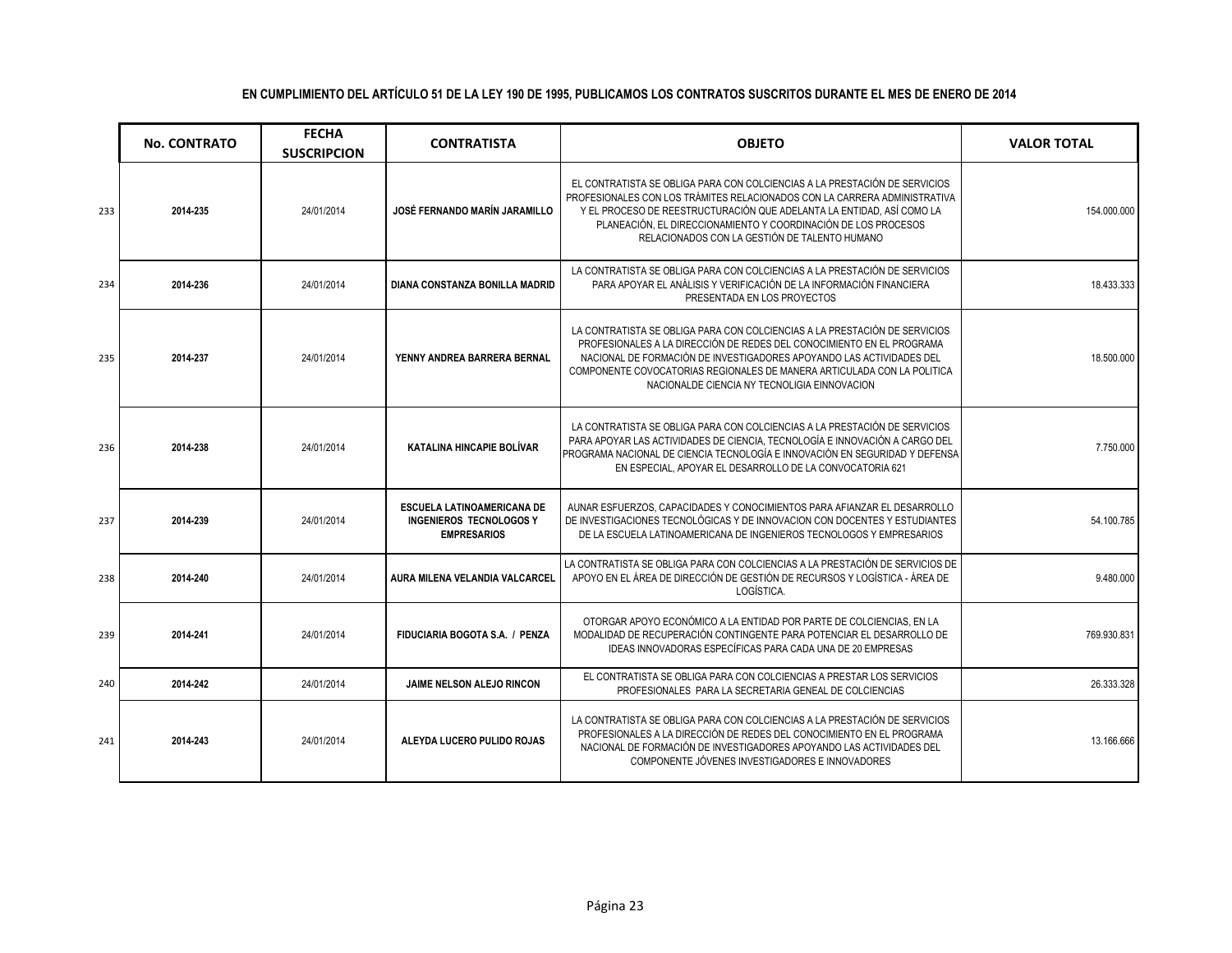|     | <b>No. CONTRATO</b> | <b>FECHA</b><br><b>SUSCRIPCION</b> | <b>CONTRATISTA</b>                                                                 | <b>OBJETO</b>                                                                                                                                                                                                                                                                                                                                          | <b>VALOR TOTAL</b> |
|-----|---------------------|------------------------------------|------------------------------------------------------------------------------------|--------------------------------------------------------------------------------------------------------------------------------------------------------------------------------------------------------------------------------------------------------------------------------------------------------------------------------------------------------|--------------------|
| 233 | 2014-235            | 24/01/2014                         | JOSÉ FERNANDO MARÍN JARAMILLO                                                      | EL CONTRATISTA SE OBLIGA PARA CON COLCIENCIAS A LA PRESTACIÓN DE SERVICIOS<br>PROFESIONALES CON LOS TRÁMITES RELACIONADOS CON LA CARRERA ADMINISTRATIVA<br>Y EL PROCESO DE REESTRUCTURACIÓN QUE ADELANTA LA ENTIDAD, ASÍ COMO LA<br>PLANEACIÓN. EL DIRECCIONAMIENTO Y COORDINACIÓN DE LOS PROCESOS<br>RELACIONADOS CON LA GESTIÓN DE TALENTO HUMANO    | 154.000.000        |
| 234 | 2014-236            | 24/01/2014                         | DIANA CONSTANZA BONILLA MADRID                                                     | LA CONTRATISTA SE OBLIGA PARA CON COLCIENCIAS A LA PRESTACIÓN DE SERVICIOS<br>PARA APOYAR EL ANÁLISIS Y VERIFICACIÓN DE LA INFORMACIÓN FINANCIERA<br>PRESENTADA EN LOS PROYECTOS                                                                                                                                                                       | 18.433.333         |
| 235 | 2014-237            | 24/01/2014                         | YENNY ANDREA BARRERA BERNAL                                                        | LA CONTRATISTA SE OBLIGA PARA CON COLCIENCIAS A LA PRESTACIÓN DE SERVICIOS<br>PROFESIONALES A LA DIRECCIÓN DE REDES DEL CONOCIMIENTO EN EL PROGRAMA<br>NACIONAL DE FORMACIÓN DE INVESTIGADORES APOYANDO LAS ACTIVIDADES DEL<br>COMPONENTE COVOCATORIAS REGIONALES DE MANERA ARTICULADA CON LA POLITICA<br>NACIONALDE CIENCIA NY TECNOLIGIA EINNOVACION | 18,500,000         |
| 236 | 2014-238            | 24/01/2014                         | KATALINA HINCAPIE BOLÍVAR                                                          | LA CONTRATISTA SE OBLIGA PARA CON COLCIENCIAS A LA PRESTACIÓN DE SERVICIOS<br>PARA APOYAR LAS ACTIVIDADES DE CIENCIA, TECNOLOGÍA E INNOVACIÓN A CARGO DEL<br>PROGRAMA NACIONAL DE CIENCIA TECNOLOGÍA E INNOVACIÓN EN SEGURIDAD Y DEFENSA<br>EN ESPECIAL, APOYAR EL DESARROLLO DE LA CONVOCATORIA 621                                                   | 7.750.000          |
| 237 | 2014-239            | 24/01/2014                         | ESCUELA LATINOAMERICANA DE<br><b>INGENIEROS TECNOLOGOS Y</b><br><b>EMPRESARIOS</b> | AUNAR ESFUERZOS, CAPACIDADES Y CONOCIMIENTOS PARA AFIANZAR EL DESARROLLO<br>DE INVESTIGACIONES TECNOLÓGICAS Y DE INNOVACION CON DOCENTES Y ESTUDIANTES<br>DE LA ESCUELA LATINOAMERICANA DE INGENIEROS TECNOLOGOS Y EMPRESARIOS                                                                                                                         | 54.100.785         |
| 238 | 2014-240            | 24/01/2014                         | AURA MILENA VELANDIA VALCARCEL                                                     | LA CONTRATISTA SE OBLIGA PARA CON COLCIENCIAS A LA PRESTACIÓN DE SERVICIOS DE<br>APOYO EN EL ÁREA DE DIRECCIÓN DE GESTIÓN DE RECURSOS Y LOGÍSTICA - ÁREA DE<br>LOGÍSTICA.                                                                                                                                                                              | 9.480.000          |
| 239 | 2014-241            | 24/01/2014                         | FIDUCIARIA BOGOTA S.A. / PENZA                                                     | OTORGAR APOYO ECONÓMICO A LA ENTIDAD POR PARTE DE COLCIENCIAS. EN LA<br>MODALIDAD DE RECUPERACIÓN CONTINGENTE PARA POTENCIAR EL DESARROLLO DE<br>IDEAS INNOVADORAS ESPECÍFICAS PARA CADA UNA DE 20 EMPRESAS                                                                                                                                            | 769.930.831        |
| 240 | 2014-242            | 24/01/2014                         | <b>JAIME NELSON ALEJO RINCON</b>                                                   | EL CONTRATISTA SE OBLIGA PARA CON COLCIENCIAS A PRESTAR LOS SERVICIOS<br>PROFESIONALES PARA LA SECRETARIA GENEAL DE COLCIENCIAS                                                                                                                                                                                                                        | 26.333.328         |
| 241 | 2014-243            | 24/01/2014                         | ALEYDA LUCERO PULIDO ROJAS                                                         | LA CONTRATISTA SE OBLIGA PARA CON COLCIENCIAS A LA PRESTACIÓN DE SERVICIOS<br>PROFESIONALES A LA DIRECCIÓN DE REDES DEL CONOCIMIENTO EN EL PROGRAMA<br>NACIONAL DE FORMACIÓN DE INVESTIGADORES APOYANDO LAS ACTIVIDADES DEL<br>COMPONENTE JÓVENES INVESTIGADORES E INNOVADORES                                                                         | 13.166.666         |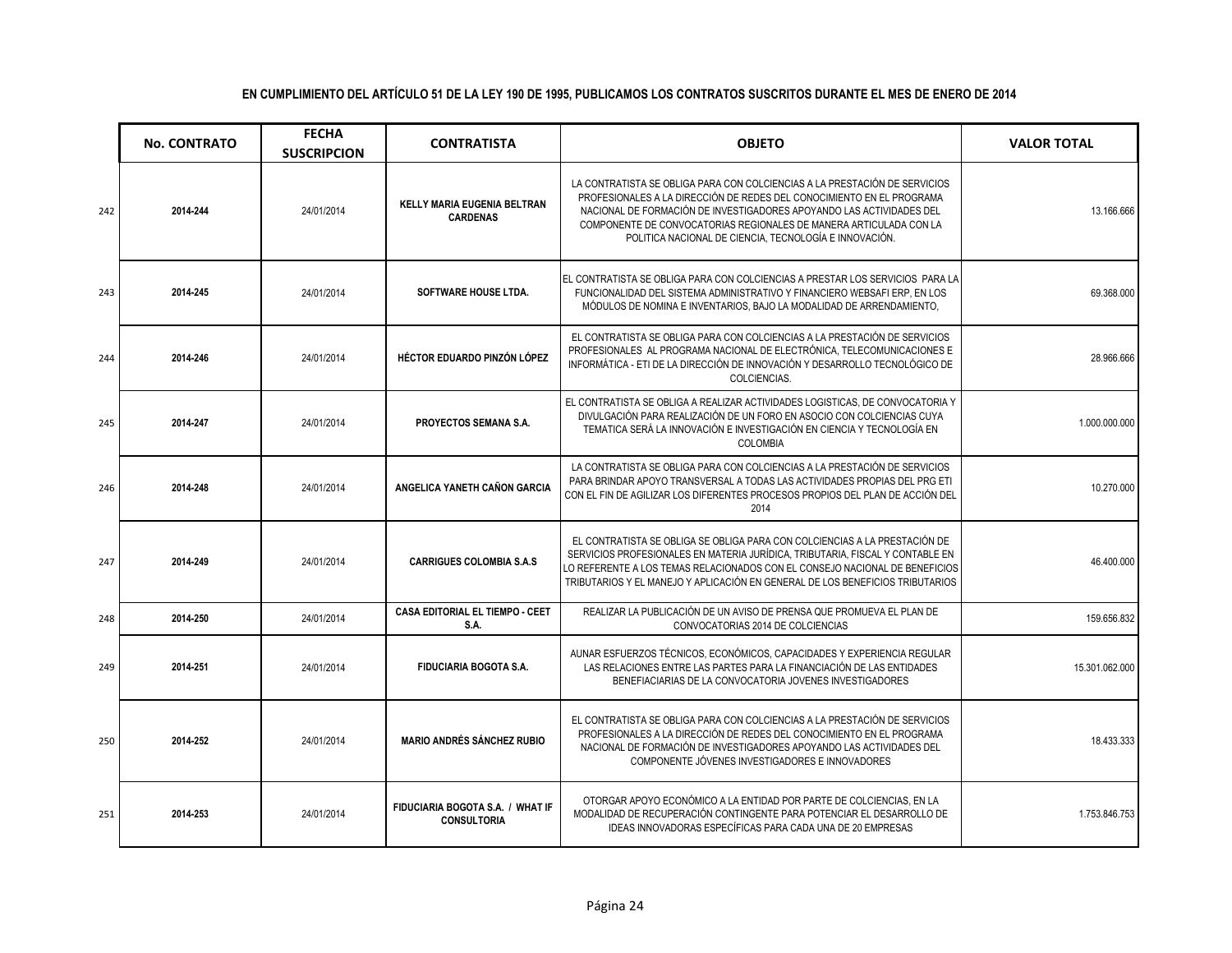|     | <b>No. CONTRATO</b> | <b>FECHA</b><br><b>SUSCRIPCION</b> | <b>CONTRATISTA</b>                                     | <b>OBJETO</b>                                                                                                                                                                                                                                                                                                                                               | <b>VALOR TOTAL</b> |
|-----|---------------------|------------------------------------|--------------------------------------------------------|-------------------------------------------------------------------------------------------------------------------------------------------------------------------------------------------------------------------------------------------------------------------------------------------------------------------------------------------------------------|--------------------|
| 242 | 2014-244            | 24/01/2014                         | <b>KELLY MARIA EUGENIA BELTRAN</b><br><b>CARDENAS</b>  | LA CONTRATISTA SE OBLIGA PARA CON COLCIENCIAS A LA PRESTACIÓN DE SERVICIOS<br>PROFESIONALES A LA DIRECCIÓN DE REDES DEL CONOCIMIENTO EN EL PROGRAMA<br>NACIONAL DE FORMACIÓN DE INVESTIGADORES APOYANDO LAS ACTIVIDADES DEL<br>COMPONENTE DE CONVOCATORIAS REGIONALES DE MANERA ARTICULADA CON LA<br>POLITICA NACIONAL DE CIENCIA, TECNOLOGÍA E INNOVACIÓN. | 13.166.666         |
| 243 | 2014-245            | 24/01/2014                         | SOFTWARE HOUSE LTDA.                                   | LEL CONTRATISTA SE OBLIGA PARA CON COLCIENCIAS A PRESTAR LOS SERVICIOS PARA LA<br>FUNCIONALIDAD DEL SISTEMA ADMINISTRATIVO Y FINANCIERO WEBSAFI ERP, EN LOS<br>MÓDULOS DE NOMINA E INVENTARIOS. BAJO LA MODALIDAD DE ARRENDAMIENTO.                                                                                                                         | 69.368.000         |
| 244 | 2014-246            | 24/01/2014                         | HÉCTOR EDUARDO PINZÓN LÓPEZ                            | EL CONTRATISTA SE OBLIGA PARA CON COLCIENCIAS A LA PRESTACIÓN DE SERVICIOS<br>PROFESIONALES AL PROGRAMA NACIONAL DE ELECTRÓNICA, TELECOMUNICACIONES E<br>INFORMÁTICA - ETI DE LA DIRECCIÓN DE INNOVACIÓN Y DESARROLLO TECNOLÓGICO DE<br>COLCIENCIAS.                                                                                                        | 28.966.666         |
| 245 | 2014-247            | 24/01/2014                         | PROYECTOS SEMANA S.A.                                  | EL CONTRATISTA SE OBLIGA A REALIZAR ACTIVIDADES LOGISTICAS, DE CONVOCATORIA Y<br>DIVULGACIÓN PARA REALIZACIÓN DE UN FORO EN ASOCIO CON COLCIENCIAS CUYA<br>TEMATICA SERÁ LA INNOVACIÓN E INVESTIGACIÓN EN CIENCIA Y TECNOLOGÍA EN<br>COLOMBIA                                                                                                               | 1.000.000.000      |
| 246 | 2014-248            | 24/01/2014                         | ANGELICA YANETH CAÑON GARCIA                           | LA CONTRATISTA SE OBLIGA PARA CON COLCIENCIAS A LA PRESTACIÓN DE SERVICIOS<br>PARA BRINDAR APOYO TRANSVERSAL A TODAS LAS ACTIVIDADES PROPIAS DEL PRG ETI<br>CON EL FIN DE AGILIZAR LOS DIFERENTES PROCESOS PROPIOS DEL PLAN DE ACCIÓN DEL<br>2014                                                                                                           | 10.270.000         |
| 247 | 2014-249            | 24/01/2014                         | <b>CARRIGUES COLOMBIA S.A.S</b>                        | EL CONTRATISTA SE OBLIGA SE OBLIGA PARA CON COLCIENCIAS A LA PRESTACIÓN DE<br>SERVICIOS PROFESIONALES EN MATERIA JURÍDICA, TRIBUTARIA, FISCAL Y CONTABLE EN<br>LO REFERENTE A LOS TEMAS RELACIONADOS CON EL CONSEJO NACIONAL DE BENEFICIOS<br>TRIBUTARIOS Y EL MANEJO Y APLICACIÓN EN GENERAL DE LOS BENEFICIOS TRIBUTARIOS                                 | 46.400.000         |
| 248 | 2014-250            | 24/01/2014                         | <b>CASA EDITORIAL EL TIEMPO - CEET</b><br>S.A.         | REALIZAR LA PUBLICACIÓN DE UN AVISO DE PRENSA QUE PROMUEVA EL PLAN DE<br>CONVOCATORIAS 2014 DE COLCIENCIAS                                                                                                                                                                                                                                                  | 159.656.832        |
| 249 | 2014-251            | 24/01/2014                         | <b>FIDUCIARIA BOGOTA S.A.</b>                          | AUNAR ESFUERZOS TÉCNICOS, ECONÓMICOS, CAPACIDADES Y EXPERIENCIA REGULAR<br>LAS RELACIONES ENTRE LAS PARTES PARA LA FINANCIACIÓN DE LAS ENTIDADES<br>BENEFIACIARIAS DE LA CONVOCATORIA JOVENES INVESTIGADORES                                                                                                                                                | 15.301.062.000     |
| 250 | 2014-252            | 24/01/2014                         | <b>MARIO ANDRÉS SÁNCHEZ RUBIO</b>                      | EL CONTRATISTA SE OBLIGA PARA CON COLCIENCIAS A LA PRESTACIÓN DE SERVICIOS<br>PROFESIONALES A LA DIRECCIÓN DE REDES DEL CONOCIMIENTO EN EL PROGRAMA<br>NACIONAL DE FORMACIÓN DE INVESTIGADORES APOYANDO LAS ACTIVIDADES DEL<br>COMPONENTE JÓVENES INVESTIGADORES E INNOVADORES                                                                              | 18.433.333         |
| 251 | 2014-253            | 24/01/2014                         | FIDUCIARIA BOGOTA S.A. / WHAT IF<br><b>CONSULTORIA</b> | OTORGAR APOYO ECONÓMICO A LA ENTIDAD POR PARTE DE COLCIENCIAS. EN LA<br>MODALIDAD DE RECUPERACIÓN CONTINGENTE PARA POTENCIAR EL DESARROLLO DE<br>IDEAS INNOVADORAS ESPECÍFICAS PARA CADA UNA DE 20 EMPRESAS                                                                                                                                                 | 1.753.846.753      |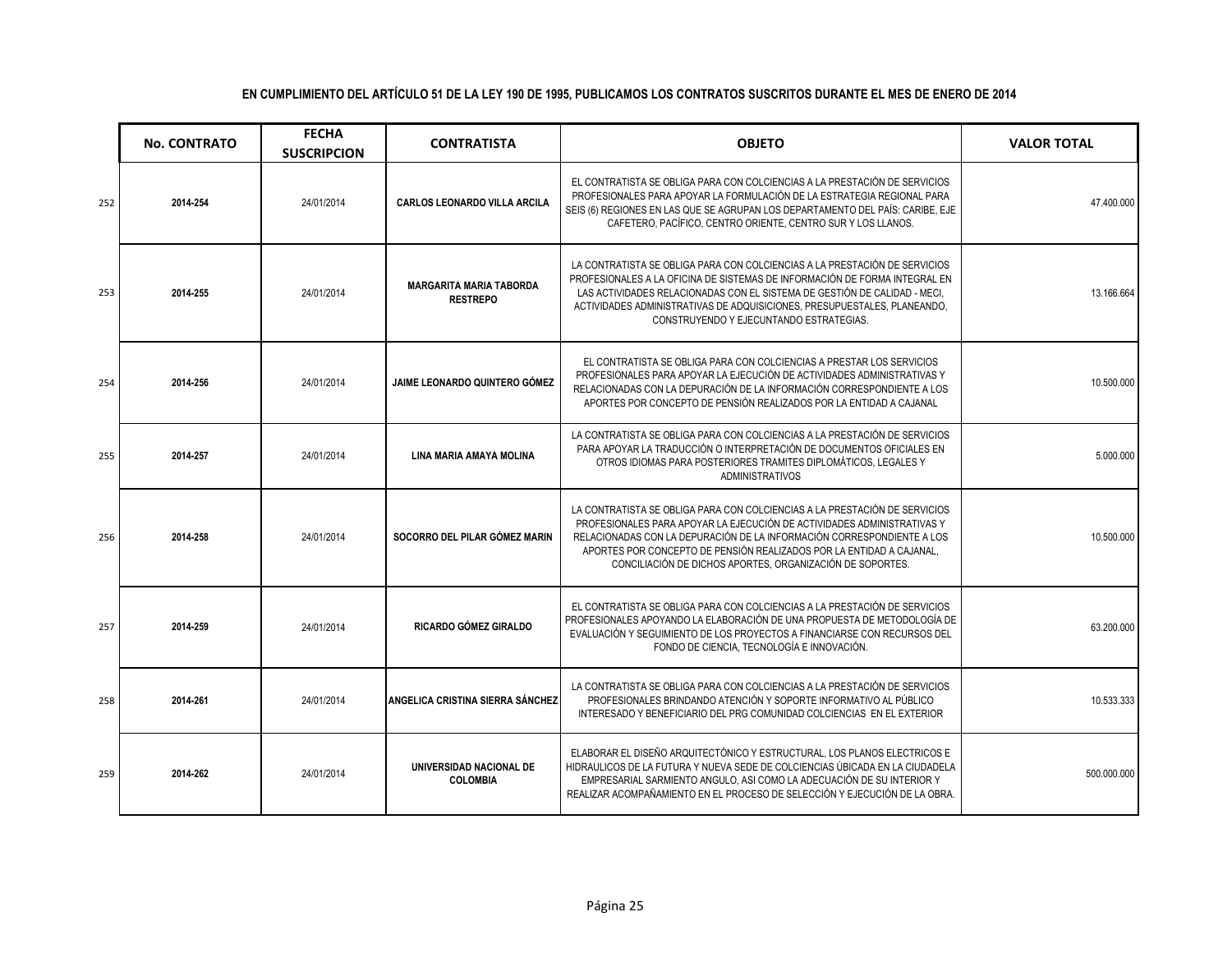|     | <b>No. CONTRATO</b> | <b>FECHA</b><br><b>SUSCRIPCION</b> | <b>CONTRATISTA</b>                                | <b>OBJETO</b>                                                                                                                                                                                                                                                                                                                                                        | <b>VALOR TOTAL</b> |
|-----|---------------------|------------------------------------|---------------------------------------------------|----------------------------------------------------------------------------------------------------------------------------------------------------------------------------------------------------------------------------------------------------------------------------------------------------------------------------------------------------------------------|--------------------|
| 252 | 2014-254            | 24/01/2014                         | CARLOS LEONARDO VILLA ARCILA                      | EL CONTRATISTA SE OBLIGA PARA CON COLCIENCIAS A LA PRESTACIÓN DE SERVICIOS<br>PROFESIONALES PARA APOYAR LA FORMULACIÓN DE LA ESTRATEGIA REGIONAL PARA<br>SEIS (6) REGIONES EN LAS QUE SE AGRUPAN LOS DEPARTAMENTO DEL PAÍS: CARIBE, EJE<br>CAFETERO, PACÍFICO, CENTRO ORIENTE, CENTRO SUR Y LOS LLANOS.                                                              | 47.400.000         |
| 253 | 2014-255            | 24/01/2014                         | <b>MARGARITA MARIA TABORDA</b><br><b>RESTREPO</b> | LA CONTRATISTA SE OBLIGA PARA CON COLCIENCIAS A LA PRESTACIÓN DE SERVICIOS<br>PROFESIONALES A LA OFICINA DE SISTEMAS DE INFORMACIÓN DE FORMA INTEGRAL EN<br>LAS ACTIVIDADES RELACIONADAS CON EL SISTEMA DE GESTIÓN DE CALIDAD - MECI,<br>ACTIVIDADES ADMINISTRATIVAS DE ADQUISICIONES, PRESUPUESTALES, PLANEANDO,<br>CONSTRUYENDO Y EJECUNTANDO ESTRATEGIAS.         | 13.166.664         |
| 254 | 2014-256            | 24/01/2014                         | <b>JAIME LEONARDO QUINTERO GÓMEZ</b>              | EL CONTRATISTA SE OBLIGA PARA CON COLCIENCIAS A PRESTAR LOS SERVICIOS<br>PROFESIONALES PARA APOYAR LA EJECUCIÓN DE ACTIVIDADES ADMINISTRATIVAS Y<br>RELACIONADAS CON LA DEPURACIÓN DE LA INFORMACIÓN CORRESPONDIENTE A LOS<br>APORTES POR CONCEPTO DE PENSIÓN REALIZADOS POR LA ENTIDAD A CAJANAL                                                                    | 10.500.000         |
| 255 | 2014-257            | 24/01/2014                         | LINA MARIA AMAYA MOLINA                           | LA CONTRATISTA SE OBLIGA PARA CON COLCIENCIAS A LA PRESTACIÓN DE SERVICIOS<br>PARA APOYAR LA TRADUCCIÓN O INTERPRETACIÓN DE DOCUMENTOS OFICIALES EN<br>OTROS IDIOMAS PARA POSTERIORES TRAMITES DIPLOMÁTICOS, LEGALES Y<br><b>ADMINISTRATIVOS</b>                                                                                                                     | 5.000.000          |
| 256 | 2014-258            | 24/01/2014                         | SOCORRO DEL PILAR GÓMEZ MARIN                     | LA CONTRATISTA SE OBLIGA PARA CON COLCIENCIAS A LA PRESTACIÓN DE SERVICIOS<br>PROFESIONALES PARA APOYAR LA EJECUCIÓN DE ACTIVIDADES ADMINISTRATIVAS Y<br>RELACIONADAS CON LA DEPURACIÓN DE LA INFORMACIÓN CORRESPONDIENTE A LOS<br>APORTES POR CONCEPTO DE PENSIÓN REALIZADOS POR LA ENTIDAD A CAJANAL,<br>CONCILIACIÓN DE DICHOS APORTES, ORGANIZACIÓN DE SOPORTES. | 10.500.000         |
| 257 | 2014-259            | 24/01/2014                         | RICARDO GÓMEZ GIRALDO                             | EL CONTRATISTA SE OBLIGA PARA CON COLCIENCIAS A LA PRESTACIÓN DE SERVICIOS<br>PROFESIONALES APOYANDO LA ELABORACIÓN DE UNA PROPUESTA DE METODOLOGÍA DE<br>EVALUACIÓN Y SEGUIMIENTO DE LOS PROYECTOS A FINANCIARSE CON RECURSOS DEL<br>FONDO DE CIENCIA, TECNOLOGÍA E INNOVACIÓN.                                                                                     | 63.200.000         |
| 258 | 2014-261            | 24/01/2014                         | ANGELICA CRISTINA SIERRA SÁNCHEZ                  | LA CONTRATISTA SE OBLIGA PARA CON COLCIENCIAS A LA PRESTACIÓN DE SERVICIOS<br>PROFESIONALES BRINDANDO ATENCIÓN Y SOPORTE INFORMATIVO AL PÚBLICO<br>INTERESADO Y BENEFICIARIO DEL PRG COMUNIDAD COLCIENCIAS EN EL EXTERIOR                                                                                                                                            | 10.533.333         |
| 259 | 2014-262            | 24/01/2014                         | UNIVERSIDAD NACIONAL DE<br><b>COLOMBIA</b>        | ELABORAR EL DISEÑO ARQUITECTÓNICO Y ESTRUCTURAL, LOS PLANOS ELECTRICOS E<br>HIDRAULICOS DE LA FUTURA Y NUEVA SEDE DE COLCIENCIAS ÚBICADA EN LA CIUDADELA<br>EMPRESARIAL SARMIENTO ANGULO, ASI COMO LA ADECUACIÓN DE SU INTERIOR Y<br>REALIZAR ACOMPAÑAMIENTO EN EL PROCESO DE SELECCIÓN Y EJECUCIÓN DE LA OBRA.                                                      | 500.000.000        |